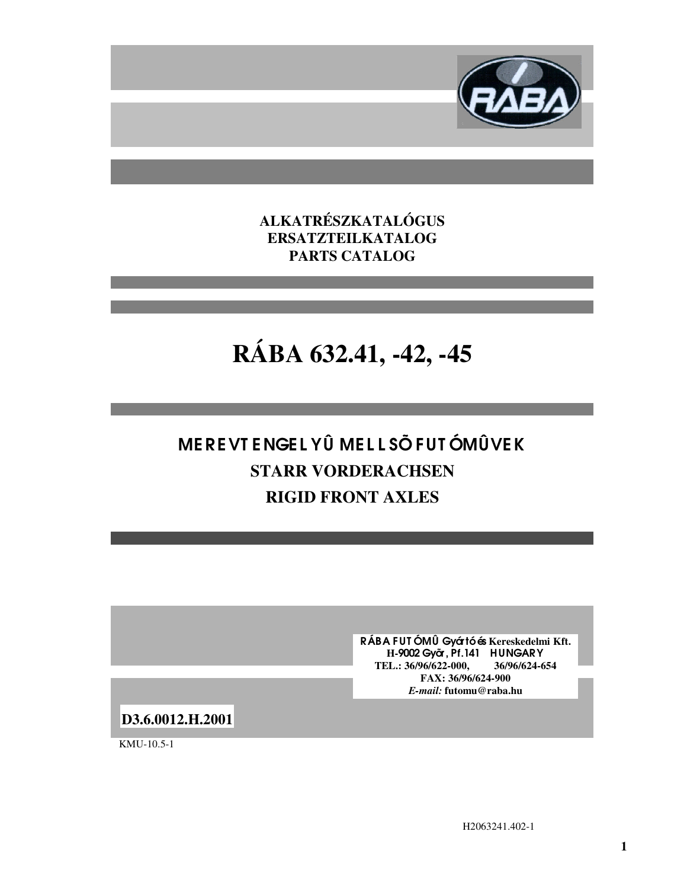

**ALKATRÉSZKATALÓGUS ERSATZTEILKATALOG PARTS CATALOG**

# **RÁBA 632.41, -42, -45**

## ME RE VT E NGE L YÛ ME L L SÕ FUT ÓMÛVEK **STARR VORDERACHSEN RIGID FRONT AXLES**

RÁBA FUT ÓMÛ Gyártó és **Kereskedelmi Kft. H-**9002 Gyõr, Pf.141 HUNGARY **TEL.: 36/96/622-000, 36/96/624-654 FAX: 36/96/624-900** *E-mail:* **futomu@raba.hu**

**D3.6.0012.H.2001**

KMU-10.5-1

H2063241.402-1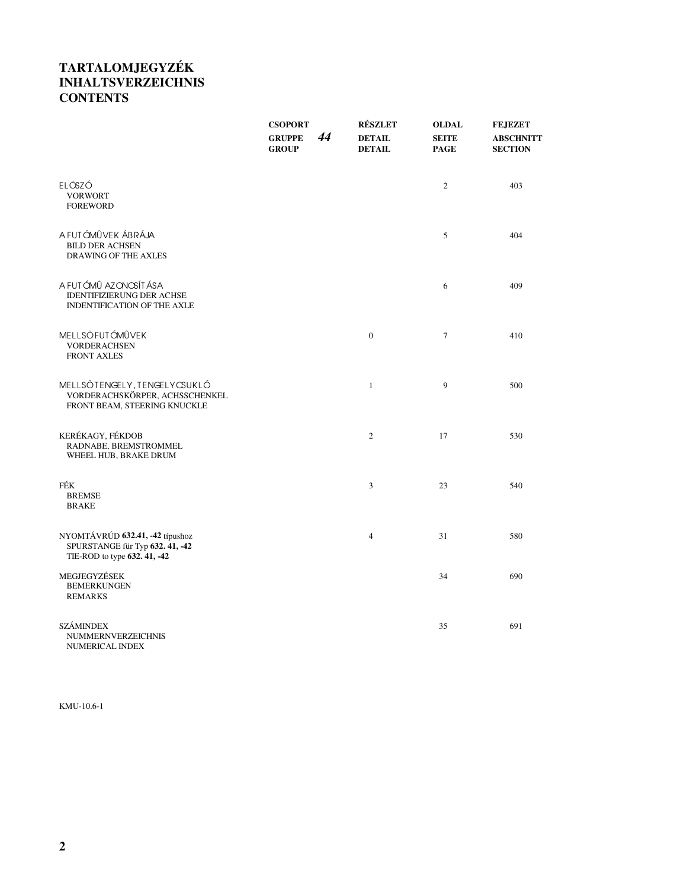## **TARTALOMJEGYZÉK INHALTSVERZEICHNIS CONTENTS**

|                                                                                                    | <b>CSOPORT</b><br>44<br><b>GRUPPE</b><br><b>GROUP</b> | <b>RÉSZLET</b><br><b>DETAIL</b><br><b>DETAIL</b> | <b>OLDAL</b><br><b>SEITE</b><br><b>PAGE</b> | <b>FEJEZET</b><br><b>ABSCHNITT</b><br><b>SECTION</b> |
|----------------------------------------------------------------------------------------------------|-------------------------------------------------------|--------------------------------------------------|---------------------------------------------|------------------------------------------------------|
| ELÕSZÓ<br><b>VORWORT</b><br><b>FOREWORD</b>                                                        |                                                       |                                                  | $\overline{c}$                              | 403                                                  |
| A FUTÓMÛVEK ÁBRÁJA<br><b>BILD DER ACHSEN</b><br>DRAWING OF THE AXLES                               |                                                       |                                                  | 5                                           | 404                                                  |
| A FUTÓMÛ AZONOSÍTÁSA<br><b>IDENTIFIZIERUNG DER ACHSE</b><br>INDENTIFICATION OF THE AXLE            |                                                       |                                                  | 6                                           | 409                                                  |
| <b>MELLSŐFUTÓMÛVEK</b><br><b>VORDERACHSEN</b><br><b>FRONT AXLES</b>                                |                                                       | $\mathbf{0}$                                     | $\overline{7}$                              | 410                                                  |
| MELLSÕTENGELY, TENGELY CSUKLÓ<br>VORDERACHSKÖRPER, ACHSSCHENKEL<br>FRONT BEAM, STEERING KNUCKLE    |                                                       | $\mathbf{1}$                                     | 9                                           | 500                                                  |
| KERÉKAGY, FÉKDOB<br>RADNABE, BREMSTROMMEL<br>WHEEL HUB, BRAKE DRUM                                 |                                                       | $\sqrt{2}$                                       | 17                                          | 530                                                  |
| FÉK<br><b>BREMSE</b><br><b>BRAKE</b>                                                               |                                                       | 3                                                | 23                                          | 540                                                  |
| NYOMTÁVRÚD 632.41, -42 típushoz<br>SPURSTANGE für Typ 632. 41, -42<br>TIE-ROD to type 632. 41, -42 |                                                       | $\overline{4}$                                   | 31                                          | 580                                                  |
| MEGJEGYZÉSEK<br><b>BEMERKUNGEN</b><br><b>REMARKS</b>                                               |                                                       |                                                  | 34                                          | 690                                                  |
| <b>SZÁMINDEX</b><br><b>NUMMERNVERZEICHNIS</b><br>NUMERICAL INDEX                                   |                                                       |                                                  | 35                                          | 691                                                  |

KMU-10.6-1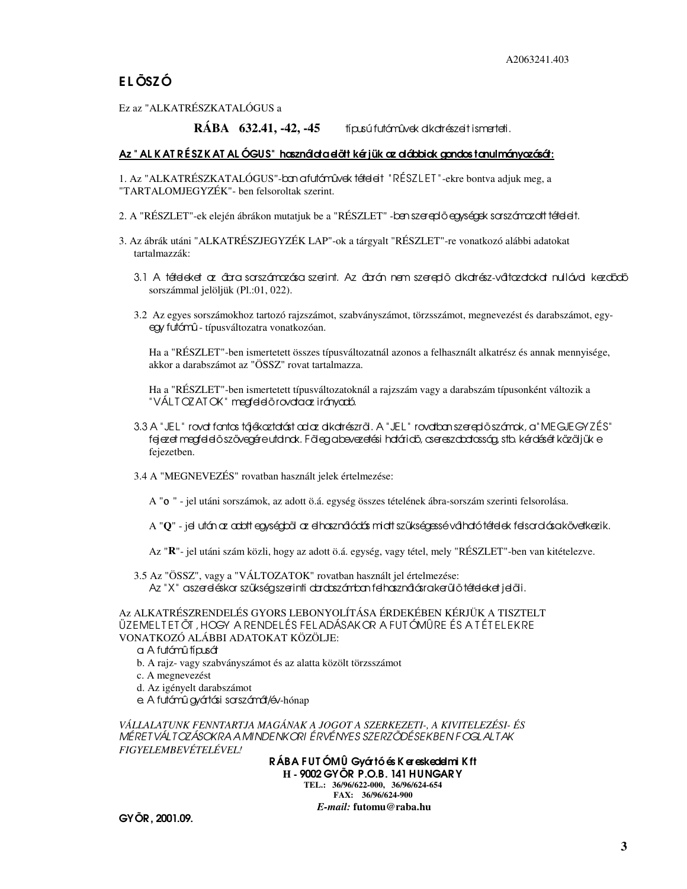Ez az "ALKATRÉSZKATALÓGUS a

**RÁBA 632.41, -42, -45** típusú futómûvek alkatrészeit ismerteti.

#### Az " AL K AT R É SZ K AT AL ÓGUS" használata előtt kérjük az alábbiak gondos tanulmányozását:

1. Az "ALKATRÉSZKATALÓGUS"-ban a futómûvek tételeit "RÉSZ L ET "-ekre bontva adjuk meg, a "TARTALOMJEGYZÉK"- ben felsoroltak szerint.

- 2. A "RÉSZLET"-ek elején ábrákon mutatjuk be a "RÉSZLET" ben szereplő egységek sorszómozott tételeit.
- 3. Az ábrák utáni "ALKATRÉSZJEGYZÉK LAP"-ok a tárgyalt "RÉSZLET"-re vonatkozó alábbi adatokat tartalmazzák:
	- 3.1 A tételeket az ábra sorszámozása szerint. Az ábrán nem szereplő alkatrész-változatokat nullával kezdődő sorszámmal jelöljük (Pl.:01, 022).
	- 3.2 Az egyes sorszámokhoz tartozó rajzszámot, szabványszámot, törzsszámot, megnevezést és darabszámot, egyegy futómû - típusváltozatra vonatkozóan.

Ha a "RÉSZLET"-ben ismertetett összes típusváltozatnál azonos a felhasznált alkatrész és annak mennyisége, akkor a darabszámot az "ÖSSZ" rovat tartalmazza.

Ha a "RÉSZLET"-ben ismertetett típusváltozatoknál a rajzszám vagy a darabszám típusonként változik a "VÁLT OZAT OK" megfelelő rovata az irányadó.

- 3.3 A "JEL " rovat fontos tájékoztatást ad az alkatrészrõl. A "JEL " rovatban szereplõ számok, a "MEGJEGYZÉS" fejezet megfelelõ szövegére utalnak. Fõleg a bevezetési határidõ, csereszabatosság, stb. kérdését közöljük e fejezetben.
- 3.4 A "MEGNEVEZÉS" rovatban használt jelek értelmezése:
	- A "ο " jel utáni sorszámok, az adott ö.á. egység összes tételének ábra-sorszám szerinti felsorolása.
	- A "**Q**" jel után az adott egységbõl az elhasználódás miatt szükségessé válható tételek felsorolása következik.
	- Az "**R**"- jel utáni szám közli, hogy az adott ö.á. egység, vagy tétel, mely "RÉSZLET"-ben van kitételezve.

3.5 Az "ÖSSZ", vagy a "VÁLTOZATOK" rovatban használt jel értelmezése: Az "X" aszereléskar szükség szerinti dardaszánban felhasználásra kerülő tételeket jelöli.

Az ALKATRÉSZRENDELÉS GYORS LEBONYOLÍTÁSA ÉRDEKÉBEN KÉRJÜK A TISZTELT ÜZEMEL T ET ÕT , HOGY A RENDEL ÉS FELADÁSAKOR A FUT ÓMÛRE ÉS A T ÉT EL EKRE VONATKOZÓ ALÁBBI ADATOKAT KÖZÖLJE:

#### a. A futómû típusát

b. A rajz- vagy szabványszámot és az alatta közölt törzsszámot

- c. A megnevezést
- d. Az igényelt darabszámot
- e. A futómû gyártási sorszámát/év-hónap

*VÁLLALATUNK FENNTARTJA MAGÁNAK A JOGOT A SZERKEZETI-, A KIVITELEZÉSI- ÉS MÉRETVÁLTOZÁSOKRA A MINDENKORI ÉRVÉNYES SZERZÕDÉSEKBEN FOGLALTAK FIGYELEMBEVÉTELÉVEL!*

> RÁBA FUT ÓMÛ Gyártó és K ereskedelmi K ft **H -** 9002 GYÕR P.O.B. 141 HUNGARY **TEL.: 36/96/622-000, 36/96/624-654 FAX: 36/96/624-900** *E-mail:* **futomu@raba.hu**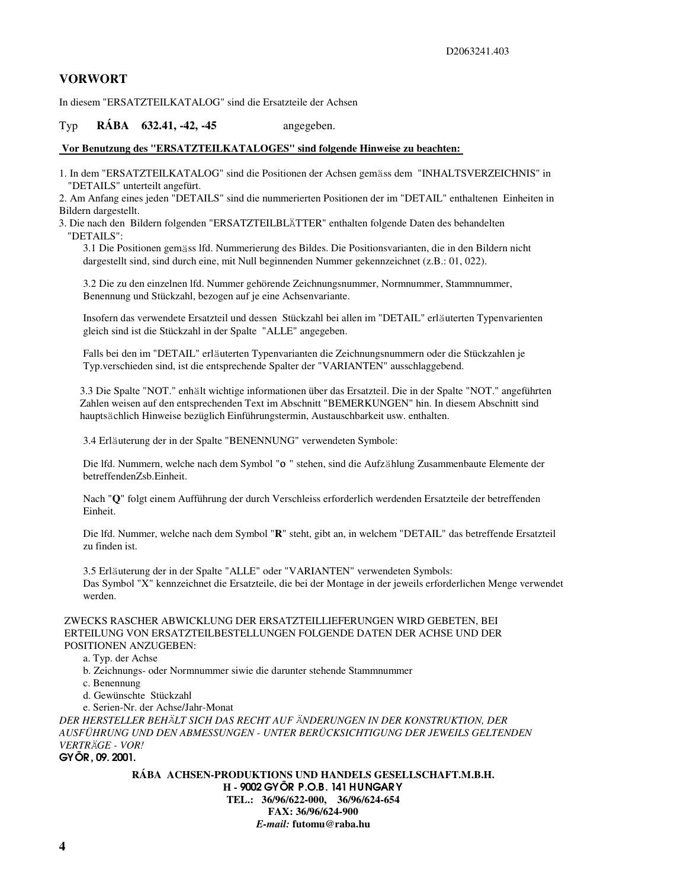### **VORWORT**

In diesem "ERSATZTEILKATALOG" sind die Ersatzteile der Achsen

#### Typ **RÁBA 632.41, -42, -45** angegeben.

#### **Vor Benutzung des "ERSATZTEILKATALOGES" sind folgende Hinweise zu beachten:**

1. In dem "ERSATZTEILKATALOG" sind die Positionen der Achsen gemäss dem "INHALTSVERZEICHNIS" in "DETAILS" unterteilt angefürt.

2. Am Anfang eines jeden "DETAILS" sind die nummerierten Positionen der im "DETAIL" enthaltenen Einheiten in Bildern dargestellt.

 3. Die nach den Bildern folgenden "ERSATZTEILBLÄTTER" enthalten folgende Daten des behandelten "DETAILS":

3.1 Die Positionen gemäss lfd. Nummerierung des Bildes. Die Positionsvarianten, die in den Bildern nicht dargestellt sind, sind durch eine, mit Null beginnenden Nummer gekennzeichnet (z.B.: 01, 022).

3.2 Die zu den einzelnen lfd. Nummer gehörende Zeichnungsnummer, Normnummer, Stammnummer, Benennung und Stückzahl, bezogen auf je eine Achsenvariante.

Insofern das verwendete Ersatzteil und dessen Stückzahl bei allen im "DETAIL" erläuterten Typenvarienten gleich sind ist die Stückzahl in der Spalte "ALLE" angegeben.

Falls bei den im "DETAIL" erläuterten Typenvarianten die Zeichnungsnummern oder die Stückzahlen je Typ.verschieden sind, ist die entsprechende Spalter der "VARIANTEN" ausschlaggebend.

3.3 Die Spalte "NOT." enhält wichtige informationen über das Ersatzteil. Die in der Spalte "NOT." angeführten Zahlen weisen auf den entsprechenden Text im Abschnitt "BEMERKUNGEN" hin. In diesem Abschnitt sind hauptsächlich Hinweise bezüglich Einführungstermin, Austauschbarkeit usw. enthalten.

3.4 Erläuterung der in der Spalte "BENENNUNG" verwendeten Symbole:

Die lfd. Nummern, welche nach dem Symbol "ο " stehen, sind die Aufzählung Zusammenbaute Elemente der betreffendenZsb.Einheit.

Nach "**Q**" folgt einem Aufführung der durch Verschleiss erforderlich werdenden Ersatzteile der betreffenden Einheit.

Die lfd. Nummer, welche nach dem Symbol "**R**" steht, gibt an, in welchem "DETAIL" das betreffende Ersatzteil zu finden ist.

3.5 Erläuterung der in der Spalte "ALLE" oder "VARIANTEN" verwendeten Symbols: Das Symbol "X" kennzeichnet die Ersatzteile, die bei der Montage in der jeweils erforderlichen Menge verwendet werden.

#### ZWECKS RASCHER ABWICKLUNG DER ERSATZTEILLIEFERUNGEN WIRD GEBETEN, BEI ERTEILUNG VON ERSATZTEILBESTELLUNGEN FOLGENDE DATEN DER ACHSE UND DER POSITIONEN ANZUGEBEN:

a. Typ. der Achse

b. Zeichnungs- oder Normnummer siwie die darunter stehende Stammnummer

c. Benennung

d. Gewünschte Stückzahl

e. Serien-Nr. der Achse/Jahr-Monat

*DER HERSTELLER BEHÄLT SICH DAS RECHT AUF ÄNDERUNGEN IN DER KONSTRUKTION, DER AUSFÜHRUNG UND DEN ABMESSUNGEN - UNTER BERÜCKSICHTIGUNG DER JEWEILS GELTENDEN VERTRÄGE - VOR!*

GYÕR, 09. 2001.

**RÁBA ACHSEN-PRODUKTIONS UND HANDELS GESELLSCHAFT.M.B.H. H -** 9002 GYÕR P.O.B. 141 HUNGARY **TEL.: 36/96/622-000, 36/96/624-654 FAX: 36/96/624-900** *E-mail:* **futomu@raba.hu**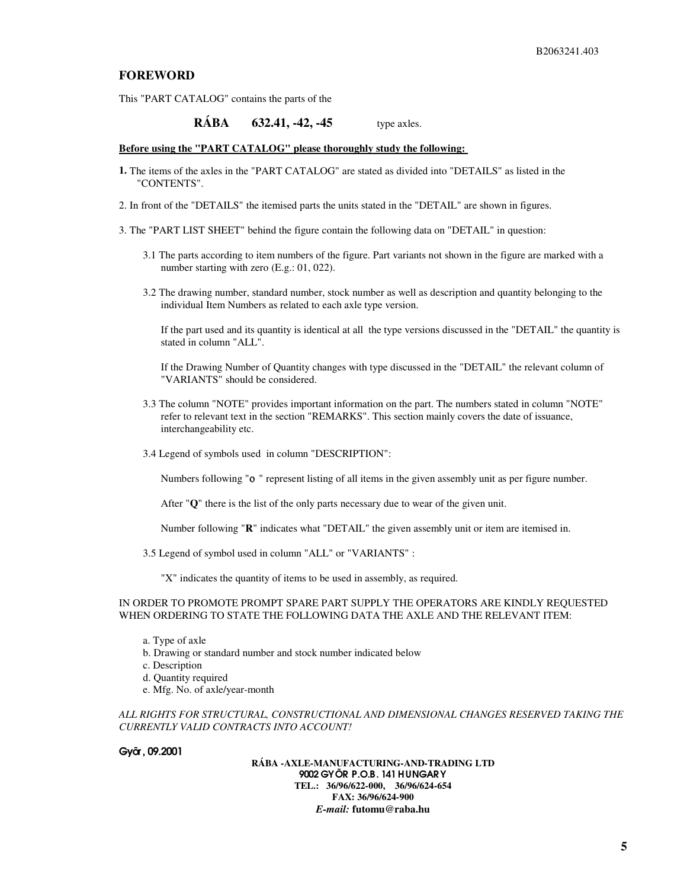#### **FOREWORD**

This "PART CATALOG" contains the parts of the

**RÁBA 632.41, -42, -45** type axles.

#### **Before using the "PART CATALOG" please thoroughly study the following:**

- **1.** The items of the axles in the "PART CATALOG" are stated as divided into "DETAILS" as listed in the "CONTENTS".
- 2. In front of the "DETAILS" the itemised parts the units stated in the "DETAIL" are shown in figures.
- 3. The "PART LIST SHEET" behind the figure contain the following data on "DETAIL" in question:
	- 3.1 The parts according to item numbers of the figure. Part variants not shown in the figure are marked with a number starting with zero (E.g.: 01, 022).
	- 3.2 The drawing number, standard number, stock number as well as description and quantity belonging to the individual Item Numbers as related to each axle type version.

If the part used and its quantity is identical at all the type versions discussed in the "DETAIL" the quantity is stated in column "ALL".

If the Drawing Number of Quantity changes with type discussed in the "DETAIL" the relevant column of "VARIANTS" should be considered.

- 3.3 The column "NOTE" provides important information on the part. The numbers stated in column "NOTE" refer to relevant text in the section "REMARKS". This section mainly covers the date of issuance, interchangeability etc.
- 3.4 Legend of symbols used in column "DESCRIPTION":

Numbers following "ο " represent listing of all items in the given assembly unit as per figure number.

After "**Q**" there is the list of the only parts necessary due to wear of the given unit.

Number following "**R**" indicates what "DETAIL" the given assembly unit or item are itemised in.

3.5 Legend of symbol used in column "ALL" or "VARIANTS" :

"X" indicates the quantity of items to be used in assembly, as required.

#### IN ORDER TO PROMOTE PROMPT SPARE PART SUPPLY THE OPERATORS ARE KINDLY REQUESTED WHEN ORDERING TO STATE THE FOLLOWING DATA THE AXLE AND THE RELEVANT ITEM:

- a. Type of axle
- b. Drawing or standard number and stock number indicated below
- c. Description
- d. Quantity required
- e. Mfg. No. of axle/year-month

*ALL RIGHTS FOR STRUCTURAL, CONSTRUCTIONAL AND DIMENSIONAL CHANGES RESERVED TAKING THE CURRENTLY VALID CONTRACTS INTO ACCOUNT!*

#### Gyõr, 09.2001

**RÁBA -AXLE-MANUFACTURING-AND-TRADING LTD** 9002 GYÕR P.O.B. 141 HUNGARY **TEL.: 36/96/622-000, 36/96/624-654 FAX: 36/96/624-900** *E-mail:* **futomu@raba.hu**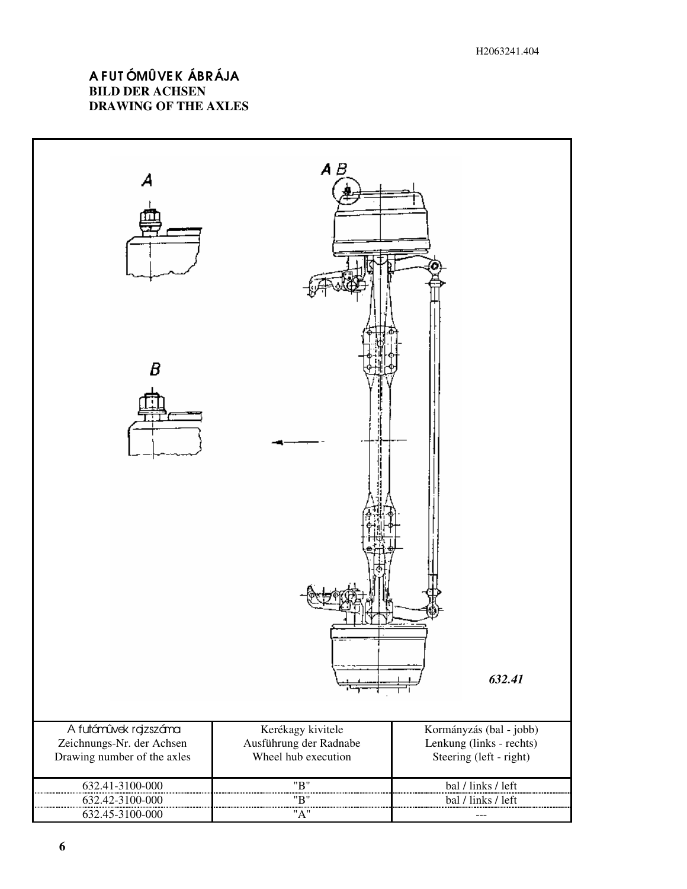## A FUT ÓMÛVEK ÁBRÁJA **BILD DER ACHSEN DRAWING OF THE AXLES**

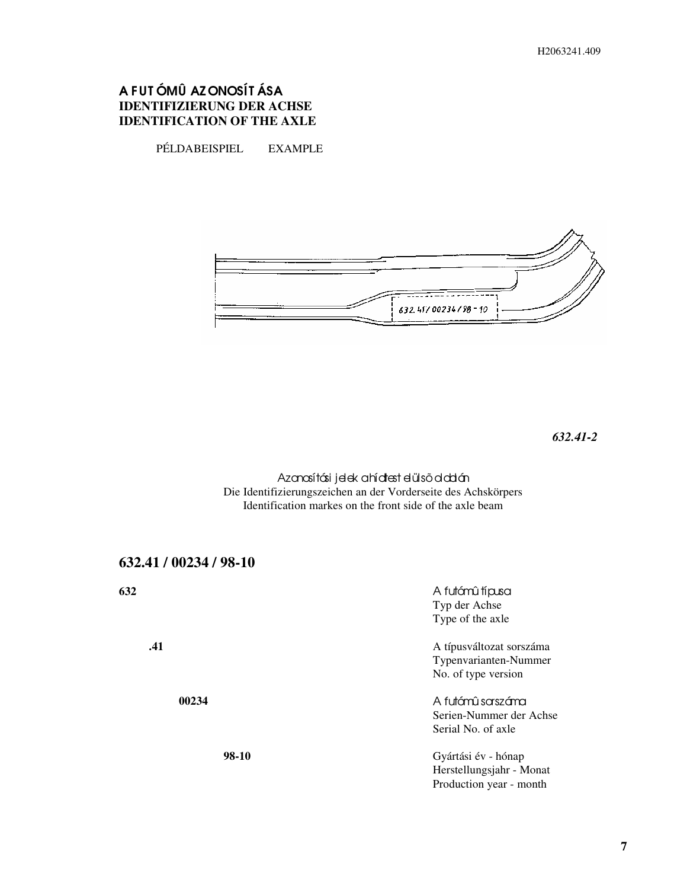## A FUT ÓMÛ AZ ONOSÍT ÁSA **IDENTIFIZIERUNG DER ACHSE IDENTIFICATION OF THE AXLE**

PÉLDABEISPIEL EXAMPLE



*632.41-2*

Azanasítási jelek a hídtest elülső oldalán Die Identifizierungszeichen an der Vorderseite des Achskörpers Identification markes on the front side of the axle beam

| 632.41 / 00234 / 98-10 |                                                                            |
|------------------------|----------------------------------------------------------------------------|
| 632                    | A futámû típusa<br>Typ der Achse<br>Type of the axle                       |
| .41                    | A típusváltozat sorszáma<br>Typenvarianten-Nummer<br>No. of type version   |
| 00234                  | A futómû sarszáma<br>Serien-Nummer der Achse<br>Serial No. of axle         |
| 98-10                  | Gyártási év - hónap<br>Herstellungsjahr - Monat<br>Production year - month |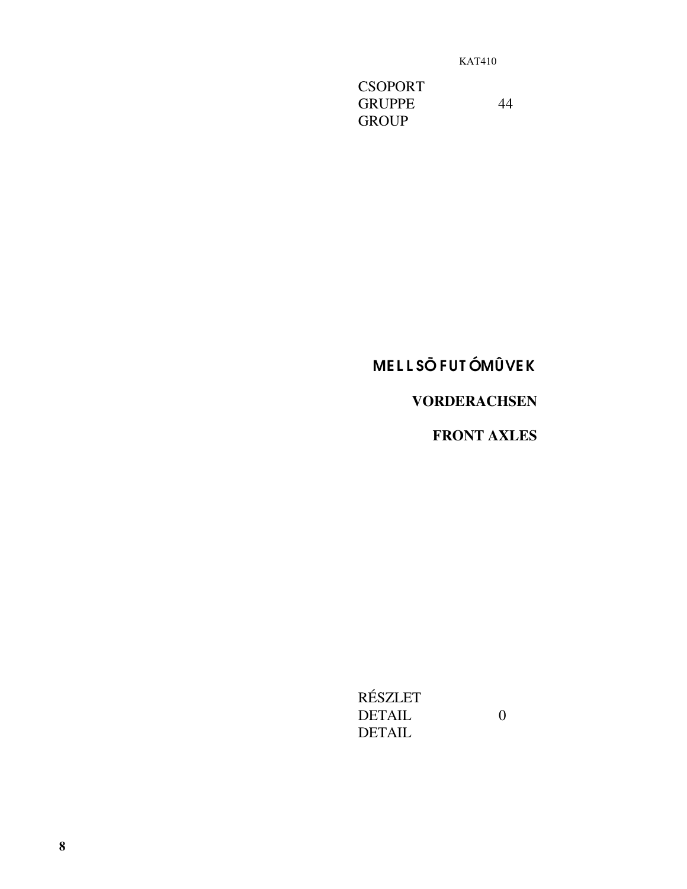**CSOPORT GRUPPE GROUP** 

44

## **MELLSÕFUTÓMÛVEK**

## **VORDERACHSEN**

**FRONT AXLES** 

 $\boldsymbol{0}$ 

RÉSZLET **DETAIL DETAIL**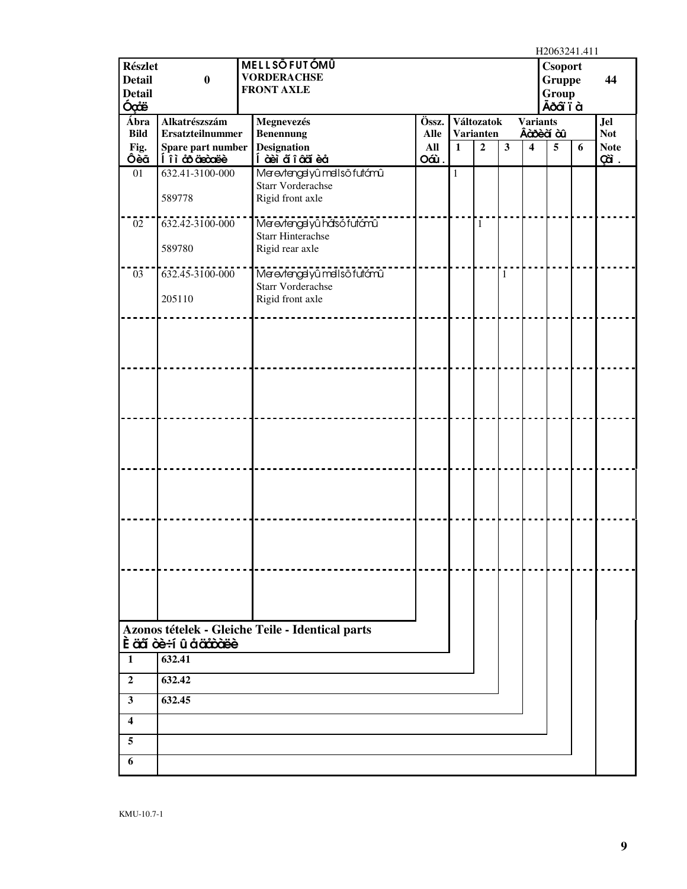|                         |                         |                                                  |             |              |                  |                         |                         | H2063241.411   |   |             |
|-------------------------|-------------------------|--------------------------------------------------|-------------|--------------|------------------|-------------------------|-------------------------|----------------|---|-------------|
| <b>Részlet</b>          |                         | <b>MELLSŐFUTÓMÛ</b>                              |             |              |                  |                         |                         | Csoport        |   |             |
| <b>Detail</b>           | $\bf{0}$                | <b>VORDERACHSE</b>                               |             |              |                  |                         |                         | <b>Gruppe</b>  |   | 44          |
| <b>Detail</b>           |                         | <b>FRONT AXLE</b>                                |             |              |                  |                         |                         | Group          |   |             |
| Óçãë                    |                         |                                                  |             |              |                  |                         |                         | Ãð aï i à      |   |             |
| Ábra                    | Alkatrészszám           | Megnevezés                                       | Össz.       |              | Változatok       |                         | <b>Variants</b>         |                |   | <b>Jel</b>  |
| <b>Bild</b>             | <b>Ersatzteilnummer</b> | <b>Benennung</b>                                 | <b>Alle</b> |              | <b>Varianten</b> |                         |                         | Âà bè à à l    |   | <b>Not</b>  |
| Fig.                    | Spare part number       | <b>Designation</b>                               | All         | $\mathbf{1}$ | $\overline{2}$   | $\overline{\mathbf{3}}$ | $\overline{\mathbf{4}}$ | $\overline{5}$ | 6 | <b>Note</b> |
| Ôèã                     | li à coiciocore         | Í àèi a๊ î âaï èå                                | Oáù.        |              |                  |                         |                         |                |   | çã.         |
| 01                      | 632.41-3100-000         | Merevtengelyû mellső futámû                      |             | $\mathbf{1}$ |                  |                         |                         |                |   |             |
|                         |                         | <b>Starr Vorderachse</b>                         |             |              |                  |                         |                         |                |   |             |
|                         | 589778                  | Rigid front axle                                 |             |              |                  |                         |                         |                |   |             |
| 02                      | 632.42-3100-000         | Merevtengelyû hásó futómû                        |             |              | $\mathbf{1}$     |                         |                         |                |   |             |
|                         |                         | <b>Starr Hinterachse</b>                         |             |              |                  |                         |                         |                |   |             |
|                         | 589780                  | Rigid rear axle                                  |             |              |                  |                         |                         |                |   |             |
|                         |                         |                                                  |             |              |                  |                         |                         |                |   |             |
| 03                      | 632.45-3100-000         | Merevtengelyû mel ső futámû                      |             |              |                  | $\mathbf{1}$            |                         |                |   |             |
|                         |                         | <b>Starr Vorderachse</b>                         |             |              |                  |                         |                         |                |   |             |
|                         | 205110                  | Rigid front axle                                 |             |              |                  |                         |                         |                |   |             |
|                         |                         |                                                  |             |              |                  |                         |                         |                |   |             |
|                         |                         |                                                  |             |              |                  |                         |                         |                |   |             |
|                         |                         |                                                  |             |              |                  |                         |                         |                |   |             |
|                         |                         |                                                  |             |              |                  |                         |                         |                |   |             |
|                         |                         |                                                  |             |              |                  |                         |                         |                |   |             |
|                         |                         |                                                  |             |              |                  |                         |                         |                |   |             |
|                         |                         |                                                  |             |              |                  |                         |                         |                |   |             |
|                         |                         |                                                  |             |              |                  |                         |                         |                |   |             |
|                         |                         |                                                  |             |              |                  |                         |                         |                |   |             |
|                         |                         |                                                  |             |              |                  |                         |                         |                |   |             |
|                         |                         |                                                  |             |              |                  |                         |                         |                |   |             |
|                         |                         |                                                  |             |              |                  |                         |                         |                |   |             |
|                         |                         |                                                  |             |              |                  |                         |                         |                |   |             |
|                         |                         |                                                  |             |              |                  |                         |                         |                |   |             |
|                         |                         |                                                  |             |              |                  |                         |                         |                |   |             |
|                         |                         |                                                  |             |              |                  |                         |                         |                |   |             |
|                         |                         |                                                  |             |              |                  |                         |                         |                |   |             |
|                         |                         |                                                  |             |              |                  |                         |                         |                |   |             |
|                         |                         |                                                  |             |              |                  |                         |                         |                |   |             |
|                         |                         |                                                  |             |              |                  |                         |                         |                |   |             |
|                         |                         |                                                  |             |              |                  |                         |                         |                |   |             |
|                         |                         |                                                  |             |              |                  |                         |                         |                |   |             |
|                         |                         |                                                  |             |              |                  |                         |                         |                |   |             |
|                         |                         | Azonos tételek - Gleiche Teile - Identical parts |             |              |                  |                         |                         |                |   |             |
|                         | È äã òè÷í û å ääôòëè    |                                                  |             |              |                  |                         |                         |                |   |             |
| $\mathbf{1}$            | $\overline{632.41}$     |                                                  |             |              |                  |                         |                         |                |   |             |
| $\overline{2}$          | 632.42                  |                                                  |             |              |                  |                         |                         |                |   |             |
| $\overline{\mathbf{3}}$ | 632.45                  |                                                  |             |              |                  |                         |                         |                |   |             |
| $\overline{\mathbf{4}}$ |                         |                                                  |             |              |                  |                         |                         |                |   |             |
| 5                       |                         |                                                  |             |              |                  |                         |                         |                |   |             |
| 6                       |                         |                                                  |             |              |                  |                         |                         |                |   |             |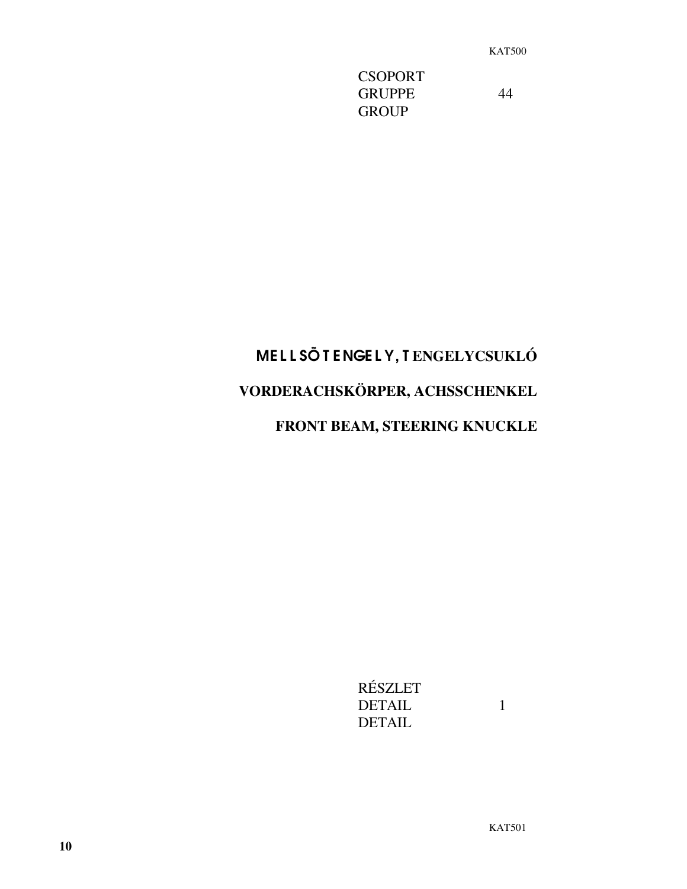**CSOPORT** GRUPPE 44 **GROUP** 

# ME L L SÕ T ENGE L Y, T **ENGELYCSUKLÓ VORDERACHSKÖRPER, ACHSSCHENKEL FRONT BEAM, STEERING KNUCKLE**

RÉSZLET DETAIL 1 DETAIL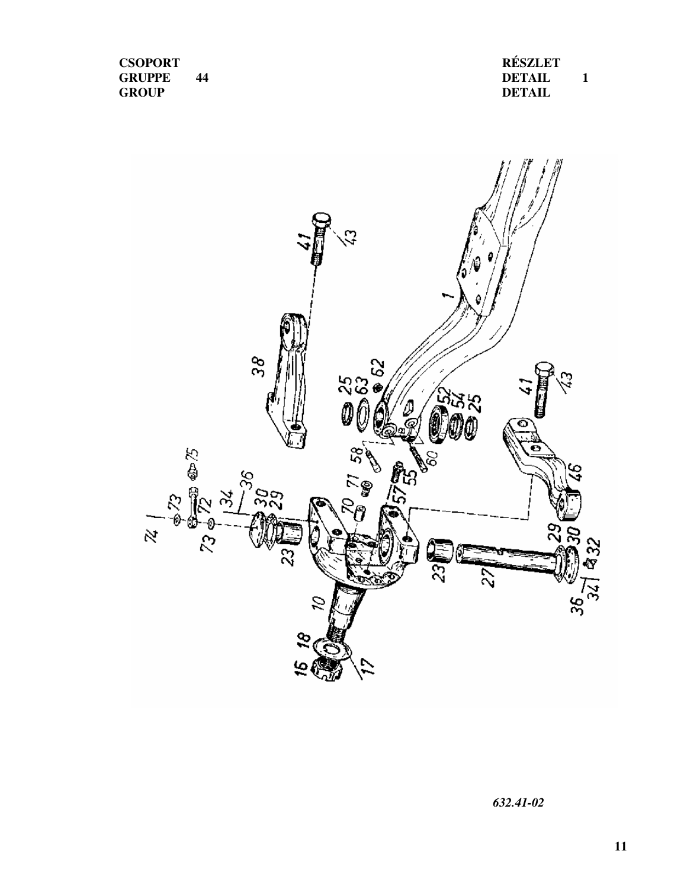**CSOPORT GRUPPE 44 GROUP**

**RÉSZLET DETAIL 1 DETAIL**



*632.41-02*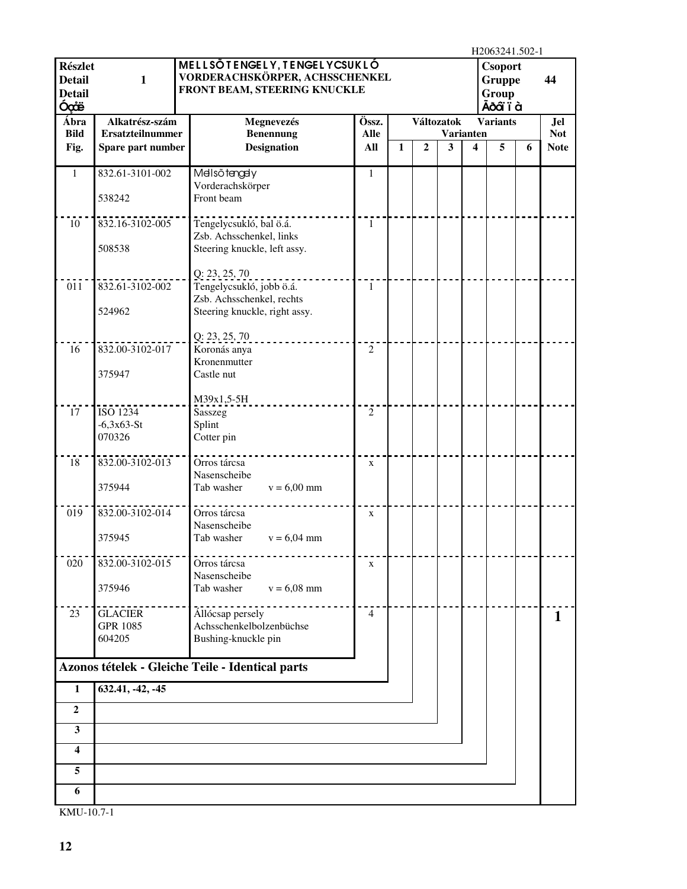|                                                          |                                              |                                                                                                |                    |              |                |            |                                             | H2063241.502-1                                        |   |                           |
|----------------------------------------------------------|----------------------------------------------|------------------------------------------------------------------------------------------------|--------------------|--------------|----------------|------------|---------------------------------------------|-------------------------------------------------------|---|---------------------------|
| <b>Részlet</b><br><b>Detail</b><br><b>Detail</b><br>Óçãë | $\mathbf{1}$                                 | MELLSÕTENGELY, TENGELYCSUKLÓ<br>VORDERACHSKÖRPER, ACHSSCHENKEL<br>FRONT BEAM, STEERING KNUCKLE |                    |              |                |            |                                             | <b>Csoport</b><br><b>Gruppe</b><br>Group<br>Ãõ aï ï à |   | 44                        |
| Ábra                                                     | Alkatrész-szám                               | Megnevezés                                                                                     | Össz.              |              |                | Változatok |                                             | <b>Variants</b>                                       |   | <b>Jel</b>                |
| <b>Bild</b><br>Fig.                                      | <b>Ersatzteilnummer</b><br>Spare part number | <b>Benennung</b><br><b>Designation</b>                                                         | <b>Alle</b><br>All | $\mathbf{1}$ | $\overline{2}$ | 3          | <b>Varianten</b><br>$\overline{\mathbf{4}}$ | 5                                                     | 6 | <b>Not</b><br><b>Note</b> |
|                                                          |                                              |                                                                                                |                    |              |                |            |                                             |                                                       |   |                           |
| 1                                                        | 832.61-3101-002<br>538242                    | Melsőtengely<br>Vorderachskörper<br>Front beam                                                 | 1                  |              |                |            |                                             |                                                       |   |                           |
| 10                                                       | 832.16-3102-005                              | Tengelycsukló, bal ö.á.                                                                        | $\mathbf{1}$       |              |                |            |                                             |                                                       |   |                           |
|                                                          | 508538                                       | Zsb. Achsschenkel, links<br>Steering knuckle, left assy.                                       |                    |              |                |            |                                             |                                                       |   |                           |
| 011                                                      | 832.61-3102-002                              | Q: 23, 25, 70<br>Tengelycsukló, jobb ö.á.<br>Zsb. Achsschenkel, rechts                         | 1                  |              |                |            |                                             |                                                       |   |                           |
|                                                          | 524962                                       | Steering knuckle, right assy.                                                                  |                    |              |                |            |                                             |                                                       |   |                           |
| 16                                                       | 832.00-3102-017                              | Q: 23, 25, 70<br>Koronás anya                                                                  | $\overline{2}$     |              |                |            |                                             |                                                       |   |                           |
|                                                          | 375947                                       | Kronenmutter<br>Castle nut                                                                     |                    |              |                |            |                                             |                                                       |   |                           |
|                                                          |                                              | M39x1,5-5H                                                                                     |                    |              |                |            |                                             |                                                       |   |                           |
| 17                                                       | ISO 1234<br>$-6,3x63-St$                     | Sasszeg                                                                                        | $\overline{2}$     |              |                |            |                                             |                                                       |   |                           |
|                                                          | 070326                                       | Splint<br>Cotter pin                                                                           |                    |              |                |            |                                             |                                                       |   |                           |
| 18                                                       | 832.00-3102-013                              | Orros tárcsa<br>Nasenscheibe                                                                   | $\mathbf X$        |              |                |            |                                             |                                                       |   |                           |
|                                                          | 375944                                       | Tab washer<br>$v = 6,00$ mm                                                                    |                    |              |                |            |                                             |                                                       |   |                           |
| 019                                                      | 832.00-3102-014                              | Orros tárcsa<br>Nasenscheibe                                                                   | $\mathbf X$        |              |                |            |                                             |                                                       |   |                           |
|                                                          | 375945                                       | Tab washer<br>$v = 6,04$ mm                                                                    |                    |              |                |            |                                             |                                                       |   |                           |
| 020                                                      | 832.00-3102-015                              | Orros tárcsa<br>Nasenscheibe                                                                   | $\mathbf X$        |              |                |            |                                             |                                                       |   |                           |
|                                                          | 375946                                       | Tab washer<br>$v = 6,08$ mm                                                                    |                    |              |                |            |                                             |                                                       |   |                           |
| 23                                                       | <b>GLACIER</b>                               | Állócsap persely                                                                               | $\overline{4}$     |              |                |            |                                             |                                                       |   | 1                         |
|                                                          | <b>GPR 1085</b>                              | Achsschenkelbolzenbüchse                                                                       |                    |              |                |            |                                             |                                                       |   |                           |
|                                                          | 604205                                       | Bushing-knuckle pin                                                                            |                    |              |                |            |                                             |                                                       |   |                           |
|                                                          |                                              | Azonos tételek - Gleiche Teile - Identical parts                                               |                    |              |                |            |                                             |                                                       |   |                           |
| $\mathbf{1}$                                             | 632.41, -42, -45                             |                                                                                                |                    |              |                |            |                                             |                                                       |   |                           |
| $\overline{2}$                                           |                                              |                                                                                                |                    |              |                |            |                                             |                                                       |   |                           |
| 3<br>4                                                   |                                              |                                                                                                |                    |              |                |            |                                             |                                                       |   |                           |
| 5                                                        |                                              |                                                                                                |                    |              |                |            |                                             |                                                       |   |                           |
| 6                                                        |                                              |                                                                                                |                    |              |                |            |                                             |                                                       |   |                           |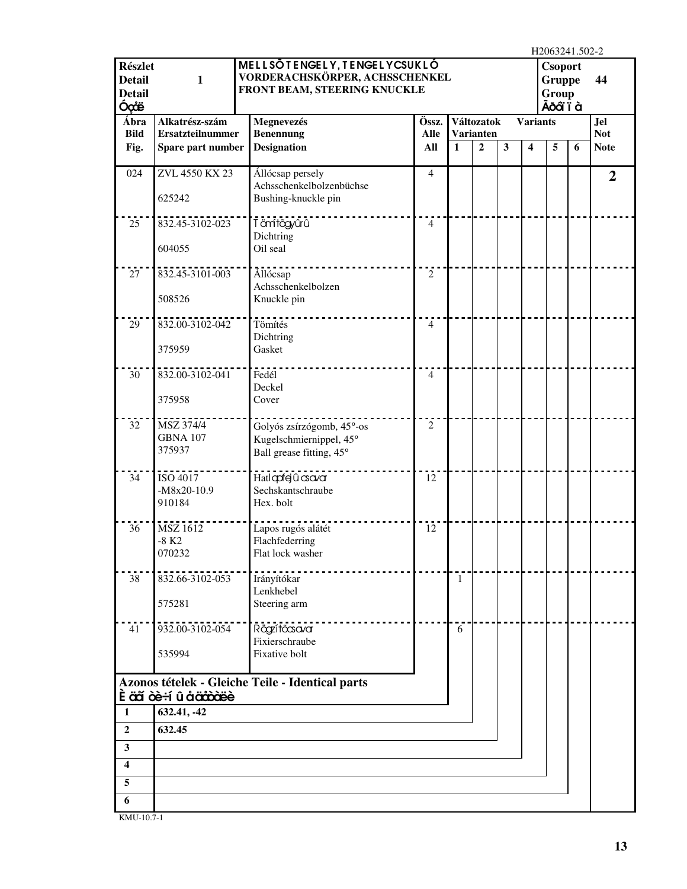|                                                          |                                                  |                                                                                                |                |              |                  |   |                         | H2063241.502-2                                       |   |                |
|----------------------------------------------------------|--------------------------------------------------|------------------------------------------------------------------------------------------------|----------------|--------------|------------------|---|-------------------------|------------------------------------------------------|---|----------------|
| <b>Részlet</b><br><b>Detail</b><br><b>Detail</b><br>Óçãë | $\mathbf{1}$                                     | MELLSÕTENGELY, TENGELYCSUKLÓ<br>VORDERACHSKÖRPER, ACHSSCHENKEL<br>FRONT BEAM, STEERING KNUCKLE |                |              |                  |   |                         | <b>Csoport</b><br><b>Gruppe</b><br>Group<br>Ãðáï ï à |   | 44             |
| Ábra                                                     | Alkatrész-szám                                   | Megnevezés                                                                                     | Össz.          |              | Változatok       |   | <b>Variants</b>         |                                                      |   | <b>Jel</b>     |
| <b>Bild</b>                                              | <b>Ersatzteilnummer</b>                          | <b>Benennung</b>                                                                               | <b>Alle</b>    |              | <b>Varianten</b> |   |                         |                                                      |   | <b>Not</b>     |
| Fig.                                                     | Spare part number                                | <b>Designation</b>                                                                             | All            | $\mathbf{1}$ | $\overline{2}$   | 3 | $\overline{\mathbf{4}}$ | 5                                                    | 6 | <b>Note</b>    |
| 024                                                      | ZVL 4550 KX 23<br>625242                         | Állócsap persely<br>Achsschenkelbolzenbüchse<br>Bushing-knuckle pin                            | 4              |              |                  |   |                         |                                                      |   | $\overline{2}$ |
| 25                                                       | 832.45-3102-023<br>604055                        | Tämftögyûrû<br>Dichtring<br>Oil seal                                                           | $\overline{4}$ |              |                  |   |                         |                                                      |   |                |
|                                                          |                                                  |                                                                                                |                |              |                  |   |                         |                                                      |   |                |
| 27                                                       | 832.45-3101-003<br>508526                        | Állócsap<br>Achsschenkelbolzen<br>Knuckle pin                                                  | $\overline{2}$ |              |                  |   |                         |                                                      |   |                |
| 29                                                       | 832.00-3102-042<br>375959                        | Tömítés<br>Dichtring<br>Gasket                                                                 | $\overline{4}$ |              |                  |   |                         |                                                      |   |                |
|                                                          |                                                  |                                                                                                |                |              |                  |   |                         |                                                      |   |                |
| 30                                                       | 832.00-3102-041<br>375958                        | Fedél<br>Deckel<br>Cover                                                                       | $\overline{4}$ |              |                  |   |                         |                                                      |   |                |
|                                                          |                                                  |                                                                                                |                |              |                  |   |                         |                                                      |   |                |
| 32                                                       | MSZ 374/4<br><b>GBNA 107</b><br>375937           | Golyós zsírzógomb, 45°-os<br>Kugelschmiernippel, 45°<br>Ball grease fitting, 45°               | $\overline{2}$ |              |                  |   |                         |                                                      |   |                |
| 34                                                       | ISO 4017<br>$-M8x20-10.9$<br>910184              | Hatlqdfejûcsova<br>Sechskantschraube<br>Hex. bolt                                              | 12             |              |                  |   |                         |                                                      |   |                |
| 36                                                       | <b>MSZ 1612</b><br>$-8$ K <sub>2</sub><br>070232 | Lapos rugós alátét<br>Flachfederring<br>Flat lock washer                                       | 12             |              |                  |   |                         |                                                      |   |                |
| 38                                                       | 832.66-3102-053<br>575281                        | Irányítókar<br>Lenkhebel<br>Steering arm                                                       |                | $\mathbf{1}$ |                  |   |                         |                                                      |   |                |
|                                                          |                                                  |                                                                                                |                |              |                  |   |                         |                                                      |   |                |
| 41                                                       | 932.00-3102-054                                  | Rögzítőcsavar<br>Fixierschraube                                                                |                | 6            |                  |   |                         |                                                      |   |                |
|                                                          | 535994                                           | Fixative bolt                                                                                  |                |              |                  |   |                         |                                                      |   |                |
|                                                          | <b>È aã ce÷í û å a<del>ccoce</del>e</b>          | Azonos tételek - Gleiche Teile - Identical parts                                               |                |              |                  |   |                         |                                                      |   |                |
| 1                                                        | 632.41, -42                                      |                                                                                                |                |              |                  |   |                         |                                                      |   |                |
| $\overline{2}$                                           | 632.45                                           |                                                                                                |                |              |                  |   |                         |                                                      |   |                |
| $\overline{\mathbf{3}}$                                  |                                                  |                                                                                                |                |              |                  |   |                         |                                                      |   |                |
| $\boldsymbol{4}$                                         |                                                  |                                                                                                |                |              |                  |   |                         |                                                      |   |                |
| 5                                                        |                                                  |                                                                                                |                |              |                  |   |                         |                                                      |   |                |
| 6                                                        |                                                  |                                                                                                |                |              |                  |   |                         |                                                      |   |                |
|                                                          |                                                  |                                                                                                |                |              |                  |   |                         |                                                      |   |                |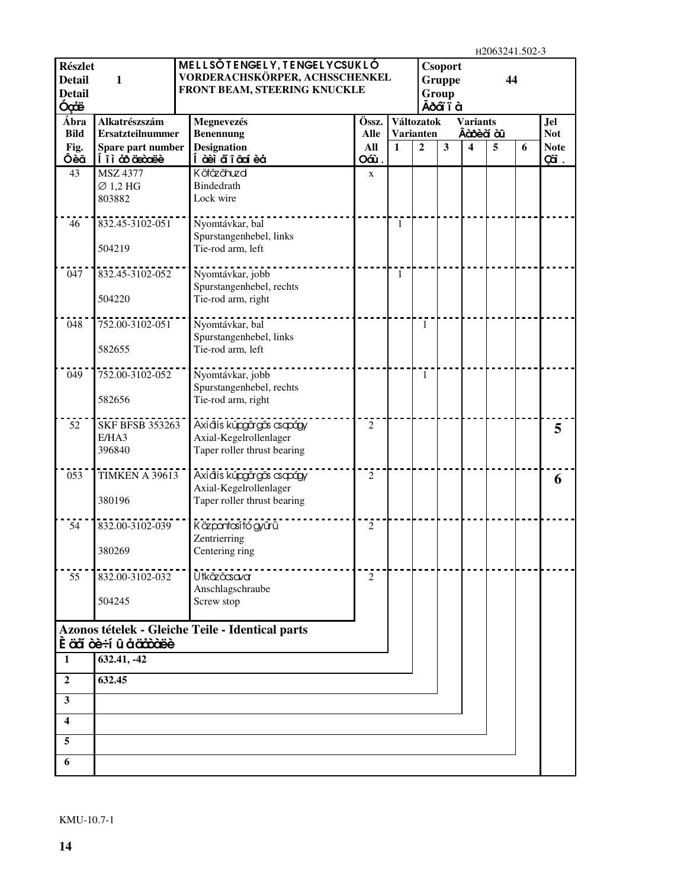$H2063241.502-3$ 

| <b>Részlet</b>                 |                                    | MELLSÖTENGELY, TENGELYCSUKLÓ                                   |                |    |                | Csoport                |                 | H2003241.302-3 |   |                    |
|--------------------------------|------------------------------------|----------------------------------------------------------------|----------------|----|----------------|------------------------|-----------------|----------------|---|--------------------|
| <b>Detail</b><br><b>Detail</b> | 1                                  | VORDERACHSKÖRPER, ACHSSCHENKEL<br>FRONT BEAM, STEERING KNUCKLE |                |    |                | <b>Gruppe</b><br>Group |                 | 44             |   |                    |
| Óçãë                           |                                    |                                                                |                |    |                | Ãõ dï ï à              |                 |                |   |                    |
| Ábra                           | Alkatrészszám                      | Megnevezés                                                     | Össz.          |    | Változatok     |                        | <b>Variants</b> |                |   | <b>Jel</b>         |
| <b>Bild</b>                    | <b>Ersatzteilnummer</b>            | <b>Benennung</b>                                               | <b>Alle</b>    |    | Varianten      |                        | Âàôèà àû        |                |   | <b>Not</b>         |
| Fig.<br>Ôèã                    | Spare part number<br>li à äncöarde | <b>Designation</b><br>Í à èì ἄ î â cí è å                      | All<br>Oáù.    | 1  | $\overline{2}$ | $\mathbf{3}$           | 4               | 5              | 6 | <b>Note</b><br>çã. |
| 43                             | <b>MSZ 4377</b>                    | Kötäzõhuzd                                                     | X              |    |                |                        |                 |                |   |                    |
|                                | $\varnothing$ 1,2 HG               | Bindedrath                                                     |                |    |                |                        |                 |                |   |                    |
|                                | 803882                             | Lock wire                                                      |                |    |                |                        |                 |                |   |                    |
| 46                             | 832.45-3102-051                    | Nyomtávkar, bal                                                |                | 1  |                |                        |                 |                |   |                    |
|                                |                                    | Spurstangenhebel, links                                        |                |    |                |                        |                 |                |   |                    |
|                                | 504219                             | Tie-rod arm, left                                              |                |    |                |                        |                 |                |   |                    |
| 047                            | 832.45-3102-052                    | Nyomtávkar, jobb                                               |                | -1 |                |                        |                 |                |   |                    |
|                                |                                    | Spurstangenhebel, rechts                                       |                |    |                |                        |                 |                |   |                    |
|                                | 504220                             | Tie-rod arm, right                                             |                |    |                |                        |                 |                |   |                    |
| 048                            | 752.00-3102-051                    | Nyomtávkar, bal                                                |                |    | 1              |                        |                 |                |   |                    |
|                                |                                    | Spurstangenhebel, links                                        |                |    |                |                        |                 |                |   |                    |
|                                | 582655                             | Tie-rod arm, left                                              |                |    |                |                        |                 |                |   |                    |
| 049                            | 752.00-3102-052                    | Nyomtávkar, jobb                                               |                |    | 1              |                        |                 |                |   |                    |
|                                | 582656                             | Spurstangenhebel, rechts<br>Tie-rod arm, right                 |                |    |                |                        |                 |                |   |                    |
|                                |                                    |                                                                |                |    |                |                        |                 |                |   |                    |
| 52                             | <b>SKF BFSB 353263</b>             | Axiáis kúpgärgās csapágy                                       | $\overline{c}$ |    |                |                        |                 |                |   | 5                  |
|                                | E/HA3                              | Axial-Kegelrollenlager                                         |                |    |                |                        |                 |                |   |                    |
|                                | 396840                             | Taper roller thrust bearing                                    |                |    |                |                        |                 |                |   |                    |
| 053                            | <b>TIMKEN A 39613</b>              | Axiáis kúpgörgös csapágy                                       | $\overline{2}$ |    |                |                        |                 |                |   | 6                  |
|                                |                                    | Axial-Kegelrollenlager                                         |                |    |                |                        |                 |                |   |                    |
|                                | 380196                             | Taper roller thrust bearing                                    |                |    |                |                        |                 |                |   |                    |
| 54                             | 832.00-3102-039                    | Käzpontosító gyûrû                                             | 2              |    |                |                        |                 |                |   |                    |
|                                |                                    | Zentrierring                                                   |                |    |                |                        |                 |                |   |                    |
|                                | 380269                             | Centering ring                                                 |                |    |                |                        |                 |                |   |                    |
| 55                             | 832.00-3102-032                    | Ütkäzöcsavar                                                   | 2              |    |                |                        |                 |                |   |                    |
|                                |                                    | Anschlagschraube                                               |                |    |                |                        |                 |                |   |                    |
|                                | 504245                             | Screw stop                                                     |                |    |                |                        |                 |                |   |                    |
|                                |                                    | Azonos tételek - Gleiche Teile - Identical parts               |                |    |                |                        |                 |                |   |                    |
|                                | <b>Ěäã òè÷í û åäåòäëè</b>          |                                                                |                |    |                |                        |                 |                |   |                    |
| 1                              | 632.41, -42                        |                                                                |                |    |                |                        |                 |                |   |                    |
| $\boldsymbol{2}$               | 632.45                             |                                                                |                |    |                |                        |                 |                |   |                    |
| 3                              |                                    |                                                                |                |    |                |                        |                 |                |   |                    |
| 4                              |                                    |                                                                |                |    |                |                        |                 |                |   |                    |
| 5                              |                                    |                                                                |                |    |                |                        |                 |                |   |                    |
| 6                              |                                    |                                                                |                |    |                |                        |                 |                |   |                    |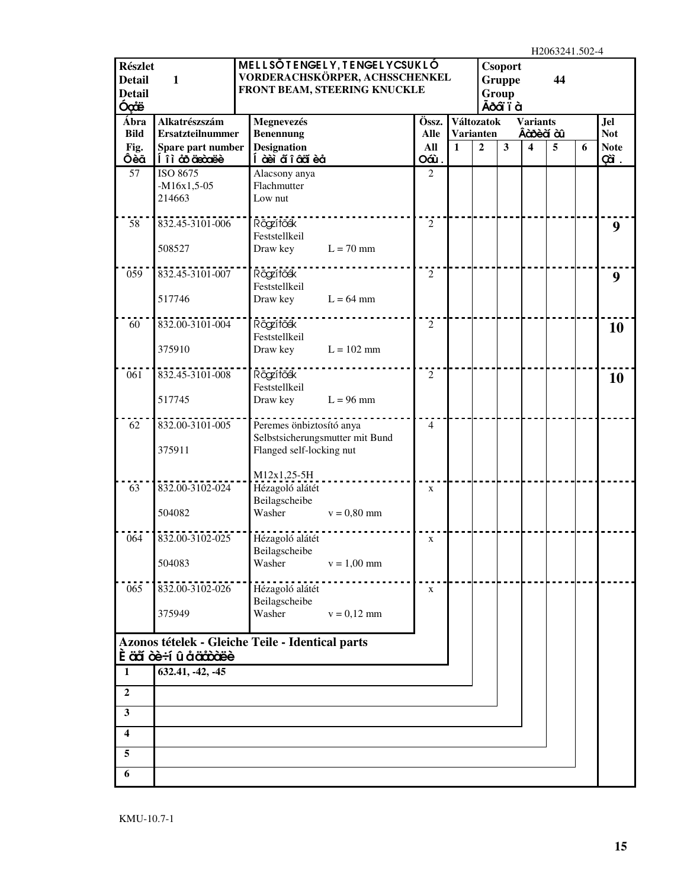H2063241.502-4

| <b>Részlet</b><br><b>Detail</b><br><b>Detail</b><br>Óçãe | $\mathbf{1}$                                                                    |                                        | MELLSÖTENGELY, TENGELYCSUKLÓ<br>VORDERACHSKÖRPER, ACHSSCHENKEL<br>FRONT BEAM, STEERING KNUCKLE |                    |              |                                    | <b>Csoport</b><br><b>Gruppe</b><br>Group<br>Ãõ dï ï à |                  | 11200 <i>32</i> 71. <i>302</i><br>44 |   |                           |
|----------------------------------------------------------|---------------------------------------------------------------------------------|----------------------------------------|------------------------------------------------------------------------------------------------|--------------------|--------------|------------------------------------|-------------------------------------------------------|------------------|--------------------------------------|---|---------------------------|
| Ábra                                                     | Alkatrészszám                                                                   | Megnevezés                             |                                                                                                | Össz.              |              | Változatok                         |                                                       | <b>Variants</b>  |                                      |   | <b>Jel</b>                |
| <b>Bild</b><br>Fig.                                      | <b>Ersatzteilnummer</b><br>Spare part number                                    | <b>Benennung</b><br><b>Designation</b> |                                                                                                | <b>Alle</b><br>All | $\mathbf{1}$ | <b>Varianten</b><br>$\overline{2}$ | $\mathbf{3}$                                          | Âà bè à à l<br>4 | 5                                    | 6 | <b>Not</b><br><b>Note</b> |
| Ôèã                                                      | li à coice                                                                      | Í à eì aí î â aï è a                   |                                                                                                | Oáù.               |              |                                    |                                                       |                  |                                      |   | çã.                       |
| 57                                                       | ISO 8675                                                                        | Alacsony anya                          |                                                                                                | $\overline{2}$     |              |                                    |                                                       |                  |                                      |   |                           |
|                                                          | $-M16x1,5-05$<br>214663                                                         | Flachmutter<br>Low nut                 |                                                                                                |                    |              |                                    |                                                       |                  |                                      |   |                           |
|                                                          |                                                                                 |                                        |                                                                                                |                    |              |                                    |                                                       |                  |                                      |   |                           |
| 58                                                       | 832.45-3101-006                                                                 | Rögzítőék                              |                                                                                                | $\overline{2}$     |              |                                    |                                                       |                  |                                      |   | 9                         |
|                                                          | 508527                                                                          | Feststellkeil<br>Draw key              | $L = 70$ mm                                                                                    |                    |              |                                    |                                                       |                  |                                      |   |                           |
|                                                          |                                                                                 |                                        |                                                                                                |                    |              |                                    |                                                       |                  |                                      |   |                           |
| 059                                                      | 832.45-3101-007                                                                 | Rögzítőék                              |                                                                                                | $\overline{2}$     |              |                                    |                                                       |                  |                                      |   | 9                         |
|                                                          |                                                                                 | Feststellkeil                          |                                                                                                |                    |              |                                    |                                                       |                  |                                      |   |                           |
|                                                          | 517746                                                                          | Draw key                               | $L = 64$ mm                                                                                    |                    |              |                                    |                                                       |                  |                                      |   |                           |
| 60                                                       | 832.00-3101-004                                                                 | Rögzítőék                              |                                                                                                | $\overline{2}$     |              |                                    |                                                       |                  |                                      |   | 10                        |
|                                                          |                                                                                 | Feststellkeil                          |                                                                                                |                    |              |                                    |                                                       |                  |                                      |   |                           |
|                                                          | 375910                                                                          | Draw key                               | $L = 102$ mm                                                                                   |                    |              |                                    |                                                       |                  |                                      |   |                           |
| 061                                                      | 832.45-3101-008                                                                 | Rögzítőék                              |                                                                                                | $\mathfrak{2}$     |              |                                    |                                                       |                  |                                      |   | 10                        |
|                                                          |                                                                                 | Feststellkeil                          |                                                                                                |                    |              |                                    |                                                       |                  |                                      |   |                           |
|                                                          | 517745                                                                          | Draw key                               | $L = 96$ mm                                                                                    |                    |              |                                    |                                                       |                  |                                      |   |                           |
| 62                                                       | 832.00-3101-005                                                                 | Peremes önbiztosító anya               |                                                                                                | 4                  |              |                                    |                                                       |                  |                                      |   |                           |
|                                                          |                                                                                 |                                        | Selbstsicherungsmutter mit Bund                                                                |                    |              |                                    |                                                       |                  |                                      |   |                           |
|                                                          | 375911                                                                          | Flanged self-locking nut               |                                                                                                |                    |              |                                    |                                                       |                  |                                      |   |                           |
|                                                          |                                                                                 | M12x1,25-5H                            |                                                                                                |                    |              |                                    |                                                       |                  |                                      |   |                           |
| 63                                                       | 832.00-3102-024                                                                 | Hézagoló alátét                        |                                                                                                | $\mathbf X$        |              |                                    |                                                       |                  |                                      |   |                           |
|                                                          | 504082                                                                          | Beilagscheibe<br>Washer                | $v = 0,80$ mm                                                                                  |                    |              |                                    |                                                       |                  |                                      |   |                           |
|                                                          |                                                                                 |                                        |                                                                                                |                    |              |                                    |                                                       |                  |                                      |   |                           |
| 064                                                      | 832.00-3102-025                                                                 | Hézagoló alátét                        |                                                                                                | X                  |              |                                    |                                                       |                  |                                      |   |                           |
|                                                          |                                                                                 | Beilagscheibe                          |                                                                                                |                    |              |                                    |                                                       |                  |                                      |   |                           |
|                                                          | 504083                                                                          | Washer                                 | $v = 1,00$ mm                                                                                  |                    |              |                                    |                                                       |                  |                                      |   |                           |
| 065                                                      | 832.00-3102-026                                                                 | Hézagoló alátét                        |                                                                                                | $\mathbf X$        |              |                                    |                                                       |                  |                                      |   |                           |
|                                                          |                                                                                 | Beilagscheibe                          |                                                                                                |                    |              |                                    |                                                       |                  |                                      |   |                           |
|                                                          | 375949                                                                          | Washer                                 | $v = 0.12$ mm                                                                                  |                    |              |                                    |                                                       |                  |                                      |   |                           |
|                                                          | Azonos tételek - Gleiche Teile - Identical parts<br><b>È äã òè÷í û å äåòàëè</b> |                                        |                                                                                                |                    |              |                                    |                                                       |                  |                                      |   |                           |
| 1                                                        | $\overline{632.41}$ , -42, -45                                                  |                                        |                                                                                                |                    |              |                                    |                                                       |                  |                                      |   |                           |
| $\boldsymbol{2}$                                         |                                                                                 |                                        |                                                                                                |                    |              |                                    |                                                       |                  |                                      |   |                           |
| $\mathbf{3}$                                             |                                                                                 |                                        |                                                                                                |                    |              |                                    |                                                       |                  |                                      |   |                           |
| $\overline{\mathbf{4}}$                                  |                                                                                 |                                        |                                                                                                |                    |              |                                    |                                                       |                  |                                      |   |                           |
|                                                          |                                                                                 |                                        |                                                                                                |                    |              |                                    |                                                       |                  |                                      |   |                           |
| 5                                                        |                                                                                 |                                        |                                                                                                |                    |              |                                    |                                                       |                  |                                      |   |                           |
| 6                                                        |                                                                                 |                                        |                                                                                                |                    |              |                                    |                                                       |                  |                                      |   |                           |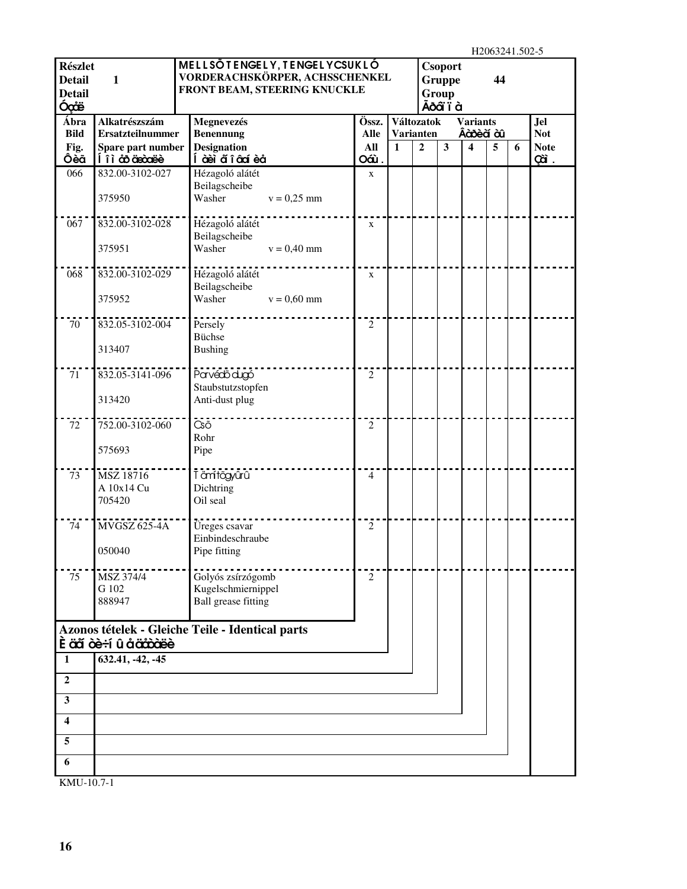$H20632415025$ 

| <b>Részlet</b><br><b>Detail</b><br><b>Detail</b><br>Óçãe | $\mathbf{1}$                               | MELLSÕTENGELY, TENGELYCSUKLÓ<br>VORDERACHSKÖRPER, ACHSSCHENKEL<br>FRONT BEAM, STEERING KNUCKLE |                |                  |                | <b>Csoport</b><br>Gruppe<br>Group<br>Ãõ dï ï à |                 | H <sub>2</sub> V <sub>0</sub> 3241.302-3<br>44 |   |                    |
|----------------------------------------------------------|--------------------------------------------|------------------------------------------------------------------------------------------------|----------------|------------------|----------------|------------------------------------------------|-----------------|------------------------------------------------|---|--------------------|
| Ábra                                                     | Alkatrészszám                              | Megnevezés                                                                                     | Össz.          | Változatok       |                |                                                | <b>Variants</b> |                                                |   | <b>Jel</b>         |
| <b>Bild</b>                                              | <b>Ersatzteilnummer</b>                    | <b>Benennung</b>                                                                               | <b>Alle</b>    | <b>Varianten</b> |                |                                                | Âàõ è à à l     |                                                |   | <b>Not</b>         |
| Fig.<br>Ôèã                                              | Spare part number<br><u>Í î ì co coase</u> | <b>Designation</b><br>Í àèi a๊ î â cí è a                                                      | All<br>Oáù.    | $\mathbf{1}$     | $\overline{2}$ | $\overline{\mathbf{3}}$                        | 4               | 5                                              | 6 | <b>Note</b><br>çã. |
| 066                                                      | 832.00-3102-027                            | Hézagoló alátét                                                                                | $\mathbf X$    |                  |                |                                                |                 |                                                |   |                    |
|                                                          |                                            | Beilagscheibe                                                                                  |                |                  |                |                                                |                 |                                                |   |                    |
|                                                          | 375950                                     | Washer<br>$v = 0,25$ mm                                                                        |                |                  |                |                                                |                 |                                                |   |                    |
| 067                                                      | 832.00-3102-028                            | Hézagoló alátét                                                                                | $\mathbf X$    |                  |                |                                                |                 |                                                |   |                    |
|                                                          | 375951                                     | Beilagscheibe<br>Washer<br>$v = 0,40$ mm                                                       |                |                  |                |                                                |                 |                                                |   |                    |
| 068                                                      | 832.00-3102-029                            | Hézagoló alátét                                                                                | $\mathbf X$    |                  |                |                                                |                 |                                                |   |                    |
|                                                          | 375952                                     | Beilagscheibe<br>Washer<br>$v = 0,60$ mm                                                       |                |                  |                |                                                |                 |                                                |   |                    |
| 70                                                       | 832.05-3102-004                            | Persely                                                                                        | $\overline{2}$ |                  |                |                                                |                 |                                                |   |                    |
|                                                          |                                            | <b>Büchse</b>                                                                                  |                |                  |                |                                                |                 |                                                |   |                    |
|                                                          | 313407                                     | <b>Bushing</b>                                                                                 |                |                  |                |                                                |                 |                                                |   |                    |
| 71                                                       | 832.05-3141-096                            | Parvédő dugó<br>Staubstutzstopfen                                                              | $\overline{2}$ |                  |                |                                                |                 |                                                |   |                    |
|                                                          | 313420                                     | Anti-dust plug                                                                                 |                |                  |                |                                                |                 |                                                |   |                    |
| 72                                                       | 752.00-3102-060                            | $\bar{c}$ $\bar{c}$                                                                            | $\overline{2}$ |                  |                |                                                |                 |                                                |   |                    |
|                                                          |                                            | Rohr                                                                                           |                |                  |                |                                                |                 |                                                |   |                    |
|                                                          | 575693                                     | Pipe                                                                                           |                |                  |                |                                                |                 |                                                |   |                    |
| 73                                                       | MSZ 18716                                  | Tämtögyűrű                                                                                     | $\overline{4}$ |                  |                |                                                |                 |                                                |   |                    |
|                                                          | A 10x14 Cu                                 | Dichtring                                                                                      |                |                  |                |                                                |                 |                                                |   |                    |
|                                                          | 705420                                     | Oil seal                                                                                       |                |                  |                |                                                |                 |                                                |   |                    |
| 74                                                       | <b>MVGSZ 625-4A</b>                        | Üreges csavar                                                                                  | $\overline{2}$ |                  |                |                                                |                 |                                                |   |                    |
|                                                          |                                            | Einbindeschraube                                                                               |                |                  |                |                                                |                 |                                                |   |                    |
|                                                          | 050040                                     | Pipe fitting                                                                                   |                |                  |                |                                                |                 |                                                |   |                    |
| 75                                                       | MSZ 374/4                                  | Golyós zsírzógomb                                                                              | $\overline{2}$ |                  |                |                                                |                 |                                                |   |                    |
|                                                          | G 102                                      | Kugelschmiernippel                                                                             |                |                  |                |                                                |                 |                                                |   |                    |
|                                                          | 888947                                     | <b>Ball</b> grease fitting                                                                     |                |                  |                |                                                |                 |                                                |   |                    |
|                                                          |                                            | Azonos tételek - Gleiche Teile - Identical parts                                               |                |                  |                |                                                |                 |                                                |   |                    |
|                                                          | È aã òè÷í û å äåòàëè                       |                                                                                                |                |                  |                |                                                |                 |                                                |   |                    |
| 1                                                        | 632.41, -42, -45                           |                                                                                                |                |                  |                |                                                |                 |                                                |   |                    |
| $\overline{2}$                                           |                                            |                                                                                                |                |                  |                |                                                |                 |                                                |   |                    |
| $\mathbf{3}$                                             |                                            |                                                                                                |                |                  |                |                                                |                 |                                                |   |                    |
| $\overline{\mathbf{4}}$                                  |                                            |                                                                                                |                |                  |                |                                                |                 |                                                |   |                    |
| $\sqrt{5}$                                               |                                            |                                                                                                |                |                  |                |                                                |                 |                                                |   |                    |
| 6                                                        |                                            |                                                                                                |                |                  |                |                                                |                 |                                                |   |                    |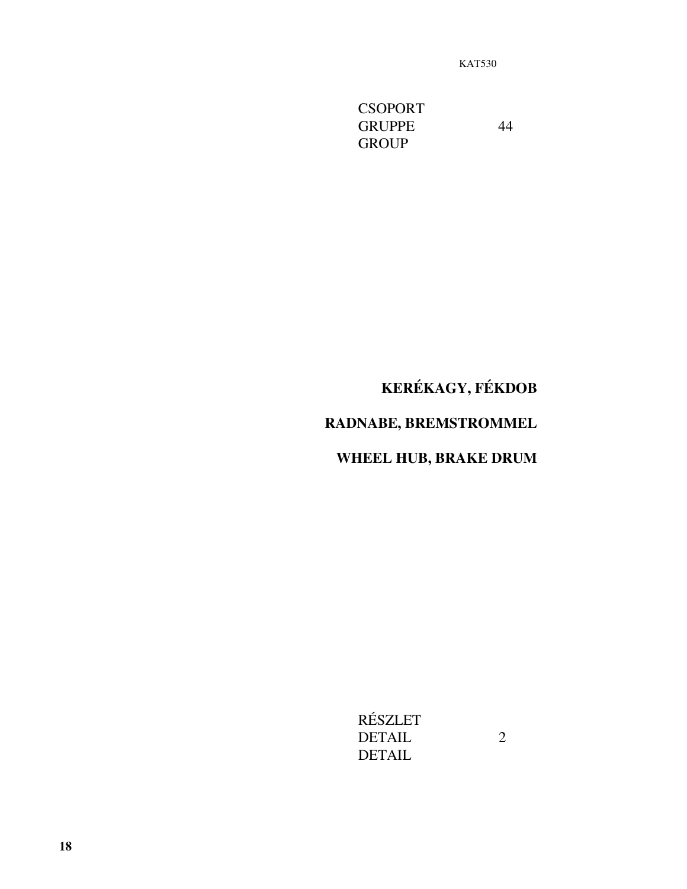**CSOPORT** GRUPPE 44 **GROUP** 

## **KERÉKAGY, FÉKDOB**

## **RADNABE, BREMSTROMMEL**

## **WHEEL HUB, BRAKE DRUM**

RÉSZLET DETAIL 2 DETAIL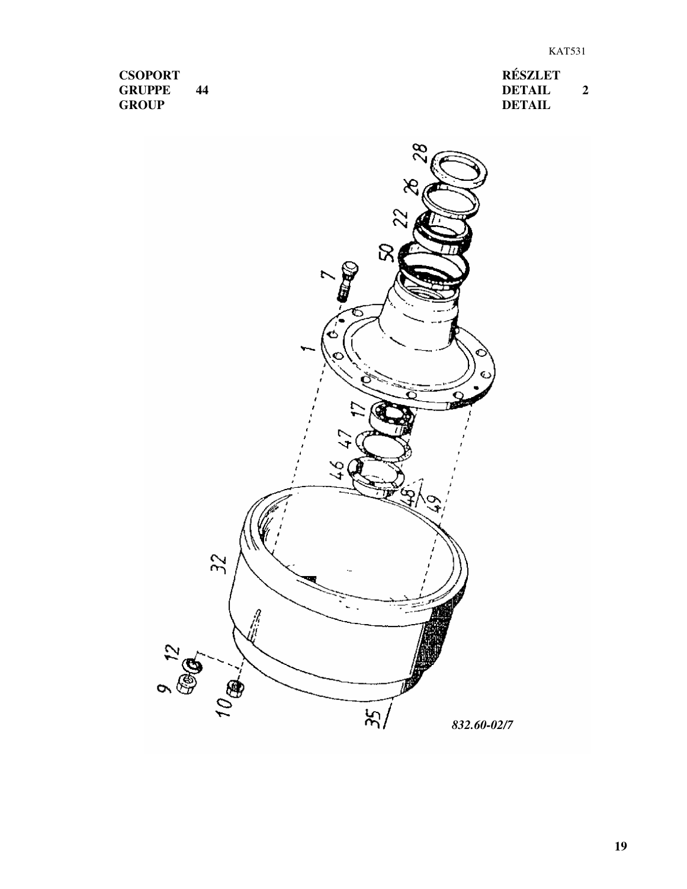**RÉSZLET DETAIL 2 DETAIL**

**CSOPORT GRUPPE 44 GROUP**

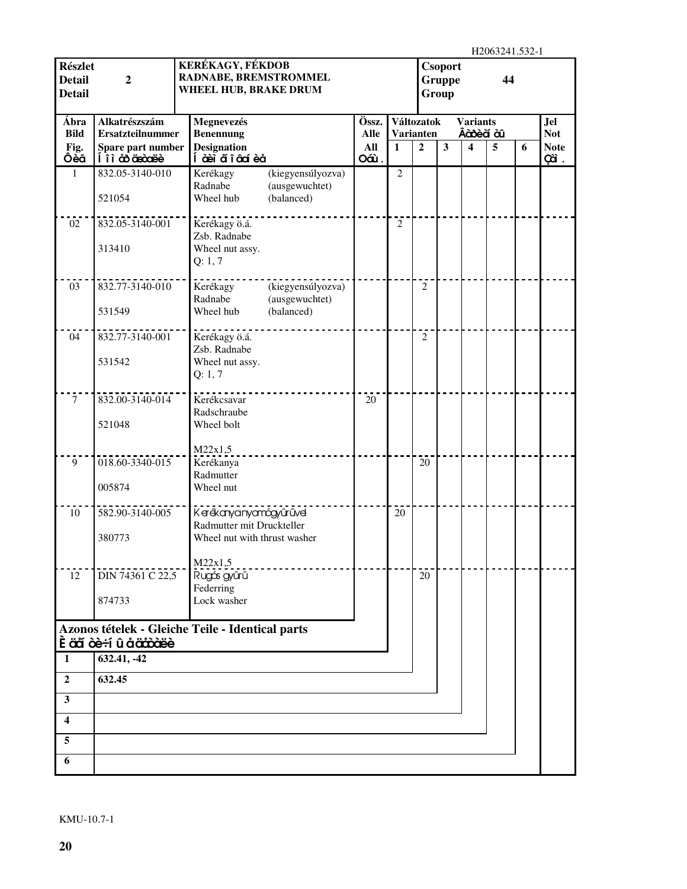H2063241.532-1

| <b>Részlet</b><br><b>Detail</b><br><b>Detail</b> | $\mathbf 2$                              | KERÉKAGY, FÉKDOB<br>RADNABE, BREMSTROMMEL<br>WHEEL HUB, BRAKE DRUM                    |                      |                |                                | <b>Csoport</b><br><b>Gruppe</b><br>Group |                                | 11200 <i>32</i> 41. <i>332</i> -1<br>44 |   |                          |
|--------------------------------------------------|------------------------------------------|---------------------------------------------------------------------------------------|----------------------|----------------|--------------------------------|------------------------------------------|--------------------------------|-----------------------------------------|---|--------------------------|
| Ábra<br><b>Bild</b>                              | Alkatrészszám<br><b>Ersatzteilnummer</b> | Megnevezés                                                                            | Össz.<br><b>Alle</b> |                | Változatok<br><b>Varianten</b> |                                          | <b>Variants</b><br>Âà bè à à û |                                         |   | <b>Jel</b><br><b>Not</b> |
| Fig.                                             | Spare part number                        | <b>Benennung</b><br><b>Designation</b>                                                | All                  | $\mathbf{1}$   | $\overline{2}$                 | $\mathbf{3}$                             | 4                              | 5                                       | 6 | <b>Note</b>              |
| Ôèã                                              | Í î ì co coase                           | Í à èi a๊ î â cí è a                                                                  | Oáù.                 |                |                                |                                          |                                |                                         |   | çã.                      |
| 1                                                | 832.05-3140-010<br>521054                | (kiegyensúlyozva)<br>Kerékagy<br>Radnabe<br>(ausgewuchtet)<br>Wheel hub<br>(balanced) |                      | $\overline{2}$ |                                |                                          |                                |                                         |   |                          |
| 02                                               | 832.05-3140-001                          | Kerékagy ö.á.                                                                         |                      | $\overline{2}$ |                                |                                          |                                |                                         |   |                          |
|                                                  | 313410                                   | Zsb. Radnabe<br>Wheel nut assy.<br>Q: 1, 7                                            |                      |                |                                |                                          |                                |                                         |   |                          |
| 03                                               | 832.77-3140-010                          | Kerékagy<br>(kiegyensúlyozva)<br>Radnabe<br>(ausgewuchtet)                            |                      |                | 2                              |                                          |                                |                                         |   |                          |
|                                                  | 531549                                   | Wheel hub<br>(balanced)                                                               |                      |                |                                |                                          |                                |                                         |   |                          |
| 04                                               | 832.77-3140-001                          | Kerékagy ö.á.<br>Zsb. Radnabe                                                         |                      |                | 2                              |                                          |                                |                                         |   |                          |
|                                                  | 531542                                   | Wheel nut assy.<br>Q: 1, 7                                                            |                      |                |                                |                                          |                                |                                         |   |                          |
| $\tau$                                           | 832.00-3140-014                          | Kerékcsavar<br>Radschraube                                                            | 20                   |                |                                |                                          |                                |                                         |   |                          |
|                                                  | 521048                                   | Wheel bolt                                                                            |                      |                |                                |                                          |                                |                                         |   |                          |
| 9                                                | 018.60-3340-015                          | M22x1,5<br>Kerékanya                                                                  |                      |                | 20                             |                                          |                                |                                         |   |                          |
|                                                  | 005874                                   | Radmutter<br>Wheel nut                                                                |                      |                |                                |                                          |                                |                                         |   |                          |
| 10                                               | 582.90-3140-005                          | Kerékanyanyamágyűrűvel<br>Radmutter mit Druckteller                                   |                      | 20             |                                |                                          |                                |                                         |   |                          |
|                                                  | 380773                                   | Wheel nut with thrust washer                                                          |                      |                |                                |                                          |                                |                                         |   |                          |
| 12                                               | DIN 74361 C 22,5                         | M22x1,5<br>Rugás gyûrû                                                                |                      |                | 20                             |                                          |                                |                                         |   |                          |
|                                                  | 874733                                   | Federring<br>Lock washer                                                              |                      |                |                                |                                          |                                |                                         |   |                          |
|                                                  |                                          | Azonos tételek - Gleiche Teile - Identical parts                                      |                      |                |                                |                                          |                                |                                         |   |                          |
|                                                  | <b>È äã òè÷í û å äåòàëè</b>              |                                                                                       |                      |                |                                |                                          |                                |                                         |   |                          |
| 1                                                | 632.41, -42                              |                                                                                       |                      |                |                                |                                          |                                |                                         |   |                          |
| $\overline{2}$                                   | 632.45                                   |                                                                                       |                      |                |                                |                                          |                                |                                         |   |                          |
| $\mathbf{3}$                                     |                                          |                                                                                       |                      |                |                                |                                          |                                |                                         |   |                          |
| 4                                                |                                          |                                                                                       |                      |                |                                |                                          |                                |                                         |   |                          |
| 5<br>6                                           |                                          |                                                                                       |                      |                |                                |                                          |                                |                                         |   |                          |
|                                                  |                                          |                                                                                       |                      |                |                                |                                          |                                |                                         |   |                          |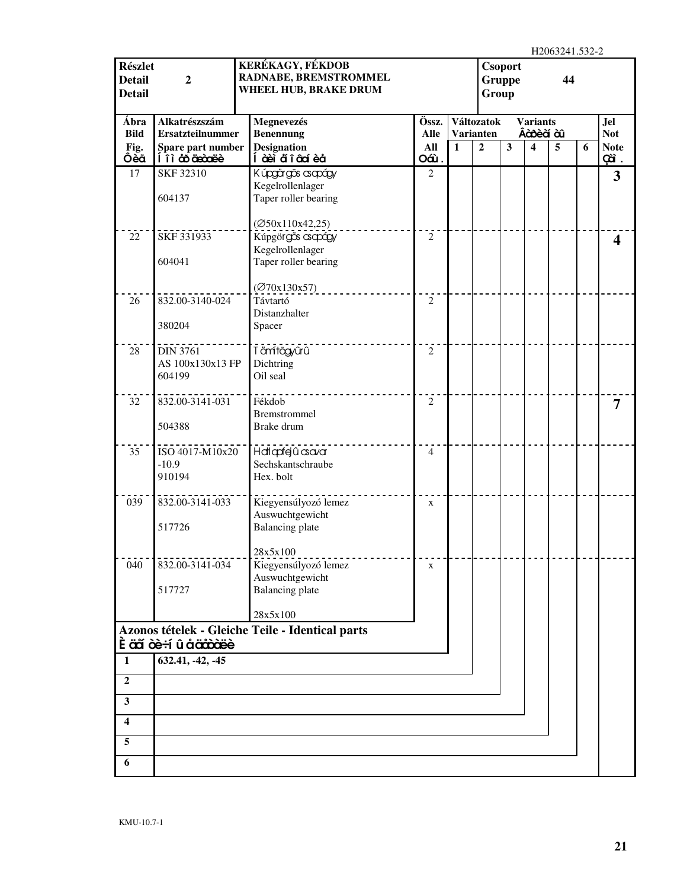| <b>Részlet</b>                 |                                      | KERÉKAGY, FÉKDOB                                      |                |              |                  | <b>Csoport</b> |                         | 11200 <i>32</i> 41. <i>332</i> -2 |   |                    |
|--------------------------------|--------------------------------------|-------------------------------------------------------|----------------|--------------|------------------|----------------|-------------------------|-----------------------------------|---|--------------------|
| <b>Detail</b><br><b>Detail</b> | $\boldsymbol{2}$                     | <b>RADNABE, BREMSTROMMEL</b><br>WHEEL HUB, BRAKE DRUM |                |              | Group            | <b>Gruppe</b>  |                         | 44                                |   |                    |
|                                |                                      |                                                       |                |              |                  |                |                         |                                   |   |                    |
| Ábra                           | Alkatrészszám                        | Megnevezés                                            | Össz.          |              | Változatok       |                | <b>Variants</b>         |                                   |   | <b>Jel</b>         |
| <b>Bild</b>                    | <b>Ersatzteilnummer</b>              | <b>Benennung</b>                                      | <b>Alle</b>    |              | <b>Varianten</b> |                | Âà bè à à l             |                                   |   | <b>Not</b>         |
| Fig.<br>Ôèã                    | Spare part number<br>Í îì co arceixe | <b>Designation</b><br>Í àèi a๊ î âaí èå               | All<br>Oáù.    | $\mathbf{1}$ | $\overline{2}$   | $\mathbf{3}$   | $\overline{\mathbf{4}}$ | 5                                 | 6 | <b>Note</b><br>çã. |
| 17                             | SKF 32310                            | Kúpgärgās asapágy                                     | $\overline{2}$ |              |                  |                |                         |                                   |   | $\mathbf{3}$       |
|                                |                                      | Kegelrollenlager                                      |                |              |                  |                |                         |                                   |   |                    |
|                                | 604137                               | Taper roller bearing                                  |                |              |                  |                |                         |                                   |   |                    |
|                                |                                      | (Ø50x110x42,25)                                       |                |              |                  |                |                         |                                   |   |                    |
| 22                             | SKF 331933                           | Kúpgörgős csapágy                                     | $\mathfrak{2}$ |              |                  |                |                         |                                   |   | 4                  |
|                                |                                      | Kegelrollenlager                                      |                |              |                  |                |                         |                                   |   |                    |
|                                | 604041                               | Taper roller bearing                                  |                |              |                  |                |                         |                                   |   |                    |
|                                |                                      | $(\emptyset$ 70x130x57)                               |                |              |                  |                |                         |                                   |   |                    |
| 26                             | 832.00-3140-024                      | Távtartó                                              | $\overline{2}$ |              |                  |                |                         |                                   |   |                    |
|                                | 380204                               | Distanzhalter<br>Spacer                               |                |              |                  |                |                         |                                   |   |                    |
|                                |                                      |                                                       |                |              |                  |                |                         |                                   |   |                    |
| 28                             | <b>DIN 3761</b>                      | Tämftögyûrû                                           | $\overline{2}$ |              |                  |                |                         |                                   |   |                    |
|                                | AS 100x130x13 FP                     | Dichtring                                             |                |              |                  |                |                         |                                   |   |                    |
|                                | 604199                               | Oil seal                                              |                |              |                  |                |                         |                                   |   |                    |
| 32                             | 832.00-3141-031                      | Fékdob                                                | $\overline{2}$ |              |                  |                |                         |                                   |   | 7                  |
|                                |                                      | <b>Bremstrommel</b>                                   |                |              |                  |                |                         |                                   |   |                    |
|                                | 504388                               | Brake drum                                            |                |              |                  |                |                         |                                   |   |                    |
| 35                             | ISO 4017-M10x20                      | Hallapfejû csavar                                     | $\overline{4}$ |              |                  |                |                         |                                   |   |                    |
|                                | $-10.9$                              | Sechskantschraube                                     |                |              |                  |                |                         |                                   |   |                    |
|                                | 910194                               | Hex. bolt                                             |                |              |                  |                |                         |                                   |   |                    |
| 039                            | 832.00-3141-033                      | Kiegyensúlyozó lemez                                  | $\mathbf X$    |              |                  |                |                         |                                   |   |                    |
|                                |                                      | Auswuchtgewicht                                       |                |              |                  |                |                         |                                   |   |                    |
|                                | 517726                               | <b>Balancing</b> plate                                |                |              |                  |                |                         |                                   |   |                    |
|                                |                                      | 28x5x100                                              |                |              |                  |                |                         |                                   |   |                    |
| 040                            | 832.00-3141-034                      | Kiegyensúlyozó lemez                                  | $\mathbf X$    |              |                  |                |                         |                                   |   |                    |
|                                |                                      | Auswuchtgewicht                                       |                |              |                  |                |                         |                                   |   |                    |
|                                | 517727                               | <b>Balancing</b> plate                                |                |              |                  |                |                         |                                   |   |                    |
|                                |                                      | 28x5x100                                              |                |              |                  |                |                         |                                   |   |                    |
|                                |                                      | Azonos tételek - Gleiche Teile - Identical parts      |                |              |                  |                |                         |                                   |   |                    |
|                                | Ê äã òè÷í û å äåôàëè                 |                                                       |                |              |                  |                |                         |                                   |   |                    |
| 1                              | 632.41, -42, -45                     |                                                       |                |              |                  |                |                         |                                   |   |                    |
| $\boldsymbol{2}$               |                                      |                                                       |                |              |                  |                |                         |                                   |   |                    |
| $\mathbf{3}$                   |                                      |                                                       |                |              |                  |                |                         |                                   |   |                    |
| $\boldsymbol{4}$               |                                      |                                                       |                |              |                  |                |                         |                                   |   |                    |
| 5                              |                                      |                                                       |                |              |                  |                |                         |                                   |   |                    |
| 6                              |                                      |                                                       |                |              |                  |                |                         |                                   |   |                    |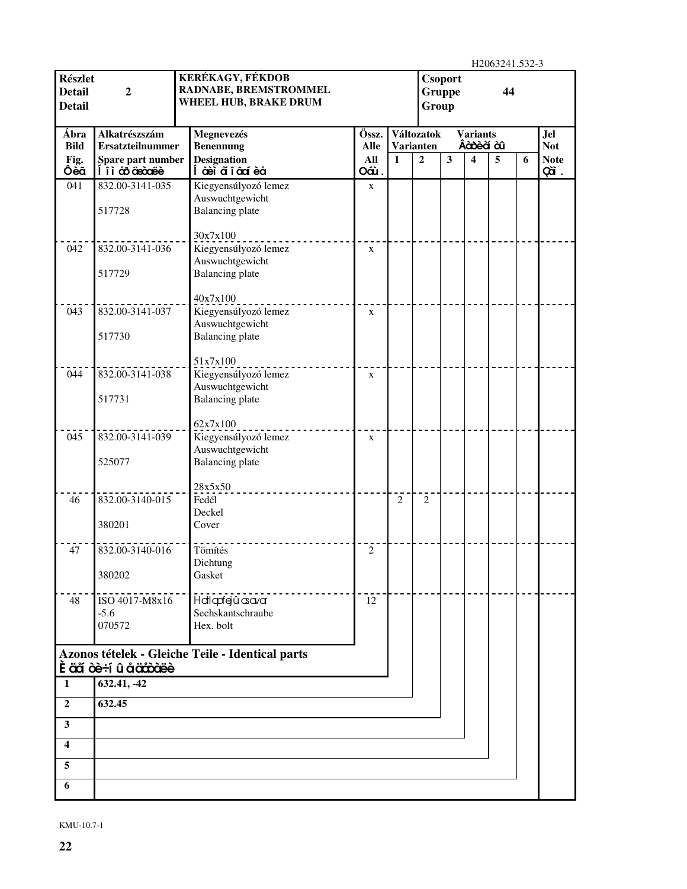|                                                  |                                       |                                                                           |             |                |                  |                                 |                         | H2063241.532-3 |   |                    |
|--------------------------------------------------|---------------------------------------|---------------------------------------------------------------------------|-------------|----------------|------------------|---------------------------------|-------------------------|----------------|---|--------------------|
| <b>Részlet</b><br><b>Detail</b><br><b>Detail</b> | $\overline{2}$                        | <b>KERÉKAGY, FÉKDOB</b><br>RADNABE, BREMSTROMMEL<br>WHEEL HUB, BRAKE DRUM |             |                | Group            | <b>Csoport</b><br><b>Gruppe</b> |                         | 44             |   |                    |
| Ábra                                             | Alkatrészszám                         | Megnevezés                                                                | Össz.       |                | Változatok       |                                 | <b>Variants</b>         |                |   | Jel                |
| <b>Bild</b>                                      | <b>Ersatzteilnummer</b>               | <b>Benennung</b>                                                          | <b>Alle</b> |                | <b>Varianten</b> |                                 | Âàosèà àû               |                |   | <b>Not</b>         |
| Fig.<br>Ôèã                                      | Spare part number<br>Í î ì co cieccee | <b>Designation</b><br>Í àè i ã î â cí è å                                 | All<br>Oáù. | $\mathbf{1}$   | $\overline{2}$   | $\mathbf{3}$                    | $\overline{\mathbf{4}}$ | 5              | 6 | <b>Note</b><br>cã. |
| 041                                              | 832.00-3141-035                       | Kiegyensúlyozó lemez                                                      | $\mathbf X$ |                |                  |                                 |                         |                |   |                    |
|                                                  | 517728                                | Auswuchtgewicht<br><b>Balancing</b> plate                                 |             |                |                  |                                 |                         |                |   |                    |
| 042                                              | 832.00-3141-036                       | 30x7x100<br>Kiegyensúlyozó lemez                                          | $\mathbf X$ |                |                  |                                 |                         |                |   |                    |
|                                                  | 517729                                | Auswuchtgewicht<br><b>Balancing</b> plate                                 |             |                |                  |                                 |                         |                |   |                    |
| 043                                              | 832.00-3141-037                       | 40x7x100<br>Kiegyensúlyozó lemez<br>Auswuchtgewicht                       | X           |                |                  |                                 |                         |                |   |                    |
|                                                  | 517730                                | <b>Balancing plate</b><br>51x7x100                                        |             |                |                  |                                 |                         |                |   |                    |
| 044                                              | 832.00-3141-038                       | Kiegyensúlyozó lemez<br>Auswuchtgewicht                                   | $\mathbf X$ |                |                  |                                 |                         |                |   |                    |
|                                                  | 517731                                | <b>Balancing</b> plate<br>62x7x100                                        |             |                |                  |                                 |                         |                |   |                    |
| 045                                              | 832.00-3141-039                       | Kiegyensúlyozó lemez<br>Auswuchtgewicht                                   | $\mathbf x$ |                |                  |                                 |                         |                |   |                    |
|                                                  | 525077                                | <b>Balancing</b> plate                                                    |             |                |                  |                                 |                         |                |   |                    |
| 46                                               | 832.00-3140-015                       | 28x5x50<br>Fedél<br>Deckel                                                |             | $\overline{2}$ | $\overline{2}$   |                                 |                         |                |   |                    |
|                                                  | 380201                                | Cover                                                                     |             |                |                  |                                 |                         |                |   |                    |
| 47                                               | 832.00-3140-016                       | Tömítés<br>Dichtung                                                       | $\sqrt{2}$  |                |                  |                                 |                         |                |   |                    |
|                                                  | 380202                                | Gasket                                                                    |             |                |                  |                                 |                         |                |   |                    |
| 48                                               | ISO 4017-M8x16<br>$-5.6$              | Hatlapfejû asavar<br>Sechskantschraube                                    | 12          |                |                  |                                 |                         |                |   |                    |
|                                                  | 070572                                | Hex. bolt                                                                 |             |                |                  |                                 |                         |                |   |                    |
|                                                  | <b>Ěäã òè÷í û åäåòäè</b>              | Azonos tételek - Gleiche Teile - Identical parts                          |             |                |                  |                                 |                         |                |   |                    |
| $\mathbf{1}$                                     | 632.41, -42                           |                                                                           |             |                |                  |                                 |                         |                |   |                    |
| $\overline{2}$                                   | 632.45                                |                                                                           |             |                |                  |                                 |                         |                |   |                    |
| $\overline{\mathbf{3}}$                          |                                       |                                                                           |             |                |                  |                                 |                         |                |   |                    |
| $\overline{\mathbf{4}}$                          |                                       |                                                                           |             |                |                  |                                 |                         |                |   |                    |
| 5                                                |                                       |                                                                           |             |                |                  |                                 |                         |                |   |                    |
| 6                                                |                                       |                                                                           |             |                |                  |                                 |                         |                |   |                    |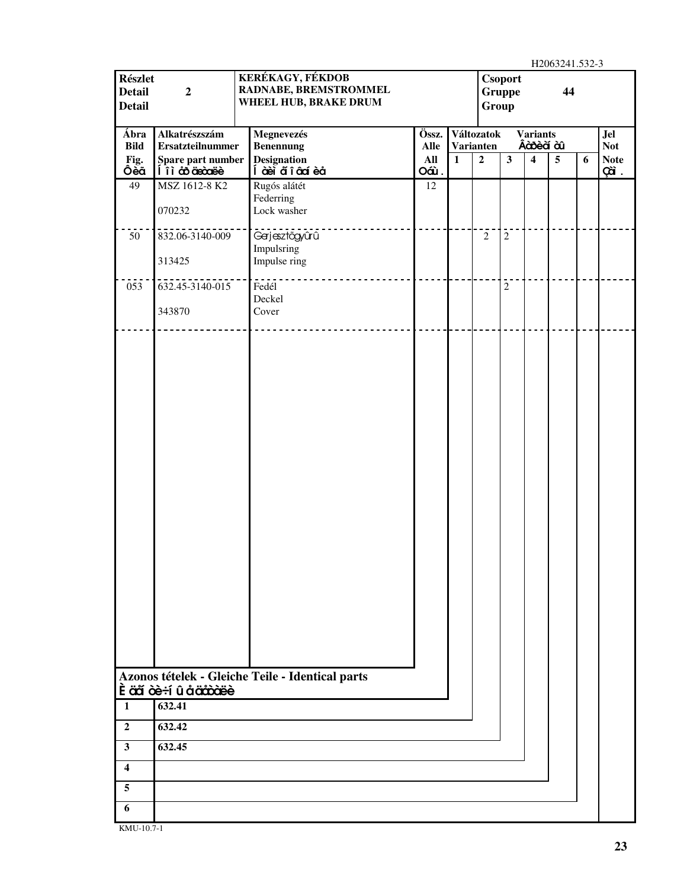H2063241.532-3

| <b>Részlet</b><br><b>Detail</b><br><b>Detail</b> | $\boldsymbol{2}$                         | KERÉKAGY, FÉKDOB<br>RADNABE, BREMSTROMMEL<br>WHEEL HUB, BRAKE DRUM |               |              | Group                          | <b>Csoport</b><br>Gruppe |                                | 11200321133325<br>44 |   |                    |
|--------------------------------------------------|------------------------------------------|--------------------------------------------------------------------|---------------|--------------|--------------------------------|--------------------------|--------------------------------|----------------------|---|--------------------|
| Ábra<br><b>Bild</b>                              | Alkatrészszám<br><b>Ersatzteilnummer</b> | Megnevezés<br><b>Benennung</b>                                     | Össz.<br>Alle |              | Változatok<br><b>Varianten</b> |                          | <b>Variants</b><br>Âà bè à à l |                      |   | Jel<br><b>Not</b>  |
| Fig.<br>Ôèã                                      | Spare part number<br>li ì co arceite     | <b>Designation</b><br>Í à èi ã î â cá è å                          | All<br>Oáù.   | $\mathbf{1}$ | $\overline{2}$                 | $\overline{\mathbf{3}}$  | $\overline{\mathbf{4}}$        | $\overline{5}$       | 6 | <b>Note</b><br>çã. |
| 49                                               | MSZ 1612-8 K2<br>070232                  | Rugós alátét<br>Federring<br>Lock washer                           | 12            |              |                                |                          |                                |                      |   |                    |
| 50                                               | 832.06-3140-009<br>313425                | Gerjesztőgyűrű<br>Impulsring<br>Impulse ring                       |               |              | $\sqrt{2}$                     | $\overline{c}$           |                                |                      |   |                    |
| 053                                              | 632.45-3140-015                          | Fedél<br>Deckel                                                    |               |              |                                | $\sqrt{2}$               |                                |                      |   |                    |
|                                                  | 343870                                   | Cover                                                              |               |              |                                |                          |                                |                      |   |                    |
|                                                  |                                          |                                                                    |               |              |                                |                          |                                |                      |   |                    |
|                                                  | È äã òè÷í û å ääôòëè                     | Azonos tételek - Gleiche Teile - Identical parts                   |               |              |                                |                          |                                |                      |   |                    |
| $\mathbf{1}$                                     | $\overline{632.41}$                      |                                                                    |               |              |                                |                          |                                |                      |   |                    |
| $\overline{2}$<br>$\mathbf{3}$                   | 632.42<br>632.45                         |                                                                    |               |              |                                |                          |                                |                      |   |                    |
| $\overline{\mathbf{4}}$                          |                                          |                                                                    |               |              |                                |                          |                                |                      |   |                    |
| 5                                                |                                          |                                                                    |               |              |                                |                          |                                |                      |   |                    |
| 6                                                |                                          |                                                                    |               |              |                                |                          |                                |                      |   |                    |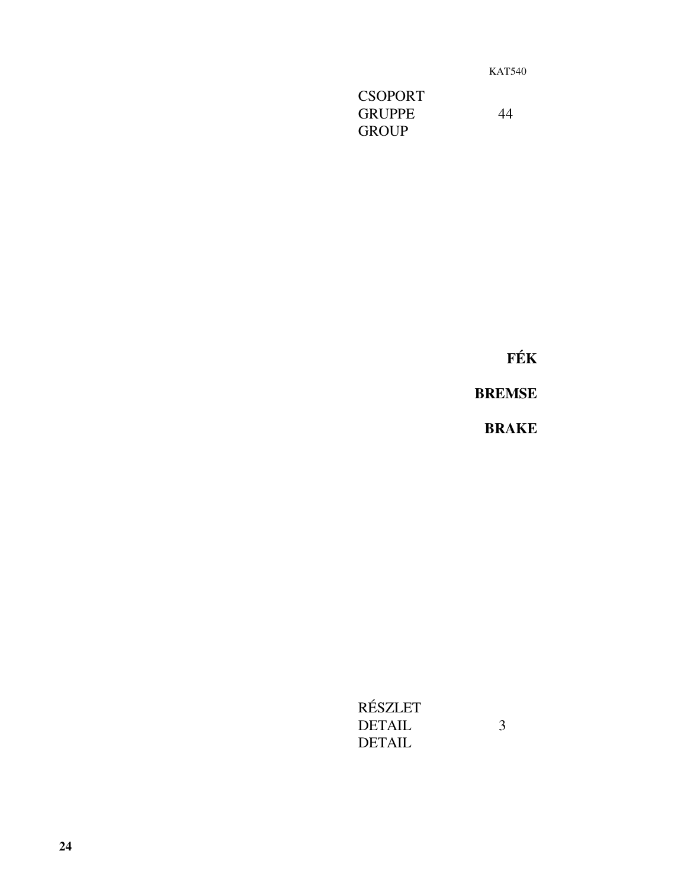KAT540

**CSOPORT** GRUPPE 44 GROUP

**FÉK** 

**BREMSE** 

**BRAKE**

RÉSZLET DETAIL 3 DETAIL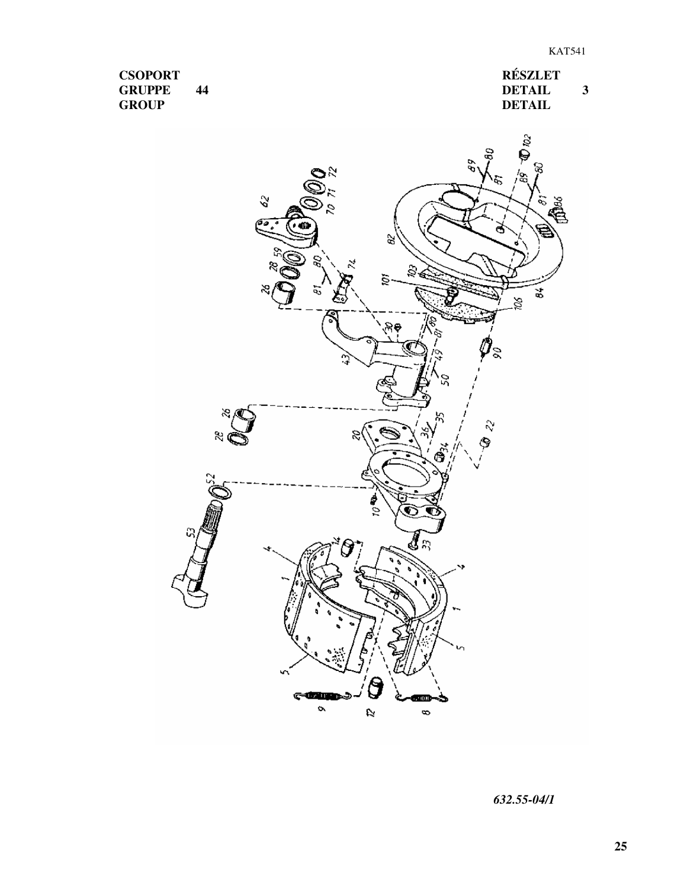**CSOPORT GRUPPE 44 GROUP**

**RÉSZLET DETAIL 3 DETAIL**



*632.55-04/1*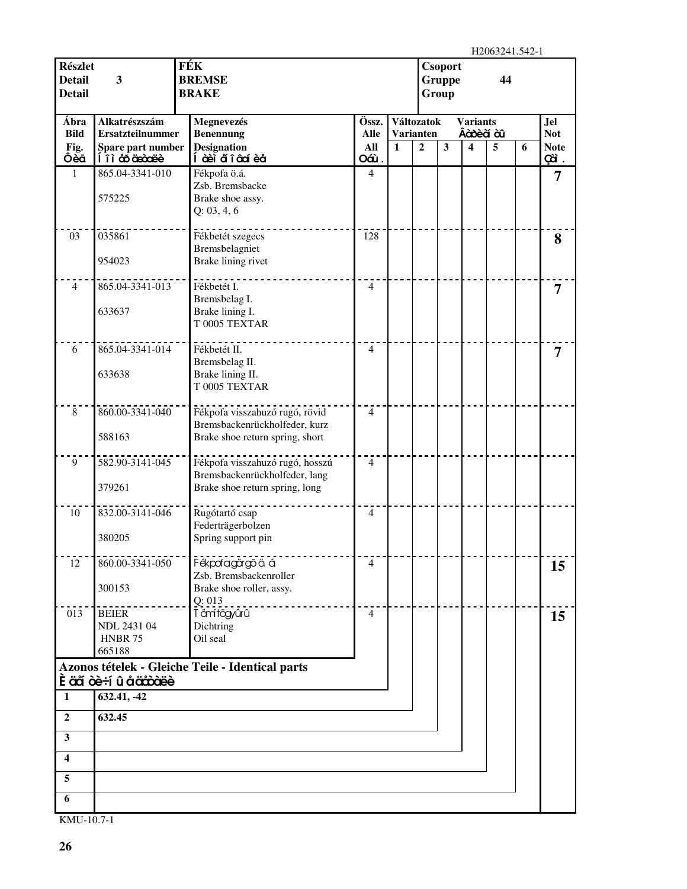H<sub>2063241.542-1</sub>

| <b>Részlet</b><br><b>Detail</b><br><b>Detail</b> | 3                                                       | FÉK<br><b>Csoport</b><br><b>BREMSE</b><br><b>Gruppe</b><br>44<br><b>BRAKE</b><br>Group |                                  |              |                |                                |                | 11200 <i>32</i> 41.342-1 |   |                          |
|--------------------------------------------------|---------------------------------------------------------|----------------------------------------------------------------------------------------|----------------------------------|--------------|----------------|--------------------------------|----------------|--------------------------|---|--------------------------|
| Ábra<br><b>Bild</b>                              | Alkatrészszám<br><b>Ersatzteilnummer</b>                | Megnevezés                                                                             | Össz.<br><b>Alle</b>             |              |                | Változatok<br><b>Varianten</b> |                | <b>Variants</b>          |   | <b>Jel</b><br><b>Not</b> |
| Fig.                                             | Spare part number                                       | <b>Benennung</b><br><b>Designation</b>                                                 | All                              | $\mathbf{1}$ | $\overline{2}$ | $\mathbf{3}$                   | Âàosèà àû<br>4 | 5                        | 6 | <b>Note</b>              |
| Ôèã<br>1                                         | li à äncöarde<br>865.04-3341-010                        | Í à eì aí î â cí è a<br>Fékpofa ö.á.                                                   | Oáù.<br>$\overline{\mathcal{L}}$ |              |                |                                |                |                          |   | cà.                      |
|                                                  | 575225                                                  | Zsb. Bremsbacke<br>Brake shoe assy.<br>Q: 03, 4, 6                                     |                                  |              |                |                                |                |                          |   | 7                        |
| 03                                               | 035861<br>954023                                        | Fékbetét szegecs<br>Bremsbelagniet<br>Brake lining rivet                               | 128                              |              |                |                                |                |                          |   | 8                        |
| $\overline{4}$                                   | 865.04-3341-013                                         | Fékbetét I.                                                                            | 4                                |              |                |                                |                |                          |   |                          |
|                                                  | 633637                                                  | Bremsbelag I.<br>Brake lining I.<br>T 0005 TEXTAR                                      |                                  |              |                |                                |                |                          |   | 7                        |
| 6                                                | 865.04-3341-014                                         | Fékbetét II.                                                                           | 4                                |              |                |                                |                |                          |   | 7                        |
|                                                  | 633638                                                  | Bremsbelag II.<br>Brake lining II.<br>T 0005 TEXTAR                                    |                                  |              |                |                                |                |                          |   |                          |
| $\,8\,$                                          | 860.00-3341-040                                         | Fékpofa visszahuzó rugó, rövid                                                         | $\overline{4}$                   |              |                |                                |                |                          |   |                          |
|                                                  | 588163                                                  | Bremsbackenrückholfeder, kurz<br>Brake shoe return spring, short                       |                                  |              |                |                                |                |                          |   |                          |
| 9                                                | 582.90-3141-045<br>379261                               | Fékpofa visszahuzó rugó, hosszú<br>Bremsbackenrückholfeder, lang                       | $\overline{4}$                   |              |                |                                |                |                          |   |                          |
|                                                  |                                                         | Brake shoe return spring, long                                                         |                                  |              |                |                                |                |                          |   |                          |
| 10                                               | 832.00-3141-046<br>380205                               | Rugótartó csap<br>Federträgerbolzen<br>Spring support pin                              | $\overline{4}$                   |              |                |                                |                |                          |   |                          |
|                                                  |                                                         |                                                                                        |                                  |              |                |                                |                |                          |   |                          |
| 12                                               | 860.00-3341-050<br>300153                               | Fékpofagörgő ö. á<br>Zsb. Bremsbackenroller<br>Brake shoe roller, assy.                | 4                                |              |                |                                |                |                          |   | 15                       |
| 013                                              | <b>BEIER</b><br>NDL 2431 04<br><b>HNBR 75</b><br>665188 | Q: 013<br>T ämítögyűrű<br>Dichtring<br>Oil seal                                        | $\overline{4}$                   |              |                |                                |                |                          |   | 15                       |
|                                                  | <b>È aã cè÷í û å accoaee</b>                            | Azonos tételek - Gleiche Teile - Identical parts                                       |                                  |              |                |                                |                |                          |   |                          |
| 1                                                | 632.41, -42                                             |                                                                                        |                                  |              |                |                                |                |                          |   |                          |
| $\mathbf{2}$                                     | 632.45                                                  |                                                                                        |                                  |              |                |                                |                |                          |   |                          |
| 3                                                |                                                         |                                                                                        |                                  |              |                |                                |                |                          |   |                          |
| $\overline{\mathbf{4}}$                          |                                                         |                                                                                        |                                  |              |                |                                |                |                          |   |                          |
| 5                                                |                                                         |                                                                                        |                                  |              |                |                                |                |                          |   |                          |
| 6                                                |                                                         |                                                                                        |                                  |              |                |                                |                |                          |   |                          |
|                                                  |                                                         |                                                                                        |                                  |              |                |                                |                |                          |   |                          |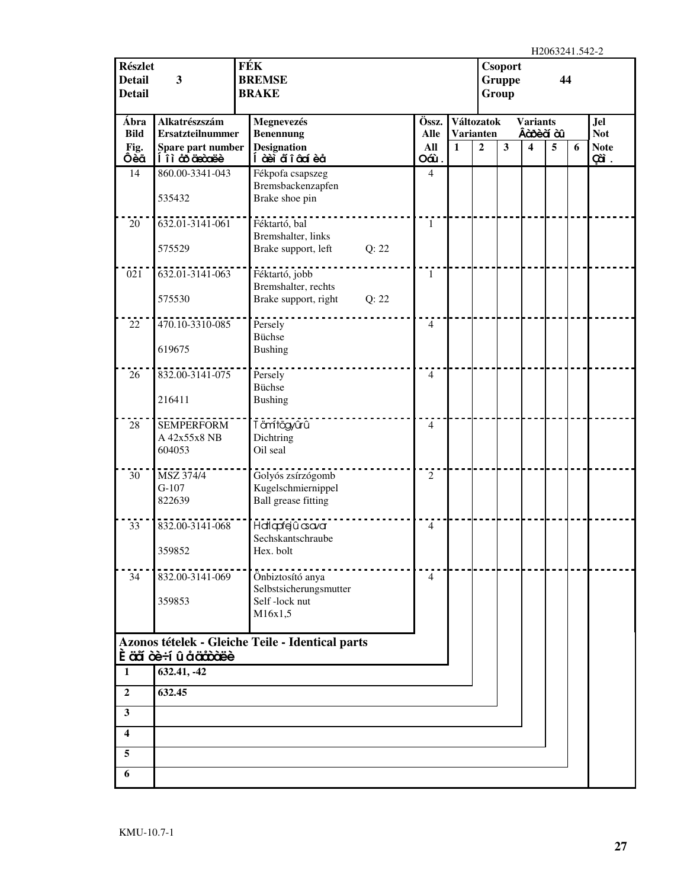| <b>Részlet</b><br><b>Detail</b><br><b>Detail</b> | 3                                        | FÉK<br><b>BREMSE</b><br><b>BRAKE</b>             | Csoport<br><b>Gruppe</b><br>Group |                      |              |                                       |                         | 44                             |   |   |                          |
|--------------------------------------------------|------------------------------------------|--------------------------------------------------|-----------------------------------|----------------------|--------------|---------------------------------------|-------------------------|--------------------------------|---|---|--------------------------|
| Ábra<br><b>Bild</b>                              | Alkatrészszám<br><b>Ersatzteilnummer</b> | Megnevezés<br><b>Benennung</b>                   |                                   | Össz.<br><b>Alle</b> |              | <b>Változatok</b><br><b>Varianten</b> |                         | <b>Variants</b><br>Âà bè à à l |   |   | <b>Jel</b><br><b>Not</b> |
| Fig.<br>Ôèã                                      | Spare part number<br>Í îì co decoree     | <b>Designation</b><br>Í à èi a๊ î â cí è a       |                                   | All<br>Oáù.          | $\mathbf{1}$ | $\overline{2}$                        | $\overline{\mathbf{3}}$ | 4                              | 5 | 6 | <b>Note</b><br>çã.       |
| 14                                               | 860.00-3341-043                          | Fékpofa csapszeg                                 |                                   | $\overline{4}$       |              |                                       |                         |                                |   |   |                          |
|                                                  | 535432                                   | Bremsbackenzapfen<br>Brake shoe pin              |                                   |                      |              |                                       |                         |                                |   |   |                          |
| 20                                               | 632.01-3141-061                          | Féktartó, bal<br>Bremshalter, links              |                                   | $\mathbf{1}$         |              |                                       |                         |                                |   |   |                          |
|                                                  | 575529                                   | Brake support, left                              | Q: 22                             |                      |              |                                       |                         |                                |   |   |                          |
| 021                                              | 632.01-3141-063                          | Féktartó, jobb                                   |                                   | $\mathbf{1}$         |              |                                       |                         |                                |   |   |                          |
|                                                  | 575530                                   | Bremshalter, rechts<br>Brake support, right      | Q: 22                             |                      |              |                                       |                         |                                |   |   |                          |
| 22                                               | 470.10-3310-085                          | Persely                                          |                                   | $\overline{4}$       |              |                                       |                         |                                |   |   |                          |
|                                                  | 619675                                   | <b>Büchse</b><br><b>Bushing</b>                  |                                   |                      |              |                                       |                         |                                |   |   |                          |
| 26                                               | 832.00-3141-075                          | Persely<br><b>Büchse</b>                         |                                   | $\overline{4}$       |              |                                       |                         |                                |   |   |                          |
|                                                  | 216411                                   | <b>Bushing</b>                                   |                                   |                      |              |                                       |                         |                                |   |   |                          |
| 28                                               | <b>SEMPERFORM</b><br>A 42x55x8 NB        | T ämítögyûrû<br>Dichtring                        |                                   | $\overline{4}$       |              |                                       |                         |                                |   |   |                          |
|                                                  | 604053                                   | Oil seal                                         |                                   |                      |              |                                       |                         |                                |   |   |                          |
| 30                                               | MSZ 374/4<br>$G-107$                     | Golyós zsírzógomb<br>Kugelschmiernippel          |                                   | $\overline{2}$       |              |                                       |                         |                                |   |   |                          |
|                                                  | 822639                                   | <b>Ball</b> grease fitting                       |                                   |                      |              |                                       |                         |                                |   |   |                          |
| 33                                               | 832.00-3141-068                          | Hallapfejû csavar<br>Sechskantschraube           |                                   | $\overline{4}$       |              |                                       |                         |                                |   |   |                          |
|                                                  | 359852                                   | Hex. bolt                                        |                                   |                      |              |                                       |                         |                                |   |   |                          |
| 34                                               | 832.00-3141-069                          | Önbiztosító anya<br>Selbstsicherungsmutter       |                                   | $\overline{4}$       |              |                                       |                         |                                |   |   |                          |
|                                                  | 359853                                   | Self-lock nut                                    |                                   |                      |              |                                       |                         |                                |   |   |                          |
|                                                  |                                          | M16x1,5                                          |                                   |                      |              |                                       |                         |                                |   |   |                          |
|                                                  | <b>È äã òè÷í û å äåòàëè</b>              | Azonos tételek - Gleiche Teile - Identical parts |                                   |                      |              |                                       |                         |                                |   |   |                          |
| $\mathbf{1}$                                     | 632.41, -42                              |                                                  |                                   |                      |              |                                       |                         |                                |   |   |                          |
| $\mathbf{2}$                                     | 632.45                                   |                                                  |                                   |                      |              |                                       |                         |                                |   |   |                          |
| $\overline{\mathbf{3}}$                          |                                          |                                                  |                                   |                      |              |                                       |                         |                                |   |   |                          |
| $\overline{\mathbf{4}}$                          |                                          |                                                  |                                   |                      |              |                                       |                         |                                |   |   |                          |
| 5                                                |                                          |                                                  |                                   |                      |              |                                       |                         |                                |   |   |                          |
| 6                                                |                                          |                                                  |                                   |                      |              |                                       |                         |                                |   |   |                          |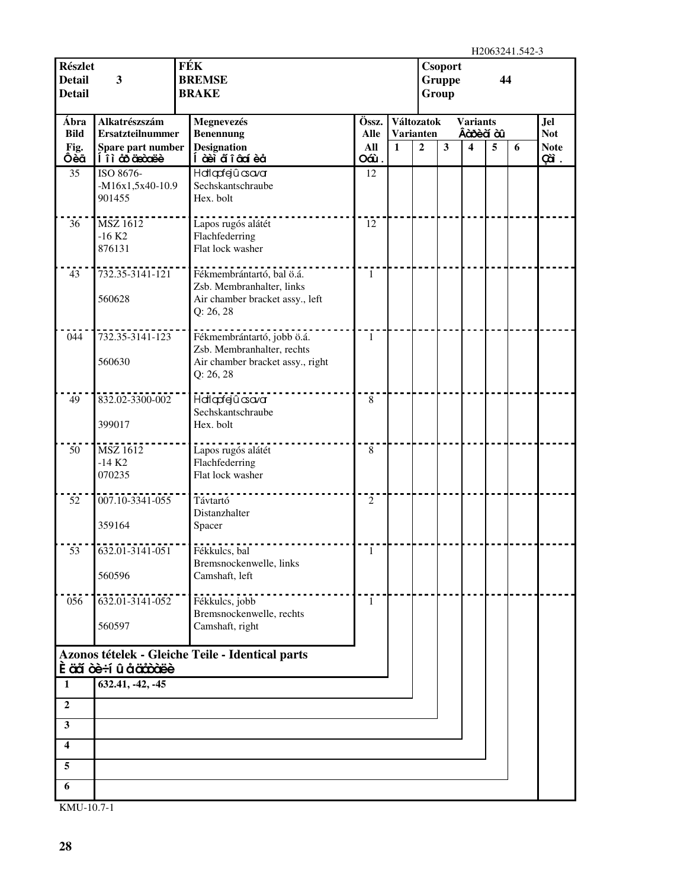H<sub>2063241.542-3</sub>

| <b>Részlet</b><br><b>Detail</b><br><b>Detail</b> | 3                                                             | HZUUJZ41.J4Z-J<br><b>FÉK</b><br><b>Csoport</b><br><b>BREMSE</b><br><b>Gruppe</b><br>44<br><b>BRAKE</b><br>Group |                             |              |                                                  |              |                                   |   |   |                                         |
|--------------------------------------------------|---------------------------------------------------------------|-----------------------------------------------------------------------------------------------------------------|-----------------------------|--------------|--------------------------------------------------|--------------|-----------------------------------|---|---|-----------------------------------------|
| Ábra<br><b>Bild</b><br>Fig.                      | Alkatrészszám<br><b>Ersatzteilnummer</b><br>Spare part number | Megnevezés<br><b>Benennung</b><br><b>Designation</b>                                                            | Össz.<br><b>Alle</b><br>All | $\mathbf{1}$ | Változatok<br><b>Varianten</b><br>$\overline{2}$ | $\mathbf{3}$ | <b>Variants</b><br>Âàõ è à ù<br>4 | 5 | 6 | <b>Jel</b><br><b>Not</b><br><b>Note</b> |
| Ôèã                                              | <u>Í î ì co de code è </u>                                    | Í àèì aí î â cí è a                                                                                             | Oáù.                        |              |                                                  |              |                                   |   |   | çã.                                     |
| 35                                               | ISO 8676-<br>-M16x1,5x40-10.9<br>901455                       | Hatlapfejû asavar<br>Sechskantschraube<br>Hex. bolt                                                             | 12                          |              |                                                  |              |                                   |   |   |                                         |
| 36                                               | <b>MSZ 1612</b><br>$-16 K2$<br>876131                         | Lapos rugós alátét<br>Flachfederring<br>Flat lock washer                                                        | 12                          |              |                                                  |              |                                   |   |   |                                         |
| 43                                               | 732.35-3141-121<br>560628                                     | Fékmembrántartó, bal ö.á.<br>Zsb. Membranhalter, links<br>Air chamber bracket assy., left<br>Q: 26, 28          | $\mathbf{1}$                |              |                                                  |              |                                   |   |   |                                         |
| 044                                              | 732.35-3141-123<br>560630                                     | Fékmembrántartó, jobb ö.á.<br>Zsb. Membranhalter, rechts<br>Air chamber bracket assy., right<br>Q: 26, 28       | 1                           |              |                                                  |              |                                   |   |   |                                         |
| 49                                               | 832.02-3300-002<br>399017                                     | Halapfejû csava<br>Sechskantschraube<br>Hex. bolt                                                               | $\,8\,$                     |              |                                                  |              |                                   |   |   |                                         |
| 50                                               | <b>MSZ 1612</b><br>$-14 K2$<br>070235                         | Lapos rugós alátét<br>Flachfederring<br>Flat lock washer                                                        | $\,8\,$                     |              |                                                  |              |                                   |   |   |                                         |
| 52                                               | 007.10-3341-055<br>359164                                     | Távtartó<br>Distanzhalter<br>Spacer                                                                             | $\sqrt{2}$                  |              |                                                  |              |                                   |   |   |                                         |
| 53                                               | 632.01-3141-051<br>560596                                     | Fékkulcs, bal<br>Bremsnockenwelle, links<br>Camshaft, left                                                      | 1                           |              |                                                  |              |                                   |   |   |                                         |
| 056                                              | 632.01-3141-052<br>560597                                     | Fékkulcs, jobb<br>Bremsnockenwelle, rechts<br>Camshaft, right                                                   | 1                           |              |                                                  |              |                                   |   |   |                                         |
| $\mathbf{1}$                                     | <b>È äã òè÷í û å äåòàëè</b><br>632.41, -42, -45               | Azonos tételek - Gleiche Teile - Identical parts                                                                |                             |              |                                                  |              |                                   |   |   |                                         |
|                                                  |                                                               |                                                                                                                 |                             |              |                                                  |              |                                   |   |   |                                         |
| $\overline{2}$                                   |                                                               |                                                                                                                 |                             |              |                                                  |              |                                   |   |   |                                         |
| $\mathbf{3}$                                     |                                                               |                                                                                                                 |                             |              |                                                  |              |                                   |   |   |                                         |
| 4                                                |                                                               |                                                                                                                 |                             |              |                                                  |              |                                   |   |   |                                         |
| 5                                                |                                                               |                                                                                                                 |                             |              |                                                  |              |                                   |   |   |                                         |
| 6                                                |                                                               |                                                                                                                 |                             |              |                                                  |              |                                   |   |   |                                         |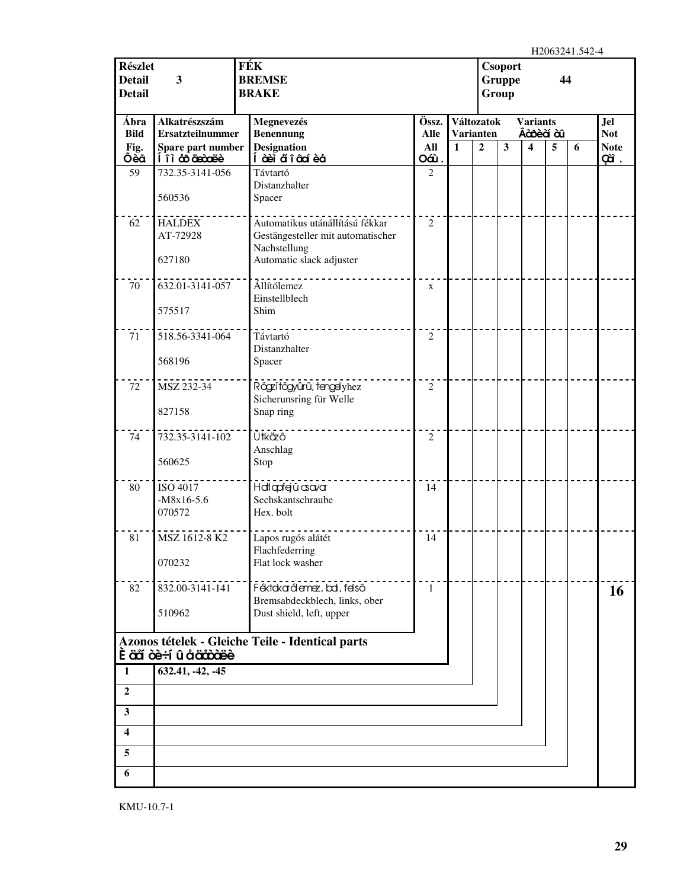| <b>Részlet</b><br><b>Detail</b><br><b>Detail</b> | 3                                        | FÉK<br><b>Csoport</b><br><b>BREMSE</b><br>44<br><b>Gruppe</b><br><b>BRAKE</b><br>Group |                      |              |                  |                                            |                         |   |   |                    |
|--------------------------------------------------|------------------------------------------|----------------------------------------------------------------------------------------|----------------------|--------------|------------------|--------------------------------------------|-------------------------|---|---|--------------------|
| Ábra<br><b>Bild</b>                              | Alkatrészszám<br><b>Ersatzteilnummer</b> | Megnevezés<br><b>Benennung</b>                                                         | Össz.<br><b>Alle</b> |              | <b>Varianten</b> | Változatok<br><b>Variants</b><br>Âàosèà àû |                         |   |   | Jel<br><b>Not</b>  |
| Fig.<br>Ôèã                                      | Spare part number<br>li à coice          | <b>Designation</b><br>Í àèi a๊ î âaí è a                                               | All<br>Oáù.          | $\mathbf{1}$ | $\overline{2}$   | 3                                          | $\overline{\mathbf{4}}$ | 5 | 6 | <b>Note</b><br>çã. |
| 59                                               | 732.35-3141-056                          | Távtartó<br>Distanzhalter                                                              | $\overline{2}$       |              |                  |                                            |                         |   |   |                    |
|                                                  | 560536                                   | Spacer                                                                                 |                      |              |                  |                                            |                         |   |   |                    |
| 62                                               | <b>HALDEX</b><br>AT-72928                | Automatikus utánállítású fékkar<br>Gestängesteller mit automatischer<br>Nachstellung   | $\overline{2}$       |              |                  |                                            |                         |   |   |                    |
|                                                  | 627180                                   | Automatic slack adjuster                                                               |                      |              |                  |                                            |                         |   |   |                    |
| 70                                               | 632.01-3141-057<br>575517                | Allítólemez<br>Einstellblech<br>Shim                                                   | $\mathbf X$          |              |                  |                                            |                         |   |   |                    |
|                                                  |                                          |                                                                                        |                      |              |                  |                                            |                         |   |   |                    |
| 71                                               | 518.56-3341-064<br>568196                | Távtartó<br>Distanzhalter<br>Spacer                                                    | $\overline{2}$       |              |                  |                                            |                         |   |   |                    |
| 72                                               | MSZ 232-34                               | Rögzítőgyűrű, tengelyhez                                                               | $\overline{2}$       |              |                  |                                            |                         |   |   |                    |
|                                                  | 827158                                   | Sicherunsring für Welle<br>Snap ring                                                   |                      |              |                  |                                            |                         |   |   |                    |
| 74                                               | 732.35-3141-102                          | Ütkäző<br>Anschlag                                                                     | $\overline{2}$       |              |                  |                                            |                         |   |   |                    |
|                                                  | 560625                                   | Stop                                                                                   |                      |              |                  |                                            |                         |   |   |                    |
| 80                                               | ISO 4017<br>$-M8x16-5.6$<br>070572       | Hallapfejû csavar<br>Sechskantschraube<br>Hex. bolt                                    | 14                   |              |                  |                                            |                         |   |   |                    |
| 81                                               | MSZ 1612-8 K2                            | Lapos rugós alátét                                                                     | 14                   |              |                  |                                            |                         |   |   |                    |
|                                                  | 070232                                   | Flachfederring<br>Flat lock washer                                                     |                      |              |                  |                                            |                         |   |   |                    |
| 82                                               | 832.00-3141-141                          | Féktokarálemez, bal, felső<br>Bremsabdeckblech, links, ober                            | 1                    |              |                  |                                            |                         |   |   | <b>16</b>          |
|                                                  | 510962                                   | Dust shield, left, upper                                                               |                      |              |                  |                                            |                         |   |   |                    |
|                                                  | È äã òè÷í û å ääàòëè                     | Azonos tételek - Gleiche Teile - Identical parts                                       |                      |              |                  |                                            |                         |   |   |                    |
| $\mathbf{1}$                                     | 632.41, -42, -45                         |                                                                                        |                      |              |                  |                                            |                         |   |   |                    |
| $\boldsymbol{2}$                                 |                                          |                                                                                        |                      |              |                  |                                            |                         |   |   |                    |
| $\mathbf{3}$                                     |                                          |                                                                                        |                      |              |                  |                                            |                         |   |   |                    |
| 4                                                |                                          |                                                                                        |                      |              |                  |                                            |                         |   |   |                    |
| 5                                                |                                          |                                                                                        |                      |              |                  |                                            |                         |   |   |                    |
| 6                                                |                                          |                                                                                        |                      |              |                  |                                            |                         |   |   |                    |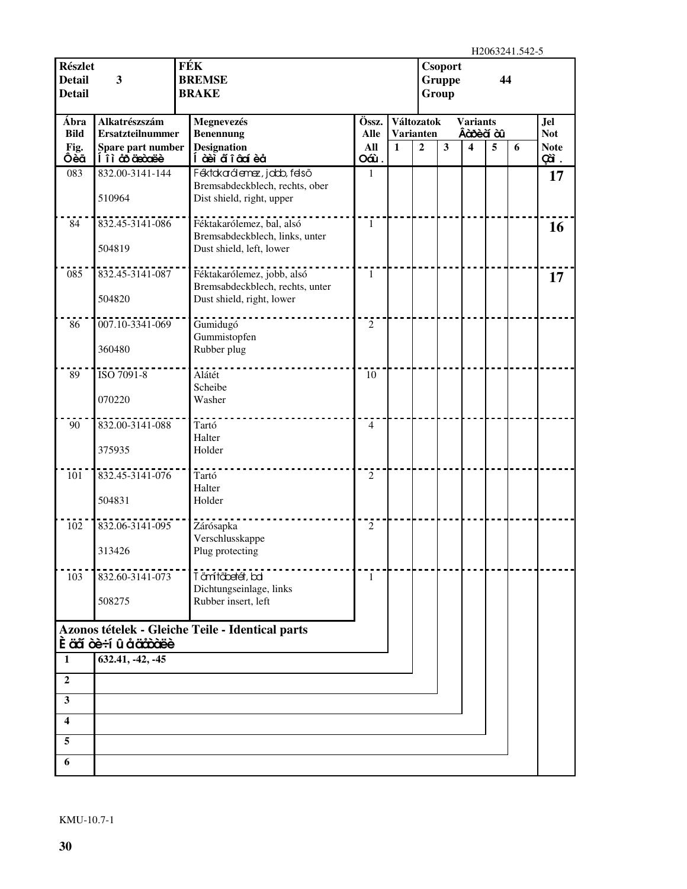H2063241.542-5

| <b>Részlet</b><br><b>Detail</b><br><b>Detail</b> | 3                                            | <b>FÉK</b><br>Csoport<br><b>BREMSE</b><br><b>Gruppe</b><br>44<br><b>BRAKE</b><br>Group |                    |              |                                    |                              |   | 11400 <i>04</i> 11.014 |   |                           |
|--------------------------------------------------|----------------------------------------------|----------------------------------------------------------------------------------------|--------------------|--------------|------------------------------------|------------------------------|---|------------------------|---|---------------------------|
| Ábra                                             | Alkatrészszám                                | Megnevezés                                                                             | Össz.              |              | Változatok                         | <b>Variants</b><br>Âàosèà àû |   |                        |   | <b>Jel</b>                |
| <b>Bild</b><br>Fig.                              | <b>Ersatzteilnummer</b><br>Spare part number | <b>Benennung</b><br><b>Designation</b>                                                 | <b>Alle</b><br>All | $\mathbf{1}$ | <b>Varianten</b><br>$\overline{2}$ | $\mathbf{3}$                 | 4 | 5                      | 6 | <b>Not</b><br><b>Note</b> |
| Ôèã                                              | <u>Í î ì co de code è </u>                   | Í à eì aí î â cí è a                                                                   | Oáù.               |              |                                    |                              |   |                        |   | çã.                       |
| 083                                              | 832.00-3141-144                              | Féktakarálemez, jabb, felső                                                            | 1                  |              |                                    |                              |   |                        |   | 17                        |
|                                                  | 510964                                       | Bremsabdeckblech, rechts, ober<br>Dist shield, right, upper                            |                    |              |                                    |                              |   |                        |   |                           |
| 84                                               | 832.45-3141-086                              | Féktakarólemez, bal, alsó                                                              | $\mathbf{1}$       |              |                                    |                              |   |                        |   | 16                        |
|                                                  | 504819                                       | Bremsabdeckblech, links, unter<br>Dust shield, left, lower                             |                    |              |                                    |                              |   |                        |   |                           |
| 085                                              | 832.45-3141-087                              | Féktakarólemez, jobb, alsó                                                             | $\mathbf{1}$       |              |                                    |                              |   |                        |   | 17                        |
|                                                  | 504820                                       | Bremsabdeckblech, rechts, unter<br>Dust shield, right, lower                           |                    |              |                                    |                              |   |                        |   |                           |
| 86                                               | 007.10-3341-069                              | Gumidugó                                                                               | 2                  |              |                                    |                              |   |                        |   |                           |
|                                                  |                                              | Gummistopfen                                                                           |                    |              |                                    |                              |   |                        |   |                           |
|                                                  | 360480                                       | Rubber plug                                                                            |                    |              |                                    |                              |   |                        |   |                           |
| 89                                               | ISO 7091-8                                   | Alátét<br>Scheibe                                                                      | 10                 |              |                                    |                              |   |                        |   |                           |
|                                                  | 070220                                       | Washer                                                                                 |                    |              |                                    |                              |   |                        |   |                           |
|                                                  |                                              |                                                                                        |                    |              |                                    |                              |   |                        |   |                           |
| 90                                               | 832.00-3141-088                              | Tartó<br>Halter                                                                        | $\overline{4}$     |              |                                    |                              |   |                        |   |                           |
|                                                  | 375935                                       | Holder                                                                                 |                    |              |                                    |                              |   |                        |   |                           |
|                                                  |                                              |                                                                                        |                    |              |                                    |                              |   |                        |   |                           |
| 101                                              | 832.45-3141-076                              | Tartó<br>Halter                                                                        | $\overline{2}$     |              |                                    |                              |   |                        |   |                           |
|                                                  | 504831                                       | Holder                                                                                 |                    |              |                                    |                              |   |                        |   |                           |
|                                                  |                                              |                                                                                        |                    |              |                                    |                              |   |                        |   |                           |
| 102                                              | 832.06-3141-095                              | Zárósapka                                                                              | $\overline{2}$     |              |                                    |                              |   |                        |   |                           |
|                                                  | 313426                                       | Verschlusskappe<br>Plug protecting                                                     |                    |              |                                    |                              |   |                        |   |                           |
|                                                  |                                              |                                                                                        |                    |              |                                    |                              |   |                        |   |                           |
| 103                                              | 832.60-3141-073                              | Tömítőbetét, bal                                                                       | 1                  |              |                                    |                              |   |                        |   |                           |
|                                                  |                                              | Dichtungseinlage, links<br>Rubber insert, left                                         |                    |              |                                    |                              |   |                        |   |                           |
|                                                  | 508275                                       |                                                                                        |                    |              |                                    |                              |   |                        |   |                           |
|                                                  |                                              | Azonos tételek - Gleiche Teile - Identical parts                                       |                    |              |                                    |                              |   |                        |   |                           |
|                                                  | È äã òè÷í û å äåòàëè                         |                                                                                        |                    |              |                                    |                              |   |                        |   |                           |
| $\mathbf{1}$                                     | 632.41, -42, -45                             |                                                                                        |                    |              |                                    |                              |   |                        |   |                           |
| $\overline{2}$                                   |                                              |                                                                                        |                    |              |                                    |                              |   |                        |   |                           |
| 3                                                |                                              |                                                                                        |                    |              |                                    |                              |   |                        |   |                           |
| 4                                                |                                              |                                                                                        |                    |              |                                    |                              |   |                        |   |                           |
| 5                                                |                                              |                                                                                        |                    |              |                                    |                              |   |                        |   |                           |
| 6                                                |                                              |                                                                                        |                    |              |                                    |                              |   |                        |   |                           |
|                                                  |                                              |                                                                                        |                    |              |                                    |                              |   |                        |   |                           |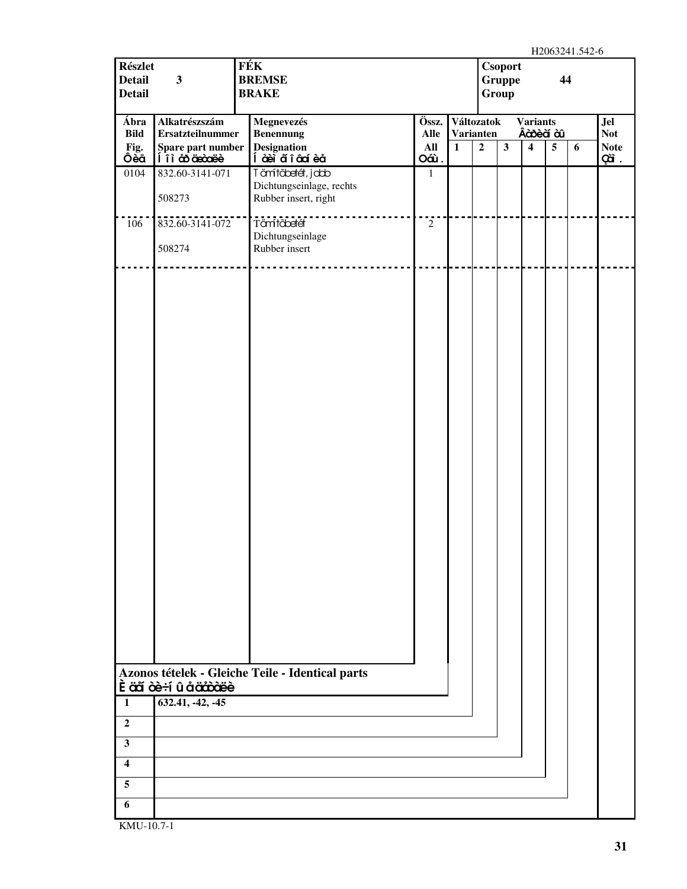| <b>Részlet</b><br><b>Detail</b><br><b>Detail</b>                                        | $\overline{\mathbf{3}}$                      | FÉK | Csoport<br><b>BREMSE</b><br>Gruppe<br>44<br><b>BRAKE</b><br>Group |                |                                  |                |                         |                                        |                 |   |                           |
|-----------------------------------------------------------------------------------------|----------------------------------------------|-----|-------------------------------------------------------------------|----------------|----------------------------------|----------------|-------------------------|----------------------------------------|-----------------|---|---------------------------|
| Ábra                                                                                    | Alkatrészszám                                |     | Megnevezés                                                        | Össz.          | Változatok                       |                |                         | <b>Variants</b>                        |                 |   | <b>Jel</b>                |
| <b>Bild</b><br>Fig.                                                                     | <b>Ersatzteilnummer</b><br>Spare part number |     | <b>Benennung</b><br><b>Designation</b>                            | Alle<br>All    | <b>Varianten</b><br>$\mathbf{1}$ | $\overline{2}$ | $\overline{\mathbf{3}}$ | Âà bè à à l<br>$\overline{\mathbf{4}}$ | $5\phantom{.0}$ | 6 | <b>Not</b><br><b>Note</b> |
| Ôèã                                                                                     | li à coice de li                             |     | Í à èi ã î â cí è å                                               | Oáù.           |                                  |                |                         |                                        |                 |   | Çã.                       |
| 0104                                                                                    | 832.60-3141-071                              |     | Tämítőbetét, jobb                                                 | $\mathbf{1}$   |                                  |                |                         |                                        |                 |   |                           |
|                                                                                         | 508273                                       |     | Dichtungseinlage, rechts<br>Rubber insert, right                  |                |                                  |                |                         |                                        |                 |   |                           |
| 106                                                                                     | 832.60-3141-072                              |     | Tämtöbetét                                                        | $\overline{2}$ |                                  |                |                         |                                        |                 |   |                           |
|                                                                                         | 508274                                       |     | Dichtungseinlage<br>Rubber insert                                 |                |                                  |                |                         |                                        |                 |   |                           |
| $\mathbf{1}$<br>$\overline{2}$<br>$\mathbf{3}$<br>$\overline{\mathbf{4}}$<br>$\sqrt{5}$ | È äã òè÷í û å ääàòäëè<br>632.41, -42, -45    |     | Azonos tételek - Gleiche Teile - Identical parts                  |                |                                  |                |                         |                                        |                 |   |                           |
| 6                                                                                       |                                              |     |                                                                   |                |                                  |                |                         |                                        |                 |   |                           |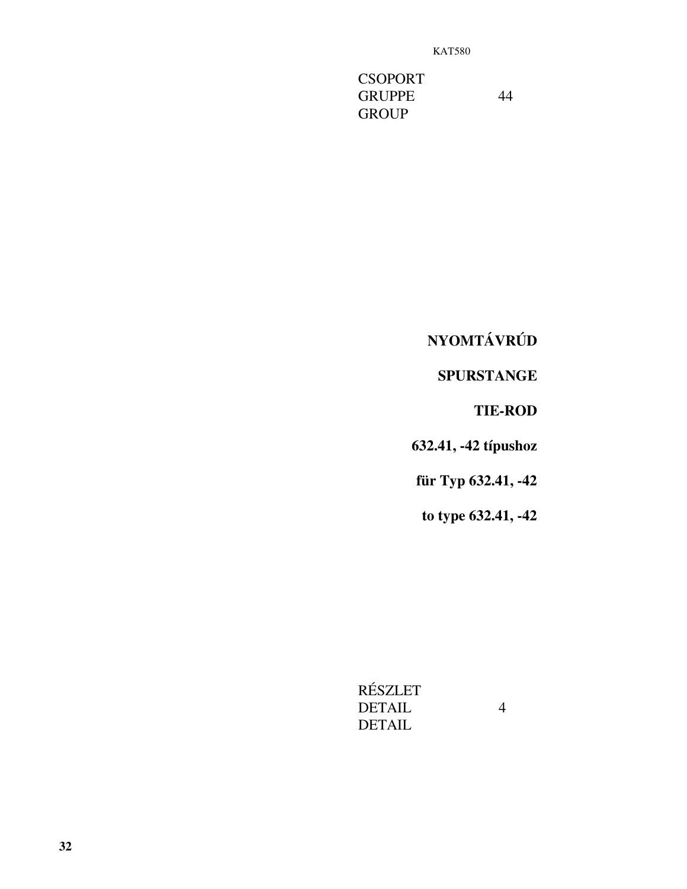**CSOPORT** GRUPPE 44 **GROUP** 

**NYOMTÁVRÚD** 

**SPURSTANGE** 

**TIE-ROD**

**632.41, -42 típushoz**

**für Typ 632.41, -42**

**to type 632.41, -42**

RÉSZLET DETAIL 4 DETAIL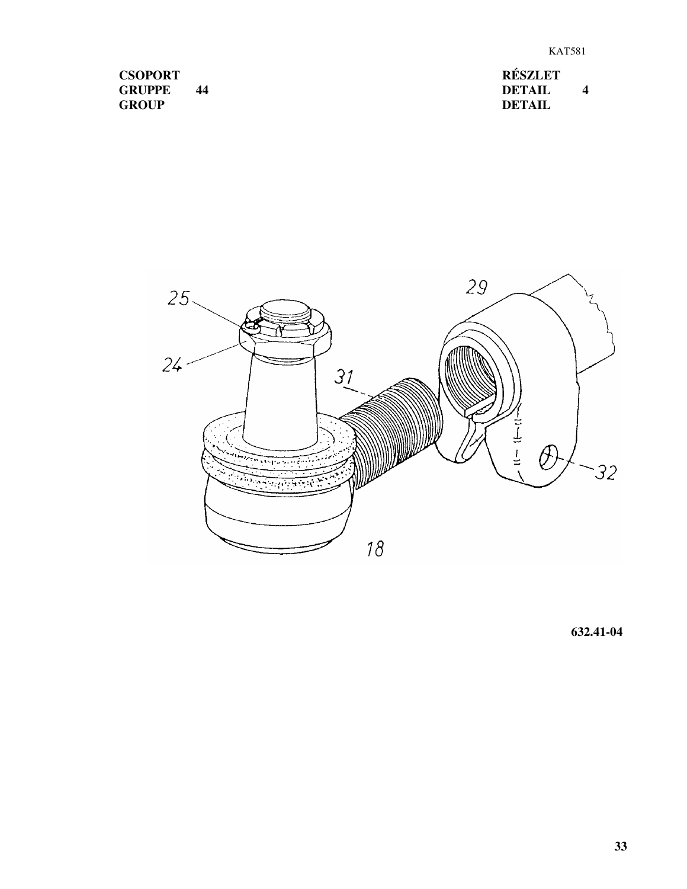| <b>CSOPORT</b> |    |  |  |
|----------------|----|--|--|
| <b>GRUPPE</b>  | 44 |  |  |
| <b>GROUP</b>   |    |  |  |

**RÉSZLET DETAIL 4 DETAIL**



**632.41-04**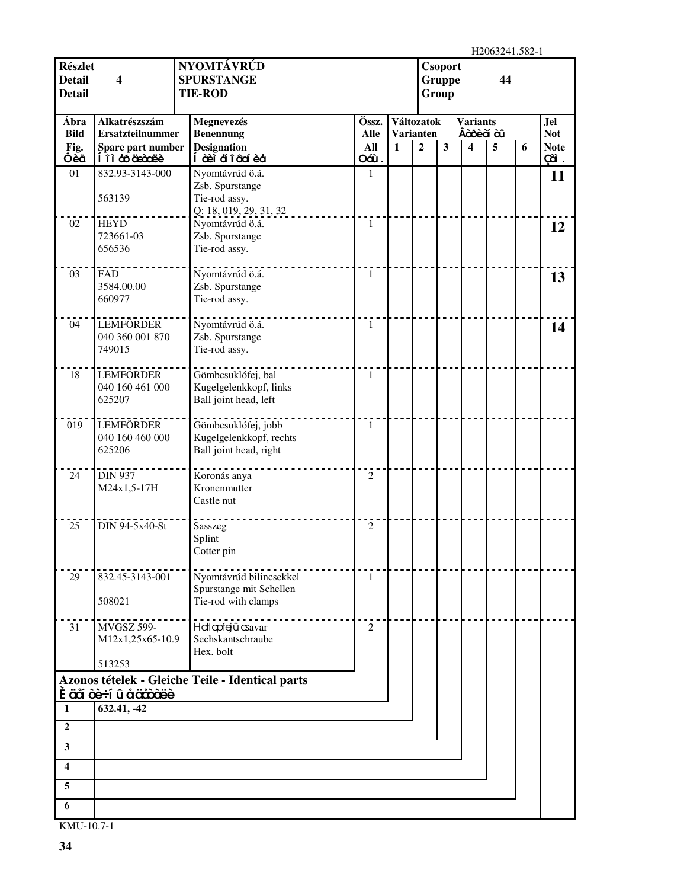H2063241.582-1

| <b>Részlet</b><br><b>Detail</b><br><b>Detail</b> | NYOMTÁVRÚD<br><b>Csoport</b><br><b>SPURSTANGE</b><br><b>Gruppe</b><br>44<br>4<br><b>TIE-ROD</b><br>Group |                                                                          |                    |                                  |                |              | 11200 <i>02</i> -11.002-1    |   |   |                           |
|--------------------------------------------------|----------------------------------------------------------------------------------------------------------|--------------------------------------------------------------------------|--------------------|----------------------------------|----------------|--------------|------------------------------|---|---|---------------------------|
| Ábra                                             | Alkatrészszám                                                                                            | Megnevezés                                                               | Össz.              | Változatok                       |                |              | <b>Variants</b><br>Âàosèà àû |   |   | Jel                       |
| <b>Bild</b><br>Fig.                              | <b>Ersatzteilnummer</b><br>Spare part number                                                             | <b>Benennung</b><br><b>Designation</b>                                   | <b>Alle</b><br>All | <b>Varianten</b><br>$\mathbf{1}$ | $\overline{2}$ | $\mathbf{3}$ | $\overline{\mathbf{4}}$      | 5 | 6 | <b>Not</b><br><b>Note</b> |
| Ôèã                                              | li à coicce                                                                                              | Í à èì ã î â cí è å                                                      | Oáù.               |                                  |                |              |                              |   |   | Çã.                       |
| 01                                               | 832.93-3143-000                                                                                          | Nyomtávrúd ö.á.                                                          | 1                  |                                  |                |              |                              |   |   | 11                        |
|                                                  | 563139                                                                                                   | Zsb. Spurstange<br>Tie-rod assy.<br>Q: 18, 019, 29, 31, 32               |                    |                                  |                |              |                              |   |   |                           |
| 02                                               | <b>HEYD</b>                                                                                              | Nyomtávrúd ö.á.                                                          | 1                  |                                  |                |              |                              |   |   | 12                        |
|                                                  | 723661-03<br>656536                                                                                      | Zsb. Spurstange<br>Tie-rod assy.                                         |                    |                                  |                |              |                              |   |   |                           |
| 03                                               | <b>FAD</b>                                                                                               | Nyomtávrúd ö.á.                                                          | $\mathbf{1}$       |                                  |                |              |                              |   |   | 13                        |
|                                                  | 3584.00.00<br>660977                                                                                     | Zsb. Spurstange<br>Tie-rod assy.                                         |                    |                                  |                |              |                              |   |   |                           |
| 04                                               | <b>LEMFÖRDER</b>                                                                                         | Nyomtávrúd ö.á.                                                          | 1                  |                                  |                |              |                              |   |   | 14                        |
|                                                  | 040 360 001 870<br>749015                                                                                | Zsb. Spurstange<br>Tie-rod assy.                                         |                    |                                  |                |              |                              |   |   |                           |
| 18                                               | <b>LEMFÖRDER</b><br>040 160 461 000                                                                      | Gömbcsuklófej, bal<br>Kugelgelenkkopf, links                             | $\mathbf{1}$       |                                  |                |              |                              |   |   |                           |
|                                                  | 625207                                                                                                   | Ball joint head, left                                                    |                    |                                  |                |              |                              |   |   |                           |
| 019                                              | LEMFÖRDER<br>040 160 460 000<br>625206                                                                   | Gömbcsuklófej, jobb<br>Kugelgelenkkopf, rechts<br>Ball joint head, right | 1                  |                                  |                |              |                              |   |   |                           |
| 24                                               | <b>DIN 937</b><br>M24x1,5-17H                                                                            | Koronás anya<br>Kronenmutter<br>Castle nut                               | $\overline{2}$     |                                  |                |              |                              |   |   |                           |
| 25                                               | DIN 94-5x40-St                                                                                           | Sasszeg<br>Splint<br>Cotter pin                                          | 2                  |                                  |                |              |                              |   |   |                           |
| 29                                               | 832.45-3143-001                                                                                          | Nyomtávrúd bilincsekkel                                                  | 1                  |                                  |                |              |                              |   |   |                           |
|                                                  | 508021                                                                                                   | Spurstange mit Schellen<br>Tie-rod with clamps                           |                    |                                  |                |              |                              |   |   |                           |
| 31                                               | <b>MVGSZ 599-</b><br>M12x1,25x65-10.9                                                                    | Hallapfejû csavar<br>Sechskantschraube<br>Hex. bolt                      | 2                  |                                  |                |              |                              |   |   |                           |
|                                                  | 513253                                                                                                   |                                                                          |                    |                                  |                |              |                              |   |   |                           |
|                                                  | <u>  È aă òè÷í û å acoòxieè</u>                                                                          | Azonos tételek - Gleiche Teile - Identical parts                         |                    |                                  |                |              |                              |   |   |                           |
| 1                                                | 632.41, -42                                                                                              |                                                                          |                    |                                  |                |              |                              |   |   |                           |
| $\overline{2}$                                   |                                                                                                          |                                                                          |                    |                                  |                |              |                              |   |   |                           |
| $\mathbf{3}$                                     |                                                                                                          |                                                                          |                    |                                  |                |              |                              |   |   |                           |
|                                                  |                                                                                                          |                                                                          |                    |                                  |                |              |                              |   |   |                           |
| 4                                                |                                                                                                          |                                                                          |                    |                                  |                |              |                              |   |   |                           |
| 5                                                |                                                                                                          |                                                                          |                    |                                  |                |              |                              |   |   |                           |
| 6                                                |                                                                                                          |                                                                          |                    |                                  |                |              |                              |   |   |                           |
| KMU-10.7-1                                       |                                                                                                          |                                                                          |                    |                                  |                |              |                              |   |   |                           |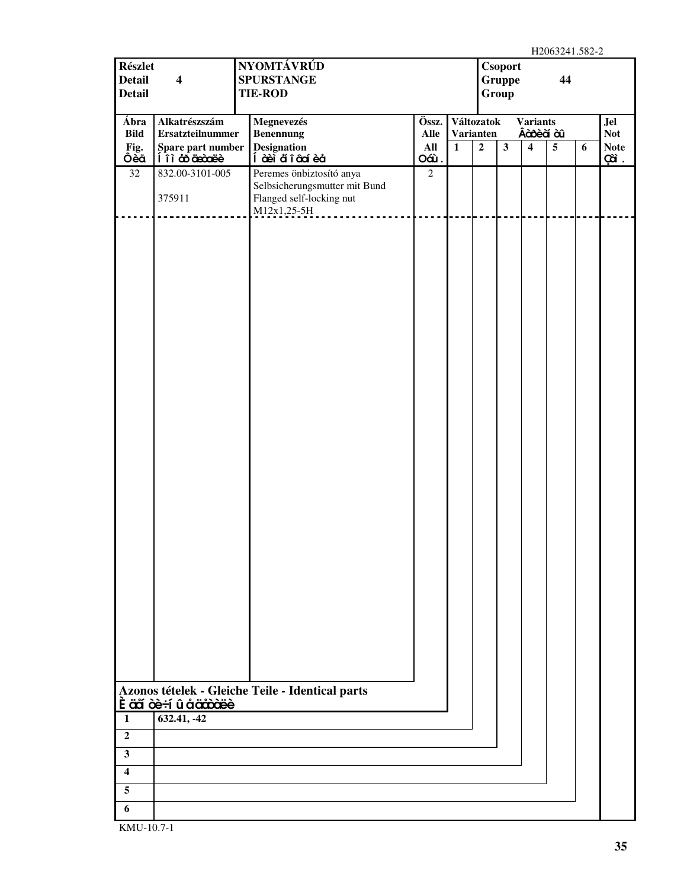| <b>SPURSTANGE</b><br><b>Gruppe</b><br><b>Detail</b><br><b>TIE-ROD</b><br>Group<br>Alkatrészszám<br>Össz.<br>Jel<br>Ábra<br>Megnevezés<br>Változatok<br><b>Variants</b><br>Âà bè à à û<br><b>Not</b><br><b>Bild</b><br><b>Ersatzteilnummer</b><br><b>Benennung</b><br><b>Varianten</b><br>Alle<br><b>Designation</b><br><b>Note</b><br>Fig.<br>Spare part number<br>All<br>$\overline{2}$<br>$\mathbf{3}$<br>5 <sup>5</sup><br>$\mathbf{1}$<br>$\overline{\mathbf{4}}$<br>6<br>Ôèã<br>li à cosocie<br>Í àè ďiâ cá èå<br>Oáù.<br>Çã.<br>Peremes önbiztosító anya<br>32<br>832.00-3101-005<br>$\overline{2}$<br>Selbsicherungsmutter mit Bund<br>Flanged self-locking nut<br>375911<br>$M12x1,25-5H$<br><u>eesses</u><br>Azonos tételek - Gleiche Teile - Identical parts<br><u>Ề cắ cè÷í û å cich ciệc</u><br>632.41, -42<br>$\mathbf{1}$<br>$\overline{2}$<br>$\mathbf{3}$<br>$\overline{\mathbf{4}}$<br>5<br>6 | <b>Részlet</b> | NYOMTÁVRÚD<br><b>Csoport</b> |  |  |  |  |  |  |  |    |  |  |
|----------------------------------------------------------------------------------------------------------------------------------------------------------------------------------------------------------------------------------------------------------------------------------------------------------------------------------------------------------------------------------------------------------------------------------------------------------------------------------------------------------------------------------------------------------------------------------------------------------------------------------------------------------------------------------------------------------------------------------------------------------------------------------------------------------------------------------------------------------------------------------------------------------------|----------------|------------------------------|--|--|--|--|--|--|--|----|--|--|
|                                                                                                                                                                                                                                                                                                                                                                                                                                                                                                                                                                                                                                                                                                                                                                                                                                                                                                                | <b>Detail</b>  | $\overline{\mathbf{4}}$      |  |  |  |  |  |  |  | 44 |  |  |
|                                                                                                                                                                                                                                                                                                                                                                                                                                                                                                                                                                                                                                                                                                                                                                                                                                                                                                                |                |                              |  |  |  |  |  |  |  |    |  |  |
|                                                                                                                                                                                                                                                                                                                                                                                                                                                                                                                                                                                                                                                                                                                                                                                                                                                                                                                |                |                              |  |  |  |  |  |  |  |    |  |  |
|                                                                                                                                                                                                                                                                                                                                                                                                                                                                                                                                                                                                                                                                                                                                                                                                                                                                                                                |                |                              |  |  |  |  |  |  |  |    |  |  |
|                                                                                                                                                                                                                                                                                                                                                                                                                                                                                                                                                                                                                                                                                                                                                                                                                                                                                                                |                |                              |  |  |  |  |  |  |  |    |  |  |
|                                                                                                                                                                                                                                                                                                                                                                                                                                                                                                                                                                                                                                                                                                                                                                                                                                                                                                                |                |                              |  |  |  |  |  |  |  |    |  |  |
|                                                                                                                                                                                                                                                                                                                                                                                                                                                                                                                                                                                                                                                                                                                                                                                                                                                                                                                |                |                              |  |  |  |  |  |  |  |    |  |  |
|                                                                                                                                                                                                                                                                                                                                                                                                                                                                                                                                                                                                                                                                                                                                                                                                                                                                                                                |                |                              |  |  |  |  |  |  |  |    |  |  |
|                                                                                                                                                                                                                                                                                                                                                                                                                                                                                                                                                                                                                                                                                                                                                                                                                                                                                                                |                |                              |  |  |  |  |  |  |  |    |  |  |
|                                                                                                                                                                                                                                                                                                                                                                                                                                                                                                                                                                                                                                                                                                                                                                                                                                                                                                                |                |                              |  |  |  |  |  |  |  |    |  |  |
|                                                                                                                                                                                                                                                                                                                                                                                                                                                                                                                                                                                                                                                                                                                                                                                                                                                                                                                |                |                              |  |  |  |  |  |  |  |    |  |  |
|                                                                                                                                                                                                                                                                                                                                                                                                                                                                                                                                                                                                                                                                                                                                                                                                                                                                                                                |                |                              |  |  |  |  |  |  |  |    |  |  |
|                                                                                                                                                                                                                                                                                                                                                                                                                                                                                                                                                                                                                                                                                                                                                                                                                                                                                                                |                |                              |  |  |  |  |  |  |  |    |  |  |
|                                                                                                                                                                                                                                                                                                                                                                                                                                                                                                                                                                                                                                                                                                                                                                                                                                                                                                                |                |                              |  |  |  |  |  |  |  |    |  |  |
|                                                                                                                                                                                                                                                                                                                                                                                                                                                                                                                                                                                                                                                                                                                                                                                                                                                                                                                |                |                              |  |  |  |  |  |  |  |    |  |  |
|                                                                                                                                                                                                                                                                                                                                                                                                                                                                                                                                                                                                                                                                                                                                                                                                                                                                                                                |                |                              |  |  |  |  |  |  |  |    |  |  |
|                                                                                                                                                                                                                                                                                                                                                                                                                                                                                                                                                                                                                                                                                                                                                                                                                                                                                                                |                |                              |  |  |  |  |  |  |  |    |  |  |
|                                                                                                                                                                                                                                                                                                                                                                                                                                                                                                                                                                                                                                                                                                                                                                                                                                                                                                                |                |                              |  |  |  |  |  |  |  |    |  |  |
|                                                                                                                                                                                                                                                                                                                                                                                                                                                                                                                                                                                                                                                                                                                                                                                                                                                                                                                |                |                              |  |  |  |  |  |  |  |    |  |  |
|                                                                                                                                                                                                                                                                                                                                                                                                                                                                                                                                                                                                                                                                                                                                                                                                                                                                                                                |                |                              |  |  |  |  |  |  |  |    |  |  |
|                                                                                                                                                                                                                                                                                                                                                                                                                                                                                                                                                                                                                                                                                                                                                                                                                                                                                                                |                |                              |  |  |  |  |  |  |  |    |  |  |
|                                                                                                                                                                                                                                                                                                                                                                                                                                                                                                                                                                                                                                                                                                                                                                                                                                                                                                                |                |                              |  |  |  |  |  |  |  |    |  |  |
|                                                                                                                                                                                                                                                                                                                                                                                                                                                                                                                                                                                                                                                                                                                                                                                                                                                                                                                |                |                              |  |  |  |  |  |  |  |    |  |  |
|                                                                                                                                                                                                                                                                                                                                                                                                                                                                                                                                                                                                                                                                                                                                                                                                                                                                                                                |                |                              |  |  |  |  |  |  |  |    |  |  |
|                                                                                                                                                                                                                                                                                                                                                                                                                                                                                                                                                                                                                                                                                                                                                                                                                                                                                                                |                |                              |  |  |  |  |  |  |  |    |  |  |
|                                                                                                                                                                                                                                                                                                                                                                                                                                                                                                                                                                                                                                                                                                                                                                                                                                                                                                                |                |                              |  |  |  |  |  |  |  |    |  |  |
|                                                                                                                                                                                                                                                                                                                                                                                                                                                                                                                                                                                                                                                                                                                                                                                                                                                                                                                |                |                              |  |  |  |  |  |  |  |    |  |  |
|                                                                                                                                                                                                                                                                                                                                                                                                                                                                                                                                                                                                                                                                                                                                                                                                                                                                                                                |                |                              |  |  |  |  |  |  |  |    |  |  |
|                                                                                                                                                                                                                                                                                                                                                                                                                                                                                                                                                                                                                                                                                                                                                                                                                                                                                                                |                |                              |  |  |  |  |  |  |  |    |  |  |
|                                                                                                                                                                                                                                                                                                                                                                                                                                                                                                                                                                                                                                                                                                                                                                                                                                                                                                                |                |                              |  |  |  |  |  |  |  |    |  |  |
|                                                                                                                                                                                                                                                                                                                                                                                                                                                                                                                                                                                                                                                                                                                                                                                                                                                                                                                |                |                              |  |  |  |  |  |  |  |    |  |  |
|                                                                                                                                                                                                                                                                                                                                                                                                                                                                                                                                                                                                                                                                                                                                                                                                                                                                                                                |                |                              |  |  |  |  |  |  |  |    |  |  |
|                                                                                                                                                                                                                                                                                                                                                                                                                                                                                                                                                                                                                                                                                                                                                                                                                                                                                                                |                |                              |  |  |  |  |  |  |  |    |  |  |
|                                                                                                                                                                                                                                                                                                                                                                                                                                                                                                                                                                                                                                                                                                                                                                                                                                                                                                                |                |                              |  |  |  |  |  |  |  |    |  |  |
|                                                                                                                                                                                                                                                                                                                                                                                                                                                                                                                                                                                                                                                                                                                                                                                                                                                                                                                |                |                              |  |  |  |  |  |  |  |    |  |  |
|                                                                                                                                                                                                                                                                                                                                                                                                                                                                                                                                                                                                                                                                                                                                                                                                                                                                                                                |                |                              |  |  |  |  |  |  |  |    |  |  |
|                                                                                                                                                                                                                                                                                                                                                                                                                                                                                                                                                                                                                                                                                                                                                                                                                                                                                                                |                |                              |  |  |  |  |  |  |  |    |  |  |
|                                                                                                                                                                                                                                                                                                                                                                                                                                                                                                                                                                                                                                                                                                                                                                                                                                                                                                                |                |                              |  |  |  |  |  |  |  |    |  |  |
|                                                                                                                                                                                                                                                                                                                                                                                                                                                                                                                                                                                                                                                                                                                                                                                                                                                                                                                |                |                              |  |  |  |  |  |  |  |    |  |  |
|                                                                                                                                                                                                                                                                                                                                                                                                                                                                                                                                                                                                                                                                                                                                                                                                                                                                                                                |                |                              |  |  |  |  |  |  |  |    |  |  |
|                                                                                                                                                                                                                                                                                                                                                                                                                                                                                                                                                                                                                                                                                                                                                                                                                                                                                                                |                |                              |  |  |  |  |  |  |  |    |  |  |
|                                                                                                                                                                                                                                                                                                                                                                                                                                                                                                                                                                                                                                                                                                                                                                                                                                                                                                                |                |                              |  |  |  |  |  |  |  |    |  |  |
|                                                                                                                                                                                                                                                                                                                                                                                                                                                                                                                                                                                                                                                                                                                                                                                                                                                                                                                |                |                              |  |  |  |  |  |  |  |    |  |  |
|                                                                                                                                                                                                                                                                                                                                                                                                                                                                                                                                                                                                                                                                                                                                                                                                                                                                                                                |                |                              |  |  |  |  |  |  |  |    |  |  |
|                                                                                                                                                                                                                                                                                                                                                                                                                                                                                                                                                                                                                                                                                                                                                                                                                                                                                                                |                |                              |  |  |  |  |  |  |  |    |  |  |
|                                                                                                                                                                                                                                                                                                                                                                                                                                                                                                                                                                                                                                                                                                                                                                                                                                                                                                                |                |                              |  |  |  |  |  |  |  |    |  |  |
|                                                                                                                                                                                                                                                                                                                                                                                                                                                                                                                                                                                                                                                                                                                                                                                                                                                                                                                |                |                              |  |  |  |  |  |  |  |    |  |  |
|                                                                                                                                                                                                                                                                                                                                                                                                                                                                                                                                                                                                                                                                                                                                                                                                                                                                                                                |                |                              |  |  |  |  |  |  |  |    |  |  |
|                                                                                                                                                                                                                                                                                                                                                                                                                                                                                                                                                                                                                                                                                                                                                                                                                                                                                                                |                |                              |  |  |  |  |  |  |  |    |  |  |
|                                                                                                                                                                                                                                                                                                                                                                                                                                                                                                                                                                                                                                                                                                                                                                                                                                                                                                                |                |                              |  |  |  |  |  |  |  |    |  |  |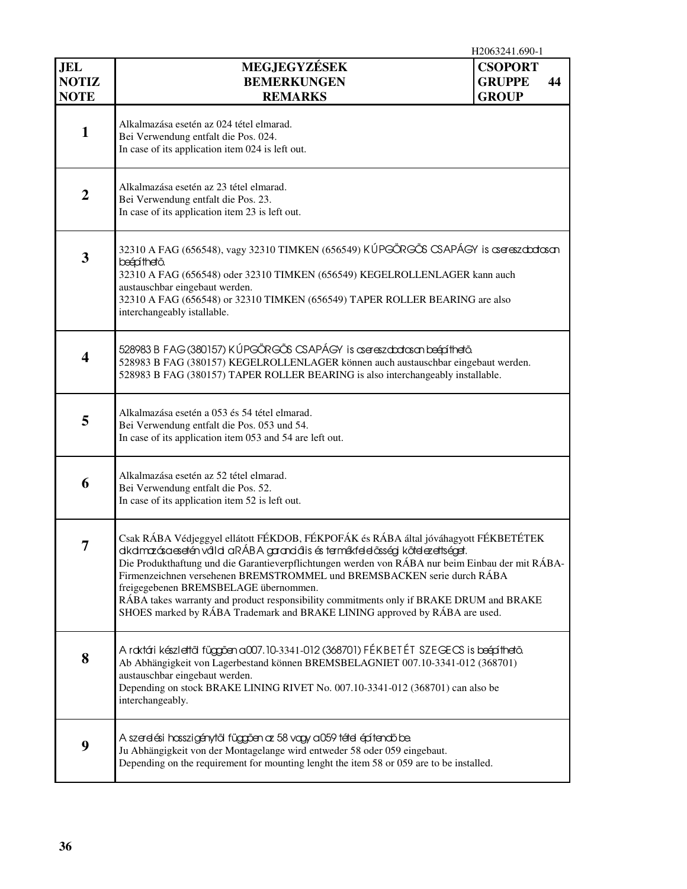|                                           |                                                                                                                                                                                                                                                                                                                                                                                                                                                                                                                                                                    | H2063241.690-1                                  |    |
|-------------------------------------------|--------------------------------------------------------------------------------------------------------------------------------------------------------------------------------------------------------------------------------------------------------------------------------------------------------------------------------------------------------------------------------------------------------------------------------------------------------------------------------------------------------------------------------------------------------------------|-------------------------------------------------|----|
| <b>JEL</b><br><b>NOTIZ</b><br><b>NOTE</b> | MEGJEGYZÉSEK<br><b>BEMERKUNGEN</b><br><b>REMARKS</b>                                                                                                                                                                                                                                                                                                                                                                                                                                                                                                               | <b>CSOPORT</b><br><b>GRUPPE</b><br><b>GROUP</b> | 44 |
| $\mathbf{1}$                              | Alkalmazása esetén az 024 tétel elmarad.<br>Bei Verwendung entfalt die Pos. 024.<br>In case of its application item 024 is left out.                                                                                                                                                                                                                                                                                                                                                                                                                               |                                                 |    |
| $\boldsymbol{2}$                          | Alkalmazása esetén az 23 tétel elmarad.<br>Bei Verwendung entfalt die Pos. 23.<br>In case of its application item 23 is left out.                                                                                                                                                                                                                                                                                                                                                                                                                                  |                                                 |    |
| 3                                         | 32310 A FAG (656548), vagy 32310 TIMKEN (656549) KÚPGÖRGŐS CSAPÁGY is csereszabatosan<br>beápíthető.<br>32310 A FAG (656548) oder 32310 TIMKEN (656549) KEGELROLLENLAGER kann auch<br>austauschbar eingebaut werden.<br>32310 A FAG (656548) or 32310 TIMKEN (656549) TAPER ROLLER BEARING are also<br>interchangeably istallable.                                                                                                                                                                                                                                 |                                                 |    |
| $\overline{\mathbf{4}}$                   | 528983 B FAG (380157) KÚPGÖRGŐS CSAPÁGY is asreszabatasan beépíthető.<br>528983 B FAG (380157) KEGELROLLENLAGER können auch austauschbar eingebaut werden.<br>528983 B FAG (380157) TAPER ROLLER BEARING is also interchangeably installable.                                                                                                                                                                                                                                                                                                                      |                                                 |    |
| 5                                         | Alkalmazása esetén a 053 és 54 tétel elmarad.<br>Bei Verwendung entfalt die Pos. 053 und 54.<br>In case of its application item 053 and 54 are left out.                                                                                                                                                                                                                                                                                                                                                                                                           |                                                 |    |
| 6                                         | Alkalmazása esetén az 52 tétel elmarad.<br>Bei Verwendung entfalt die Pos. 52.<br>In case of its application item 52 is left out.                                                                                                                                                                                                                                                                                                                                                                                                                                  |                                                 |    |
| 7                                         | Csak RÁBA Védjeggyel ellátott FÉKDOB, FÉKPOFÁK és RÁBA által jóváhagyott FÉKBETÉTEK<br>dkdmazásaesetén váld aRÁBA garandáls és termékfelelősségi kötelezettséget.<br>Die Produkthaftung und die Garantieverpflichtungen werden von RÁBA nur beim Einbau der mit RÁBA-<br>Firmenzeichnen versehenen BREMSTROMMEL und BREMSBACKEN serie durch RÁBA<br>freigegebenen BREMSBELAGE übernommen.<br>RÁBA takes warranty and product responsibility commitments only if BRAKE DRUM and BRAKE<br>SHOES marked by RÁBA Trademark and BRAKE LINING approved by RÁBA are used. |                                                 |    |
| 8                                         | A roktári készlettől függően a007.10-3341-012 (368701) FÉKBETÉT SZEGECS is beépíthető.<br>Ab Abhängigkeit von Lagerbestand können BREMSBELAGNIET 007.10-3341-012 (368701)<br>austauschbar eingebaut werden.<br>Depending on stock BRAKE LINING RIVET No. 007.10-3341-012 (368701) can also be<br>interchangeably.                                                                                                                                                                                                                                                  |                                                 |    |
| 9                                         | A szerelési hosszigénytől függően az 58 vagy a 059 tétel építendő be.<br>Ju Abhängigkeit von der Montagelange wird entweder 58 oder 059 eingebaut.<br>Depending on the requirement for mounting lenght the item 58 or 059 are to be installed.                                                                                                                                                                                                                                                                                                                     |                                                 |    |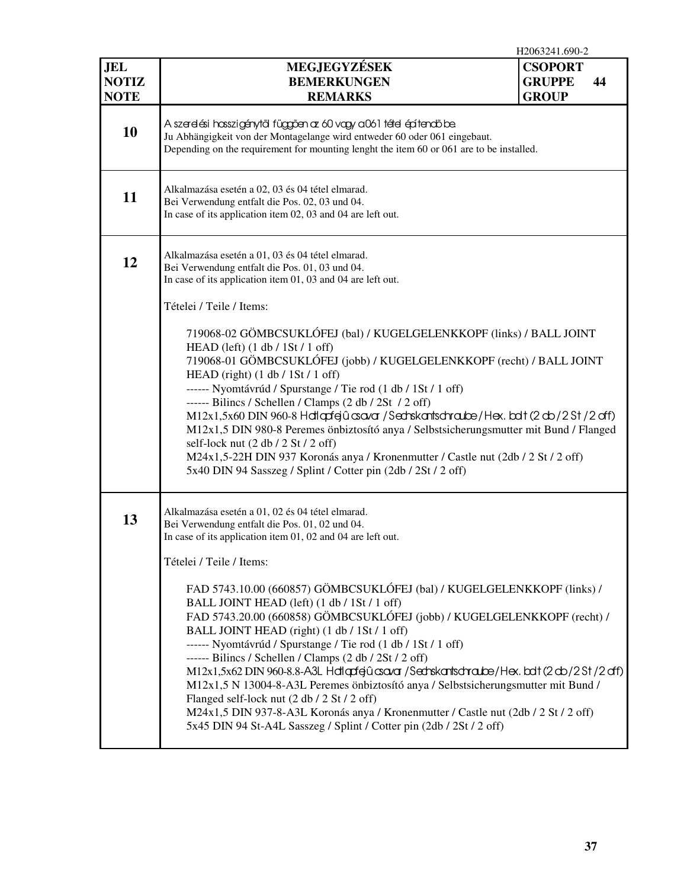|                                           | H2063241.690-2                                                                                                                                                                                                                                                                                                                                                                                                                                                                                                                                                                                                                                                                                                                                                                                                                                                                                                                                                                        |                                                 |    |  |  |  |  |  |
|-------------------------------------------|---------------------------------------------------------------------------------------------------------------------------------------------------------------------------------------------------------------------------------------------------------------------------------------------------------------------------------------------------------------------------------------------------------------------------------------------------------------------------------------------------------------------------------------------------------------------------------------------------------------------------------------------------------------------------------------------------------------------------------------------------------------------------------------------------------------------------------------------------------------------------------------------------------------------------------------------------------------------------------------|-------------------------------------------------|----|--|--|--|--|--|
| <b>JEL</b><br><b>NOTIZ</b><br><b>NOTE</b> | MEGJEGYZÉSEK<br><b>BEMERKUNGEN</b><br><b>REMARKS</b>                                                                                                                                                                                                                                                                                                                                                                                                                                                                                                                                                                                                                                                                                                                                                                                                                                                                                                                                  | <b>CSOPORT</b><br><b>GRUPPE</b><br><b>GROUP</b> | 44 |  |  |  |  |  |
| 10                                        | A szerelési hosszigénytől függően az 60 vagy a061 tétel építendő be.<br>Ju Abhängigkeit von der Montagelange wird entweder 60 oder 061 eingebaut.<br>Depending on the requirement for mounting lenght the item 60 or 061 are to be installed.                                                                                                                                                                                                                                                                                                                                                                                                                                                                                                                                                                                                                                                                                                                                         |                                                 |    |  |  |  |  |  |
| 11                                        | Alkalmazása esetén a 02, 03 és 04 tétel elmarad.<br>Bei Verwendung entfalt die Pos. 02, 03 und 04.<br>In case of its application item 02, 03 and 04 are left out.                                                                                                                                                                                                                                                                                                                                                                                                                                                                                                                                                                                                                                                                                                                                                                                                                     |                                                 |    |  |  |  |  |  |
| 12                                        | Alkalmazása esetén a 01, 03 és 04 tétel elmarad.<br>Bei Verwendung entfalt die Pos. 01, 03 und 04.<br>In case of its application item 01, 03 and 04 are left out.                                                                                                                                                                                                                                                                                                                                                                                                                                                                                                                                                                                                                                                                                                                                                                                                                     |                                                 |    |  |  |  |  |  |
|                                           | Tételei / Teile / Items:<br>719068-02 GÖMBCSUKLÓFEJ (bal) / KUGELGELENKKOPF (links) / BALL JOINT<br>HEAD (left) $(1 \text{ db} / 1 \text{ St} / 1 \text{ off})$<br>719068-01 GÖMBCSUKLÓFEJ (jobb) / KUGELGELENKKOPF (recht) / BALL JOINT<br>HEAD (right) $(1 \text{ db} / 1 \text{St} / 1 \text{ off})$<br>------ Nyomtávrúd / Spurstange / Tie rod (1 db / 1St / 1 off)<br>------ Bilincs / Schellen / Clamps $(2 \text{ db} / 2 \text{St} / 2 \text{ off})$<br>M12x1,5x60 DIN 960-8 Hdlqdfejû asavar / Sednskantsdhraube/Hex. balt (2 db / 2 St / 2 off)<br>M12x1,5 DIN 980-8 Peremes önbiztosító anya / Selbstsicherungsmutter mit Bund / Flanged<br>self-lock nut $(2 \text{ db} / 2 \text{ St} / 2 \text{ off})$<br>M24x1,5-22H DIN 937 Koronás anya / Kronenmutter / Castle nut (2db / 2 St / 2 off)<br>5x40 DIN 94 Sasszeg / Splint / Cotter pin (2db / 2St / 2 off)                                                                                                           |                                                 |    |  |  |  |  |  |
| 13                                        | Alkalmazása esetén a 01, 02 és 04 tétel elmarad.<br>Bei Verwendung entfalt die Pos. 01, 02 und 04.<br>In case of its application item 01, 02 and 04 are left out.<br>Tételei / Teile / Items:<br>FAD 5743.10.00 (660857) GÖMBCSUKLÓFEJ (bal) / KUGELGELENKKOPF (links) /<br>BALL JOINT HEAD (left) (1 db / 1St / 1 off)<br>FAD 5743.20.00 (660858) GÖMBCSUKLÓFEJ (jobb) / KUGELGELENKKOPF (recht) /<br>BALL JOINT HEAD (right) (1 db / 1St / 1 off)<br>------ Nyomtávrúd / Spurstange / Tie rod (1 db / 1St / 1 off)<br>------ Bilincs / Schellen / Clamps $(2 db / 2St / 2 off)$<br>M12x1,5x62 DIN 960-8.8-A3L Hdlqdfgû csavar / Sechskantsdhraube/Hex. bdt (2 db / 2 St / 2 df)<br>M12x1,5 N 13004-8-A3L Peremes önbiztosító anya / Selbstsicherungsmutter mit Bund /<br>Flanged self-lock nut (2 db / 2 St / 2 off)<br>M24x1,5 DIN 937-8-A3L Koronás anya / Kronenmutter / Castle nut (2db / 2 St / 2 off)<br>5x45 DIN 94 St-A4L Sasszeg / Splint / Cotter pin (2db / 2St / 2 off) |                                                 |    |  |  |  |  |  |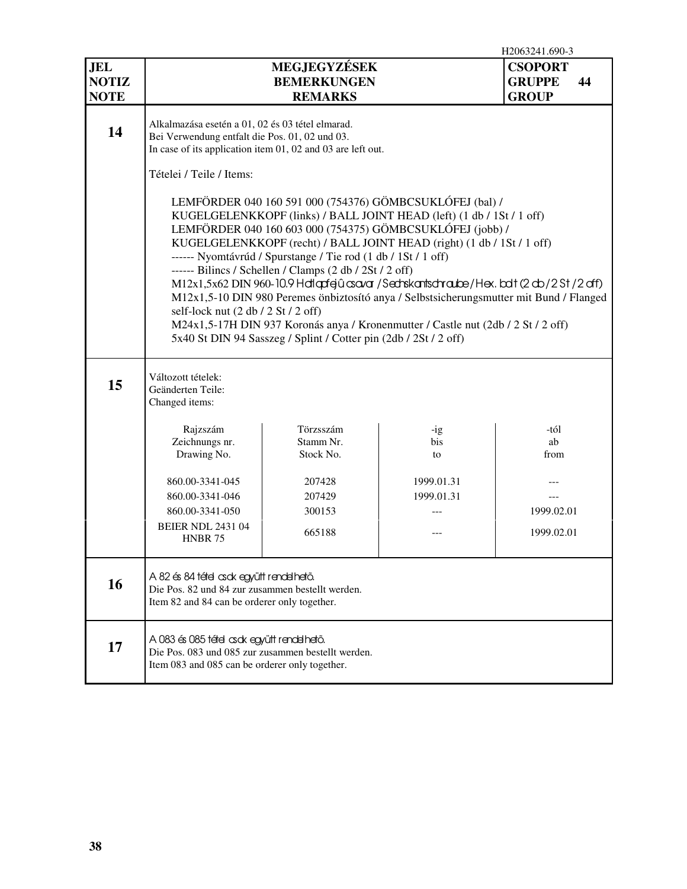|                                           | H2063241.690-3                                                                                                                                                                                                                                                                                                                                                                                                                                                                                                                                                                                                                                                                                                                                                                                                                                     |                                                      |                          |                                                       |  |  |  |  |  |  |  |  |
|-------------------------------------------|----------------------------------------------------------------------------------------------------------------------------------------------------------------------------------------------------------------------------------------------------------------------------------------------------------------------------------------------------------------------------------------------------------------------------------------------------------------------------------------------------------------------------------------------------------------------------------------------------------------------------------------------------------------------------------------------------------------------------------------------------------------------------------------------------------------------------------------------------|------------------------------------------------------|--------------------------|-------------------------------------------------------|--|--|--|--|--|--|--|--|
| <b>JEL</b><br><b>NOTIZ</b><br><b>NOTE</b> |                                                                                                                                                                                                                                                                                                                                                                                                                                                                                                                                                                                                                                                                                                                                                                                                                                                    | MEGJEGYZÉSEK<br><b>BEMERKUNGEN</b><br><b>REMARKS</b> |                          | <b>CSOPORT</b><br><b>GRUPPE</b><br>44<br><b>GROUP</b> |  |  |  |  |  |  |  |  |
| 14                                        | Alkalmazása esetén a 01, 02 és 03 tétel elmarad.<br>Bei Verwendung entfalt die Pos. 01, 02 und 03.<br>In case of its application item $01$ , $02$ and $03$ are left out.<br>Tételei / Teile / Items:                                                                                                                                                                                                                                                                                                                                                                                                                                                                                                                                                                                                                                               |                                                      |                          |                                                       |  |  |  |  |  |  |  |  |
|                                           | LEMFÖRDER 040 160 591 000 (754376) GÖMBCSUKLÓFEJ (bal) /<br>KUGELGELENKKOPF (links) / BALL JOINT HEAD (left) (1 db / 1St / 1 off)<br>LEMFÖRDER 040 160 603 000 (754375) GÖMBCSUKLÓFEJ (jobb) /<br>KUGELGELENKKOPF (recht) / BALL JOINT HEAD (right) (1 db / 1St / 1 off)<br>------ Nyomtávrúd / Spurstange / Tie rod (1 db / 1St / 1 off)<br>------ Bilincs / Schellen / Clamps $(2 \text{ db} / 2 \text{St} / 2 \text{ off})$<br>M12x1,5x62 DIN 960-10.9 Hdlqdfejû asavar / Sednskantsdraube/Hex. bolt (2 db / 2 St / 2 dff)<br>M12x1,5-10 DIN 980 Peremes önbiztosító anya / Selbstsicherungsmutter mit Bund / Flanged<br>self-lock nut $(2 \text{ db} / 2 \text{ St} / 2 \text{ off})$<br>M24x1,5-17H DIN 937 Koronás anya / Kronenmutter / Castle nut (2db / 2 St / 2 off)<br>5x40 St DIN 94 Sasszeg / Splint / Cotter pin (2db / 2St / 2 off) |                                                      |                          |                                                       |  |  |  |  |  |  |  |  |
| 15                                        | Változott tételek:<br>Geänderten Teile:<br>Changed items:                                                                                                                                                                                                                                                                                                                                                                                                                                                                                                                                                                                                                                                                                                                                                                                          |                                                      |                          |                                                       |  |  |  |  |  |  |  |  |
|                                           | Rajzszám<br>Zeichnungs nr.<br>Drawing No.                                                                                                                                                                                                                                                                                                                                                                                                                                                                                                                                                                                                                                                                                                                                                                                                          | Törzsszám<br>Stamm Nr.<br>Stock No.                  | $-ig$<br>bis<br>to       | -tól<br>ab<br>from                                    |  |  |  |  |  |  |  |  |
|                                           | 860.00-3341-045<br>860.00-3341-046<br>860.00-3341-050<br><b>BEIER NDL 2431 04</b><br><b>HNBR 75</b>                                                                                                                                                                                                                                                                                                                                                                                                                                                                                                                                                                                                                                                                                                                                                | 207428<br>207429<br>300153<br>665188                 | 1999.01.31<br>1999.01.31 | 1999.02.01<br>1999.02.01                              |  |  |  |  |  |  |  |  |
| 16                                        | A 82 és 84 tétel csck együtt rendelhető.<br>Die Pos. 82 und 84 zur zusammen bestellt werden.<br>Item 82 and 84 can be orderer only together.                                                                                                                                                                                                                                                                                                                                                                                                                                                                                                                                                                                                                                                                                                       |                                                      |                          |                                                       |  |  |  |  |  |  |  |  |
| 17                                        | A 083 és 085 tétel csck együtt rendelhető.<br>Die Pos. 083 und 085 zur zusammen bestellt werden.<br>Item 083 and 085 can be orderer only together.                                                                                                                                                                                                                                                                                                                                                                                                                                                                                                                                                                                                                                                                                                 |                                                      |                          |                                                       |  |  |  |  |  |  |  |  |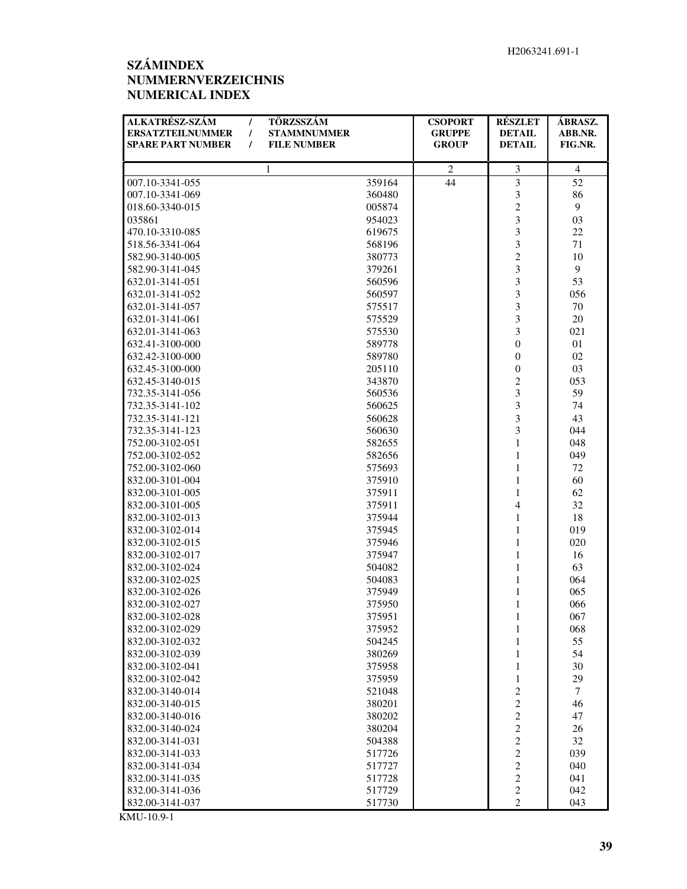## **SZÁMINDEX NUMMERNVERZEICHNIS NUMERICAL INDEX**

| ALKATRÉSZ-SZÁM<br>$\prime$<br><b>ERSATZTEILNUMMER</b><br>$\prime$ | TÖRZSSZÁM<br><b>STAMMNUMMER</b> | <b>CSOPORT</b><br><b>GRUPPE</b> | <b>RÉSZLET</b><br><b>DETAIL</b> | ÁBRASZ.<br>ABB.NR. |
|-------------------------------------------------------------------|---------------------------------|---------------------------------|---------------------------------|--------------------|
| <b>SPARE PART NUMBER</b><br>$\prime$                              | <b>FILE NUMBER</b>              | <b>GROUP</b>                    | <b>DETAIL</b>                   | FIG.NR.            |
|                                                                   |                                 |                                 |                                 |                    |
|                                                                   | $\mathbf{1}$                    | $\mathfrak{2}$                  | 3                               | $\overline{4}$     |
| 007.10-3341-055                                                   | 359164                          | 44                              | $\overline{3}$                  | 52                 |
| 007.10-3341-069                                                   | 360480                          |                                 | 3                               | 86                 |
| 018.60-3340-015                                                   | 005874                          |                                 | $\overline{c}$                  | $\mathbf{9}$       |
| 035861                                                            | 954023                          |                                 | 3                               | 03                 |
| 470.10-3310-085                                                   | 619675                          |                                 | 3                               | 22                 |
| 518.56-3341-064                                                   | 568196                          |                                 | $\overline{\mathbf{3}}$         | 71                 |
| 582.90-3140-005                                                   | 380773                          |                                 | $\overline{c}$                  | 10                 |
| 582.90-3141-045                                                   | 379261                          |                                 | 3                               | 9                  |
| 632.01-3141-051                                                   | 560596                          |                                 | 3                               | 53                 |
| 632.01-3141-052                                                   | 560597                          |                                 | 3                               | 056                |
| 632.01-3141-057                                                   | 575517                          |                                 | 3                               | 70                 |
| 632.01-3141-061                                                   | 575529                          |                                 | 3                               | 20                 |
| 632.01-3141-063                                                   | 575530                          |                                 | 3                               | 021                |
| 632.41-3100-000                                                   | 589778                          |                                 | $\boldsymbol{0}$                | 01                 |
| 632.42-3100-000                                                   | 589780                          |                                 | $\boldsymbol{0}$                | 02                 |
| 632.45-3100-000                                                   | 205110                          |                                 | $\boldsymbol{0}$                | 03                 |
| 632.45-3140-015                                                   | 343870                          |                                 | $\overline{2}$                  | 053                |
| 732.35-3141-056                                                   | 560536                          |                                 | 3                               | 59                 |
| 732.35-3141-102                                                   | 560625                          |                                 | 3                               | 74                 |
| 732.35-3141-121                                                   | 560628                          |                                 | 3                               | 43                 |
| 732.35-3141-123                                                   | 560630                          |                                 | 3                               | 044                |
| 752.00-3102-051                                                   | 582655                          |                                 | $\mathbf{1}$                    | 048                |
| 752.00-3102-052                                                   | 582656                          |                                 | $\mathbf{1}$                    | 049                |
| 752.00-3102-060                                                   | 575693                          |                                 | 1                               | 72                 |
| 832.00-3101-004                                                   | 375910                          |                                 | $\mathbf{1}$                    | 60                 |
| 832.00-3101-005                                                   | 375911                          |                                 | $\mathbf{1}$                    | 62                 |
| 832.00-3101-005                                                   | 375911                          |                                 | $\overline{\mathbf{4}}$         | 32                 |
| 832.00-3102-013                                                   | 375944                          |                                 | $\mathbf{1}$                    | 18                 |
| 832.00-3102-014                                                   | 375945                          |                                 | $\mathbf{1}$                    | 019                |
| 832.00-3102-015                                                   | 375946                          |                                 | $\mathbf{1}$                    | 020                |
| 832.00-3102-017                                                   | 375947                          |                                 | $\mathbf{1}$                    | 16                 |
| 832.00-3102-024                                                   | 504082                          |                                 | $\mathbf{1}$                    | 63                 |
| 832.00-3102-025                                                   | 504083                          |                                 | $\,1$                           | 064                |
| 832.00-3102-026                                                   | 375949                          |                                 | $\mathbf{1}$                    | 065                |
| 832.00-3102-027                                                   | 375950                          |                                 | $\mathbf{1}$                    | 066                |
| 832.00-3102-028                                                   | 375951                          |                                 | $\mathbf{1}$                    | 067                |
| 832.00-3102-029                                                   | 375952                          |                                 | 1                               | 068                |
| 832.00-3102-032                                                   | 504245                          |                                 | $\mathbf{1}$                    | 55                 |
| 832.00-3102-039                                                   | 380269                          |                                 | $\mathbf{1}$                    | 54                 |
| 832.00-3102-041                                                   | 375958                          |                                 | $\mathbf{1}$                    | 30                 |
| 832.00-3102-042                                                   | 375959                          |                                 | 1                               | 29                 |
| 832.00-3140-014                                                   | 521048                          |                                 | $\overline{\mathbf{c}}$         | 7                  |
| 832.00-3140-015                                                   | 380201                          |                                 | $\overline{c}$                  | 46                 |
| 832.00-3140-016                                                   | 380202                          |                                 | $\sqrt{2}$                      | 47                 |
| 832.00-3140-024                                                   | 380204                          |                                 | $\overline{c}$                  | 26                 |
| 832.00-3141-031                                                   | 504388                          |                                 | $\overline{c}$                  | 32                 |
| 832.00-3141-033                                                   | 517726                          |                                 | $\overline{c}$                  | 039                |
| 832.00-3141-034                                                   | 517727                          |                                 | $\overline{c}$                  | 040                |
| 832.00-3141-035                                                   | 517728                          |                                 | $\mathbf{2}$                    | 041                |
| 832.00-3141-036                                                   | 517729                          |                                 | $\boldsymbol{2}$                | 042                |
| 832.00-3141-037                                                   | 517730                          |                                 | $\overline{c}$                  | 043                |

KMU-10.9-1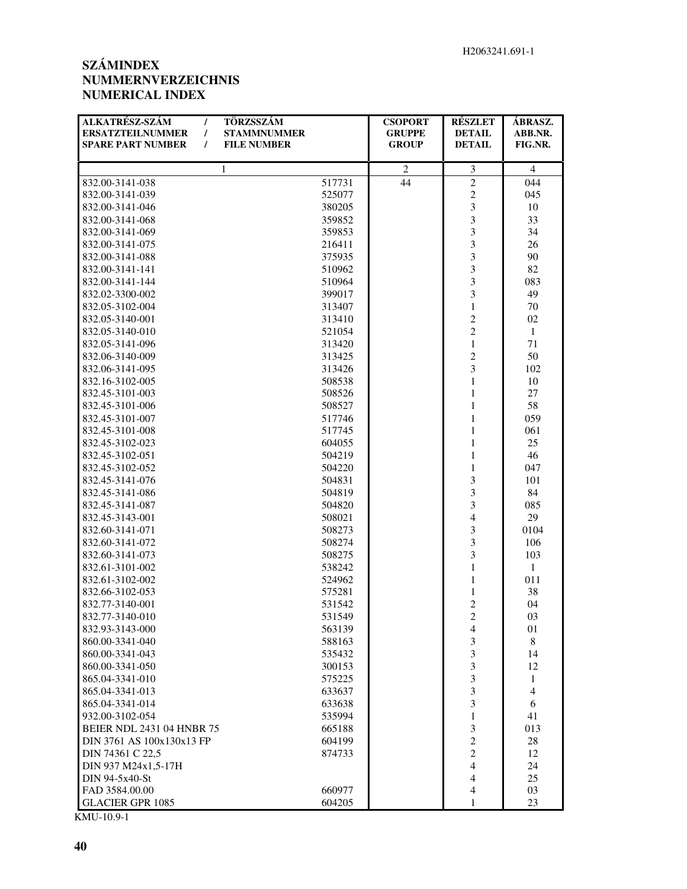### **SZÁMINDEX NUMMERNVERZEICHNIS NUMERICAL INDEX**

| ALKATRÉSZ-SZÁM<br>TÖRZSSZÁM<br>$\prime$<br><b>ERSATZTEILNUMMER</b><br><b>STAMMNUMMER</b><br>$\prime$<br><b>SPARE PART NUMBER</b><br>$\prime$<br><b>FILE NUMBER</b> |                  | <b>CSOPORT</b><br><b>GRUPPE</b><br><b>GROUP</b> | <b>RÉSZLET</b><br><b>DETAIL</b><br><b>DETAIL</b> | ÁBRASZ.<br>ABB.NR.<br>FIG.NR. |
|--------------------------------------------------------------------------------------------------------------------------------------------------------------------|------------------|-------------------------------------------------|--------------------------------------------------|-------------------------------|
| 1                                                                                                                                                                  |                  | 2                                               | 3                                                | $\overline{4}$                |
| 832.00-3141-038                                                                                                                                                    | 517731           | 44                                              | $\sqrt{2}$                                       | 044                           |
| 832.00-3141-039                                                                                                                                                    | 525077           |                                                 | $\overline{c}$                                   | 045                           |
| 832.00-3141-046                                                                                                                                                    | 380205           |                                                 | $\overline{\mathbf{3}}$                          | 10                            |
| 832.00-3141-068                                                                                                                                                    | 359852           |                                                 | $\overline{3}$                                   | 33                            |
| 832.00-3141-069                                                                                                                                                    | 359853           |                                                 | $\overline{3}$                                   | 34                            |
| 832.00-3141-075                                                                                                                                                    | 216411           |                                                 | $\overline{\mathbf{3}}$                          | 26                            |
| 832.00-3141-088                                                                                                                                                    | 375935           |                                                 | 3                                                | 90                            |
| 832.00-3141-141                                                                                                                                                    | 510962           |                                                 | 3                                                | 82                            |
| 832.00-3141-144                                                                                                                                                    | 510964           |                                                 | 3                                                | 083                           |
| 832.02-3300-002                                                                                                                                                    | 399017           |                                                 | 3                                                | 49                            |
| 832.05-3102-004                                                                                                                                                    | 313407           |                                                 | $\mathbf{1}$                                     | 70                            |
| 832.05-3140-001                                                                                                                                                    | 313410           |                                                 | $\overline{c}$                                   | 02                            |
| 832.05-3140-010                                                                                                                                                    | 521054           |                                                 | $\overline{c}$                                   | $\mathbf{1}$                  |
| 832.05-3141-096                                                                                                                                                    | 313420           |                                                 | $\mathbf{1}$                                     | 71                            |
| 832.06-3140-009                                                                                                                                                    | 313425           |                                                 | $\overline{c}$                                   | 50                            |
| 832.06-3141-095                                                                                                                                                    | 313426           |                                                 | 3                                                | 102                           |
| 832.16-3102-005                                                                                                                                                    | 508538           |                                                 | $\mathbf{1}$                                     | 10                            |
| 832.45-3101-003                                                                                                                                                    | 508526           |                                                 | $\mathbf{1}$                                     | 27                            |
| 832.45-3101-006                                                                                                                                                    | 508527           |                                                 | $\mathbf{1}$                                     | 58                            |
| 832.45-3101-007                                                                                                                                                    | 517746           |                                                 | $\mathbf{1}$                                     | 059                           |
| 832.45-3101-008                                                                                                                                                    | 517745           |                                                 | $\mathbf{1}$                                     | 061                           |
| 832.45-3102-023                                                                                                                                                    | 604055           |                                                 | $\mathbf{1}$                                     | 25                            |
| 832.45-3102-051                                                                                                                                                    | 504219           |                                                 | $\mathbf{1}$                                     | 46                            |
| 832.45-3102-052                                                                                                                                                    | 504220           |                                                 | $\mathbf{1}$                                     | 047                           |
|                                                                                                                                                                    |                  |                                                 | $\overline{\mathbf{3}}$                          |                               |
| 832.45-3141-076<br>832.45-3141-086                                                                                                                                 | 504831<br>504819 |                                                 | 3                                                | 101<br>84                     |
|                                                                                                                                                                    |                  |                                                 | 3                                                |                               |
| 832.45-3141-087<br>832.45-3143-001                                                                                                                                 | 504820           |                                                 | $\overline{\mathbf{4}}$                          | 085<br>29                     |
| 832.60-3141-071                                                                                                                                                    | 508021           |                                                 | 3                                                | 0104                          |
|                                                                                                                                                                    | 508273           |                                                 | $\overline{3}$                                   |                               |
| 832.60-3141-072                                                                                                                                                    | 508274           |                                                 | $\overline{3}$                                   | 106                           |
| 832.60-3141-073                                                                                                                                                    | 508275           |                                                 |                                                  | 103<br>$\mathbf{1}$           |
| 832.61-3101-002                                                                                                                                                    | 538242           |                                                 | $\mathbf{1}$                                     |                               |
| 832.61-3102-002                                                                                                                                                    | 524962           |                                                 | $\mathbf{1}$                                     | 011                           |
| 832.66-3102-053<br>832.77-3140-001                                                                                                                                 | 575281           |                                                 | $\mathbf{1}$<br>$\overline{c}$                   | 38<br>04                      |
|                                                                                                                                                                    | 531542           |                                                 | $\overline{c}$                                   |                               |
| 832.77-3140-010                                                                                                                                                    | 531549           |                                                 |                                                  | 03                            |
| 832.93-3143-000                                                                                                                                                    | 563139           |                                                 | 4<br>3                                           | 01                            |
| 860.00-3341-040<br>860.00-3341-043                                                                                                                                 | 588163           |                                                 |                                                  | 8                             |
| 860.00-3341-050                                                                                                                                                    | 535432<br>300153 |                                                 | 3                                                | 14                            |
| 865.04-3341-010                                                                                                                                                    |                  |                                                 | $\mathfrak{Z}$<br>3                              | 12                            |
| 865.04-3341-013                                                                                                                                                    | 575225           |                                                 |                                                  | $\mathbf{1}$                  |
|                                                                                                                                                                    | 633637           |                                                 | 3<br>3                                           | $\overline{4}$                |
| 865.04-3341-014                                                                                                                                                    | 633638           |                                                 |                                                  | 6                             |
| 932.00-3102-054                                                                                                                                                    | 535994           |                                                 | $\mathbf{1}$                                     | 41                            |
| <b>BEIER NDL 2431 04 HNBR 75</b>                                                                                                                                   | 665188           |                                                 | 3                                                | 013                           |
| DIN 3761 AS 100x130x13 FP                                                                                                                                          | 604199           |                                                 | $\overline{c}$                                   | 28                            |
| DIN 74361 C 22,5                                                                                                                                                   | 874733           |                                                 | $\overline{c}$                                   | 12                            |
| DIN 937 M24x1,5-17H                                                                                                                                                |                  |                                                 | $\overline{4}$                                   | 24                            |
| DIN 94-5x40-St                                                                                                                                                     |                  |                                                 | 4                                                | 25                            |
| FAD 3584.00.00                                                                                                                                                     | 660977           |                                                 | $\overline{4}$                                   | 03                            |
| <b>GLACIER GPR 1085</b>                                                                                                                                            | 604205           |                                                 | 1                                                | 23                            |

KMU-10.9-1